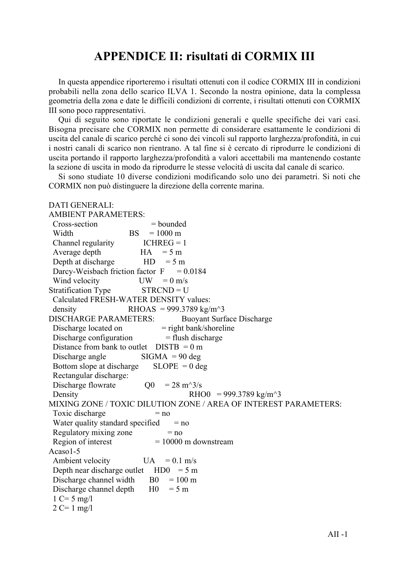#### APPENDICE II: risultati di CORMIX III

In questa appendice riporteremo i risultati ottenuti con il codice CORMIX III in condizioni probabili nella zona dello scarico ILVA 1. Secondo la nostra opinione, data la complessa geometria della zona e date le difficili condizioni di corrente, i risultati ottenuti con CORMIX III sono poco rappresentativi.

Qui di seguito sono riportate le condizioni generali e quelle specifiche dei vari casi. Bisogna precisare che CORMIX non permette di considerare esattamente le condizioni di uscita del canale di scarico perché ci sono dei vincoli sul rapporto larghezza/profondità, in cui i nostri canali di scarico non rientrano. A tal fine si è cercato di riprodurre le condizioni di uscita portando il rapporto larghezza/profondità a valori accettabili ma mantenendo costante la sezione di uscita in modo da riprodurre le stesse velocità di uscita dal canale di scarico.

Si sono studiate 10 diverse condizioni modificando solo uno dei parametri. Si noti che CORMIX non può distinguere la direzione della corrente marina.

| <b>DATI GENERALI:</b>                                              |
|--------------------------------------------------------------------|
| <b>AMBIENT PARAMETERS:</b>                                         |
| Cross-section<br>$=$ bounded                                       |
| $= 1000 \text{ m}$<br>Width<br><b>BS</b>                           |
| Channel regularity<br>$ICHREG = 1$                                 |
| Average depth<br>HA<br>$= 5 m$                                     |
| Depth at discharge<br>HD<br>$= 5 m$                                |
| Darcy-Weisbach friction factor F<br>$= 0.0184$                     |
| Wind velocity<br>$UW = 0$ m/s                                      |
| <b>Stratification Type</b><br>$STRCND = U$                         |
| Calculated FRESH-WATER DENSITY values:                             |
| RHOAS = 999.3789 kg/m <sup><math>\text{A}</math>3</sup><br>density |
| <b>DISCHARGE PARAMETERS:</b><br><b>Buoyant Surface Discharge</b>   |
| = right bank/shoreline<br>Discharge located on                     |
| Discharge configuration<br>$=$ flush discharge                     |
| Distance from bank to outlet $DISTB = 0 m$                         |
| $SIGMA = 90$ deg<br>Discharge angle                                |
| Bottom slope at discharge<br>$SLOPE = 0$ deg                       |
| Rectangular discharge:                                             |
| Discharge flowrate<br>$Q0 = 28 \text{ m}^3/\text{s}$               |
| RHO0 = 999.3789 kg/m <sup><math>\sim</math></sup> 3<br>Density     |
| MIXING ZONE / TOXIC DILUTION ZONE / AREA OF INTEREST PARAMETERS:   |
| Toxic discharge<br>$= no$                                          |
| Water quality standard specified<br>$= no$                         |
| Regulatory mixing zone<br>$=$ no                                   |
| Region of interest<br>$= 10000$ m downstream                       |
| Acaso1-5                                                           |
| Ambient velocity<br>UA<br>$= 0.1$ m/s                              |
| Depth near discharge outlet HD0<br>$= 5 m$                         |
| Discharge channel width<br>$B0 = 100 \text{ m}$                    |
| Discharge channel depth<br>$H0 = 5 m$                              |
| $1 C = 5 mg/l$                                                     |
| $2 C = 1 mg/l$                                                     |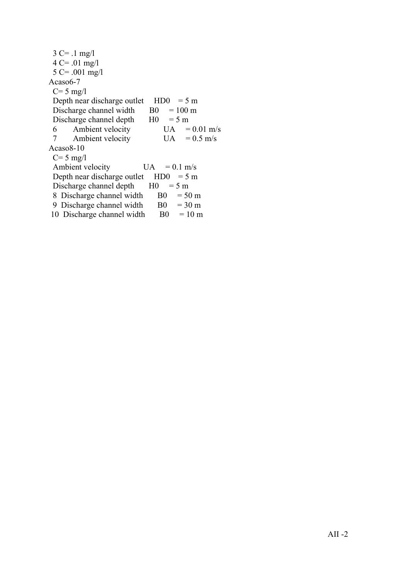| $3 C = .1 mg/l$                   |                |                             |                      |  |
|-----------------------------------|----------------|-----------------------------|----------------------|--|
| $4 C = .01 mg/l$                  |                |                             |                      |  |
| $5 \text{ C} = .001 \text{ mg/l}$ |                |                             |                      |  |
| Acaso6-7                          |                |                             |                      |  |
| $C = 5$ mg/l                      |                |                             |                      |  |
| Depth near discharge outlet       |                | H <sub>D</sub> <sup>0</sup> | $= 5 \text{ m}$      |  |
| Discharge channel width           |                |                             | $B0 = 100 \text{ m}$ |  |
| Discharge channel depth           | $H0 = 5 m$     |                             |                      |  |
| 6 Ambient velocity                |                |                             | $UA = 0.01$ m/s      |  |
| 7 Ambient velocity                |                |                             | $UA = 0.5$ m/s       |  |
| Acaso 8-10                        |                |                             |                      |  |
| $C = 5$ mg/l                      |                |                             |                      |  |
| Ambient velocity                  |                |                             | $UA = 0.1$ m/s       |  |
| Depth near discharge outlet       | HD0            |                             | $= 5 \text{ m}$      |  |
| Discharge channel depth           | H <sub>0</sub> | $= 5 m$                     |                      |  |
| 8 Discharge channel width         |                | B <sub>0</sub>              | $= 50 \text{ m}$     |  |
| 9 Discharge channel width         |                |                             | $B0 = 30 m$          |  |
| 10 Discharge channel width        |                |                             | $B0 = 10 m$          |  |
|                                   |                |                             |                      |  |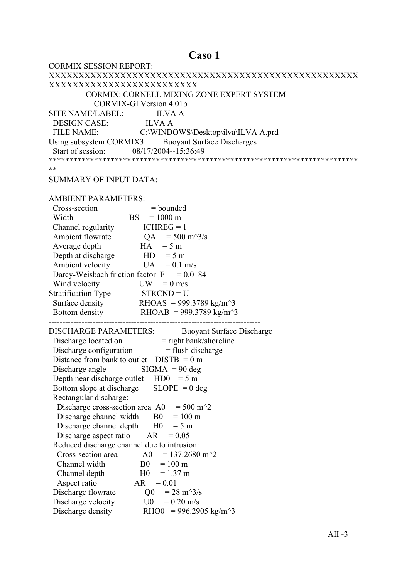# Caso 1

| <b>CORMIX SESSION REPORT:</b>                                                                          |
|--------------------------------------------------------------------------------------------------------|
|                                                                                                        |
| XXXXXXXXXXXXXXXXXXXXXXXXX                                                                              |
| CORMIX: CORNELL MIXING ZONE EXPERT SYSTEM                                                              |
| <b>CORMIX-GI Version 4.01b</b>                                                                         |
| SITE NAME/LABEL: ILVA A                                                                                |
| DESIGN CASE: ILVA A                                                                                    |
| FILE NAME: C:\WINDOWS\Desktop\ilva\ILVA A.prd                                                          |
| Using subsystem CORMIX3: Buoyant Surface Discharges                                                    |
| Start of session: 08/17/2004--15:36:49                                                                 |
|                                                                                                        |
| **                                                                                                     |
| <b>SUMMARY OF INPUT DATA:</b>                                                                          |
|                                                                                                        |
| <b>AMBIENT PARAMETERS:</b>                                                                             |
| Cross-section<br>$=$ bounded                                                                           |
| $BS = 1000 \text{ m}$<br>Width                                                                         |
| Channel regularity $ICHREG = 1$                                                                        |
| Ambient flowrate $QA = 500 \text{ m}^3/\text{s}$                                                       |
| $HA = 5 m$<br>Average depth                                                                            |
| Depth at discharge $HD = 5 m$                                                                          |
| Ambient velocity<br>$UA = 0.1$ m/s                                                                     |
| Darcy-Weisbach friction factor $F = 0.0184$                                                            |
| Wind velocity<br>$UW = 0$ m/s                                                                          |
|                                                                                                        |
| Stratification Type STRCND = U<br>Surface density RHOAS = 999.3789 kg/m <sup><math>\sim</math></sup> 3 |
| Bottom density RHOAB = 999.3789 kg/m <sup><math>\sim</math>3</sup>                                     |
|                                                                                                        |
| <b>DISCHARGE PARAMETERS:</b><br><b>Buoyant Surface Discharge</b>                                       |
|                                                                                                        |
| Discharge located on = right bank/shoreline<br>Discharge configuration = flush discharge               |
| Distance from bank to outlet $DISTB = 0 m$                                                             |
| Discharge angle $\qquad$ SIGMA = 90 deg                                                                |
| Depth near discharge outlet $HD0 = 5 m$                                                                |
| $SLOPE = 0$ deg<br>Bottom slope at discharge                                                           |
| Rectangular discharge:                                                                                 |
| $= 500 \text{ m}^2$<br>Discharge cross-section area A0                                                 |
| Discharge channel width<br>B <sub>0</sub><br>$= 100 \text{ m}$                                         |
| Discharge channel depth<br>H <sub>0</sub><br>$= 5 m$                                                   |
| Discharge aspect ratio<br>AR<br>$= 0.05$                                                               |
| Reduced discharge channel due to intrusion:                                                            |
| $= 137.2680$ m <sup><math>\textdegree</math></sup> 2<br>Cross-section area<br>A0                       |
| Channel width<br>B <sub>0</sub><br>$= 100 \text{ m}$                                                   |
| H <sub>0</sub><br>$= 1.37$ m<br>Channel depth                                                          |
| Aspect ratio<br>AR<br>$= 0.01$                                                                         |
| Discharge flowrate<br>Q <sub>0</sub><br>$= 28 \text{ m}^3/\text{s}$                                    |
| Discharge velocity<br>U0<br>$= 0.20$ m/s                                                               |
| Discharge density<br>RHO0 = 996.2905 kg/m <sup><math>\text{A}</math>3</sup>                            |
|                                                                                                        |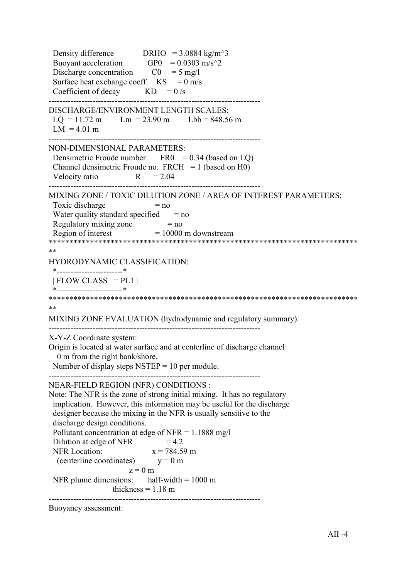Density difference DRHO =  $3.0884 \text{ kg/m}^3$ Buoyant acceleration  $GPO = 0.0303 \text{ m/s}^2$ Discharge concentration  $CO = 5$  mg/l Surface heat exchange coeff.  $KS = 0$  m/s Coefficient of decay  $KD = 0/s$ ----------------------------------------------------------------------------- DISCHARGE/ENVIRONMENT LENGTH SCALES:  $LQ = 11.72 \text{ m}$   $Lm = 23.90 \text{ m}$   $Lbb = 848.56 \text{ m}$  $LM = 4.01 m$ ----------------------------------------------------------------------------- NON-DIMENSIONAL PARAMETERS: Densimetric Froude number  $FRO = 0.34$  (based on LQ) Channel densimetric Froude no.  $FRCH = 1$  (based on H0) Velocity ratio  $R = 2.04$ ----------------------------------------------------------------------------- MIXING ZONE / TOXIC DILUTION ZONE / AREA OF INTEREST PARAMETERS: Toxic discharge  $= no$ Water quality standard specified  $=$  no Regulatory mixing zone  $= no$ Region of interest  $= 10000$  m downstream \*\*\*\*\*\*\*\*\*\*\*\*\*\*\*\*\*\*\*\*\*\*\*\*\*\*\*\*\*\*\*\*\*\*\*\*\*\*\*\*\*\*\*\*\*\*\*\*\*\*\*\*\*\*\*\*\*\*\*\*\*\*\*\*\*\*\*\*\*\*\*\*\*\*\* \*\* HYDRODYNAMIC CLASSIFICATION: \*------------------------\*  $| FLOW CLASS = PL1 |$  \*------------------------\* \*\*\*\*\*\*\*\*\*\*\*\*\*\*\*\*\*\*\*\*\*\*\*\*\*\*\*\*\*\*\*\*\*\*\*\*\*\*\*\*\*\*\*\*\*\*\*\*\*\*\*\*\*\*\*\*\*\*\*\*\*\*\*\*\*\*\*\*\*\*\*\*\*\*\* \*\* MIXING ZONE EVALUATION (hydrodynamic and regulatory summary): ----------------------------------------------------------------------------- X-Y-Z Coordinate system: Origin is located at water surface and at centerline of discharge channel: 0 m from the right bank/shore. Number of display steps  $NSTEP = 10$  per module. ----------------------------------------------------------------------------- NEAR-FIELD REGION (NFR) CONDITIONS : Note: The NFR is the zone of strong initial mixing. It has no regulatory implication. However, this information may be useful for the discharge designer because the mixing in the NFR is usually sensitive to the discharge design conditions. Pollutant concentration at edge of NFR =  $1.1888$  mg/l Dilution at edge of NFR  $= 4.2$ NFR Location:  $x = 784.59$  m (centerline coordinates)  $y = 0$  m  $z = 0$  m NFR plume dimensions: half-width  $= 1000 \text{ m}$ thickness  $= 1.18$  m -----------------------------------------------------------------------------

Buoyancy assessment: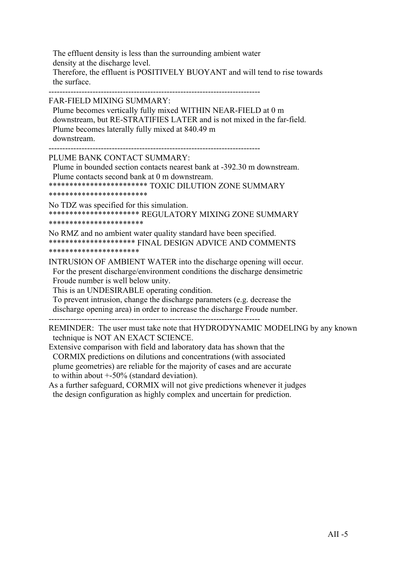The effluent density is less than the surrounding ambient water density at the discharge level. Therefore, the effluent is POSITIVELY BUOYANT and will tend to rise towards the surface.

-----------------------------------------------------------------------------

FAR-FIELD MIXING SUMMARY:

 Plume becomes vertically fully mixed WITHIN NEAR-FIELD at 0 m downstream, but RE-STRATIFIES LATER and is not mixed in the far-field. Plume becomes laterally fully mixed at 840.49 m downstream.

-----------------------------------------------------------------------------

PLUME BANK CONTACT SUMMARY:

 Plume in bounded section contacts nearest bank at -392.30 m downstream. Plume contacts second bank at 0 m downstream.

\*\*\*\*\*\*\*\*\*\*\*\*\*\*\*\*\*\*\*\*\*\*\*\* TOXIC DILUTION ZONE SUMMARY

\*\*\*\*\*\*\*\*\*\*\*\*\*\*\*\*\*\*\*\*\*\*\*\*

No TDZ was specified for this simulation. \*\*\*\*\*\*\*\*\*\*\*\*\*\*\*\*\*\*\*\*\*\* REGULATORY MIXING ZONE SUMMARY \*\*\*\*\*\*\*\*\*\*\*\*\*\*\*\*\*\*\*\*\*\*\*

No RMZ and no ambient water quality standard have been specified. \*\*\*\*\*\*\*\*\*\*\*\*\*\*\*\*\*\*\*\*\* FINAL DESIGN ADVICE AND COMMENTS \*\*\*\*\*\*\*\*\*\*\*\*\*\*\*\*\*\*\*\*\*\*

INTRUSION OF AMBIENT WATER into the discharge opening will occur. For the present discharge/environment conditions the discharge densimetric Froude number is well below unity.

This is an UNDESIRABLE operating condition.

 To prevent intrusion, change the discharge parameters (e.g. decrease the discharge opening area) in order to increase the discharge Froude number.

-----------------------------------------------------------------------------

REMINDER: The user must take note that HYDRODYNAMIC MODELING by any known technique is NOT AN EXACT SCIENCE.

Extensive comparison with field and laboratory data has shown that the CORMIX predictions on dilutions and concentrations (with associated plume geometries) are reliable for the majority of cases and are accurate to within about +-50% (standard deviation).

As a further safeguard, CORMIX will not give predictions whenever it judges the design configuration as highly complex and uncertain for prediction.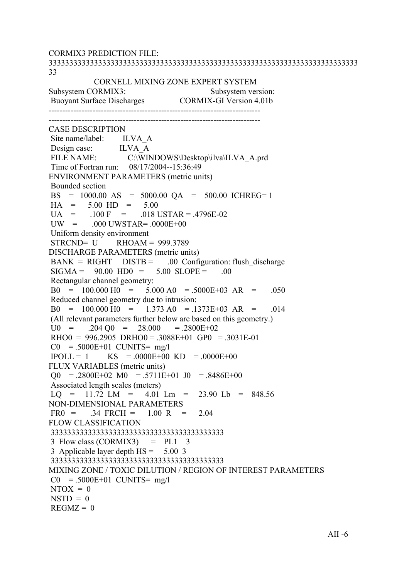CORMIX3 PREDICTION FILE: 333333333333333333333333333333333333333333333333333333333333333333333333333 33 CORNELL MIXING ZONE EXPERT SYSTEM Subsystem CORMIX3: Subsystem version: Buoyant Surface Discharges CORMIX-GI Version 4.01b ----------------------------------------------------------------------------- ----------------------------------------------------------------------------- CASE DESCRIPTION Site name/label: ILVA A Design case: ILVA A FILE NAME: C:\WINDOWS\Desktop\ilva\ILVA\_A.prd Time of Fortran run: 08/17/2004--15:36:49 ENVIRONMENT PARAMETERS (metric units) Bounded section BS = 1000.00 AS = 5000.00 QA = 500.00 ICHREG= 1  $HA = 5.00 HD = 5.00$  $UA = 100 F = 018 \text{ USTAR} = .4796E-02$  $UW = 000$  UWSTAR=  $.0000E+00$  Uniform density environment  $STRCND = U$  RHOAM = 999.3789 DISCHARGE PARAMETERS (metric units)  $BANK = RIGHT$   $DISTB = 00$  Configuration: flush discharge  $SIGMA = 90.00 HDO = 5.00 SLOPE = .00$  Rectangular channel geometry:  $B0 = 100.000 H0 = 5.000 A0 = 5000E+03 AR = .050$  Reduced channel geometry due to intrusion:  $B0 = 100.000 H0 = 1.373 A0 = .1373E+03 AR = .014$  (All relevant parameters further below are based on this geometry.)  $U0 = 204 \text{ O}0 = 28.000 = 2800E+02$  $RHOO = 996.2905 \ \text{DRHO}0 = .3088E+01 \ \text{GPO} = .3031E-01$  $CO = .5000E+01$  CUNITS= mg/l  $IPOLL = 1$  KS = .0000E+00 KD = .0000E+00 FLUX VARIABLES (metric units)  $\Omega$  = .2800E+02 M0 = .5711E+01 J0 = .8486E+00 Associated length scales (meters)  $LO = 11.72$   $LM = 4.01$   $Lm = 23.90$   $Lb = 848.56$ NON-DIMENSIONAL PARAMETERS  $FR0 = 0.34$   $FRCH = 1.00$  R = 2.04 FLOW CLASSIFICATION 333333333333333333333333333333333333333333  $3$  Flow class (CORMIX3) = PL1  $3$  3 Applicable layer depth HS = 5.00 3 333333333333333333333333333333333333333333 MIXING ZONE / TOXIC DILUTION / REGION OF INTEREST PARAMETERS  $CO = .5000E+01$  CUNITS= mg/l  $NTOX = 0$  $NSTD = 0$  $REGMZ = 0$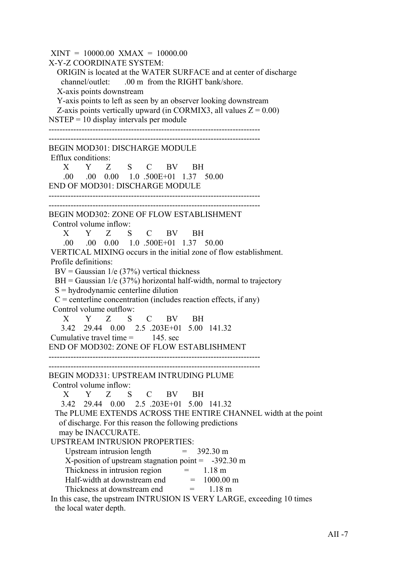$XINT = 10000.00$   $XMAX = 10000.00$ X-Y-Z COORDINATE SYSTEM: ORIGIN is located at the WATER SURFACE and at center of discharge channel/outlet: .00 m from the RIGHT bank/shore. X-axis points downstream Y-axis points to left as seen by an observer looking downstream Z-axis points vertically upward (in CORMIX3, all values  $Z = 0.00$ )  $NSTEP = 10$  display intervals per module ----------------------------------------------------------------------------- ----------------------------------------------------------------------------- BEGIN MOD301: DISCHARGE MODULE Efflux conditions: X Y Z S C BV BH .00 .00 0.00 1.0 .500E+01 1.37 50.00 END OF MOD301: DISCHARGE MODULE ----------------------------------------------------------------------------- ----------------------------------------------------------------------------- BEGIN MOD302: ZONE OF FLOW ESTABLISHMENT Control volume inflow: X Y Z S C BV BH .00 .00 0.00 1.0 .500E+01 1.37 50.00 VERTICAL MIXING occurs in the initial zone of flow establishment. Profile definitions:  $BV = Gaussian \ 1/e \ (37\%)$  vertical thickness  $BH = Gaussian$  1/e (37%) horizontal half-width, normal to trajectory  $S =$  hydrodynamic centerline dilution  $C =$  centerline concentration (includes reaction effects, if any) Control volume outflow: X Y Z S C BV BH 3.42 29.44 0.00 2.5 .203E+01 5.00 141.32 Cumulative travel time  $=$  145 sec END OF MOD302: ZONE OF FLOW ESTABLISHMENT ----------------------------------------------------------------------------- ----------------------------------------------------------------------------- BEGIN MOD331: UPSTREAM INTRUDING PLUME Control volume inflow: X Y Z S C BV BH 3.42 29.44 0.00 2.5 .203E+01 5.00 141.32 The PLUME EXTENDS ACROSS THE ENTIRE CHANNEL width at the point of discharge. For this reason the following predictions may be INACCURATE. UPSTREAM INTRUSION PROPERTIES: Upstream intrusion length  $= 392.30 \text{ m}$ X-position of upstream stagnation point  $= -392.30 \text{ m}$ Thickness in intrusion region  $=$  1.18 m Half-width at downstream end  $= 1000.00$  m Thickness at downstream end  $= 1.18 \text{ m}$  In this case, the upstream INTRUSION IS VERY LARGE, exceeding 10 times the local water depth.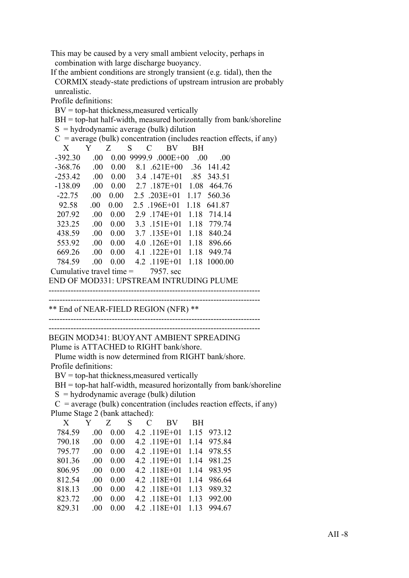This may be caused by a very small ambient velocity, perhaps in combination with large discharge buoyancy.

 If the ambient conditions are strongly transient (e.g. tidal), then the CORMIX steady-state predictions of upstream intrusion are probably unrealistic.

Profile definitions:

 $BV = top-hat$  thickness, measured vertically

 $BH = top-hat$  half-width, measured horizontally from bank/shoreline

|                            |         |          |                                  | $S =$ hydrodynamic average (bulk) dilution                             |      |            |  |
|----------------------------|---------|----------|----------------------------------|------------------------------------------------------------------------|------|------------|--|
|                            |         |          |                                  | $C$ = average (bulk) concentration (includes reaction effects, if any) |      |            |  |
| X                          | Y       | Z        | S<br>$\mathcal{C}_{\mathcal{C}}$ | BV                                                                     | BН   |            |  |
| $-392.30$                  | .00.    | 0.00     |                                  | 9999.9 .000E+00                                                        | .00. | .00        |  |
| $-368.76$                  | .00.    | 0.00     |                                  | 8.1 .621E+00                                                           |      | .36 141.42 |  |
| $-253.42$                  | .00.    |          |                                  | $0.00 \quad 3.4 \quad 147E+01 \quad 85$                                |      | 343.51     |  |
| $-138.09$                  | $.00\,$ |          |                                  | $0.00 \quad 2.7 \quad 187E + 01 \quad 1.08$                            |      | 464.76     |  |
| $-22.75$                   | .00.    | 0.00     |                                  | $2.5$ $.203E+01$ 1.17                                                  |      | 560.36     |  |
| 92.58                      | .00.    | $0.00\,$ |                                  | $2.5$ .196E+01 1.18                                                    |      | 641.87     |  |
| 207.92                     | .00.    | 0.00     |                                  | $2.9$ .174E+01                                                         | 1.18 | 714.14     |  |
| 323.25                     | .00.    | 0.00     |                                  | $3.3$ .151E+01                                                         | 1.18 | 779.74     |  |
| 438.59                     | .00.    | 0.00     |                                  | $3.7$ .135E+01                                                         | 1.18 | 840.24     |  |
| 553.92                     | $.00\,$ | 0.00     | 4.0                              | $.126E + 01$                                                           | 1.18 | 896.66     |  |
| 669.26                     | .00.    | 0.00     |                                  | $4.1$ .122E+01                                                         | 1.18 | 949.74     |  |
| 784.59                     | .00.    | 0.00     |                                  | $4.2$ .119E+01                                                         | 1.18 | 1000.00    |  |
| Cumulative travel time $=$ |         |          |                                  | 7957. sec                                                              |      |            |  |
|                            |         |          |                                  | END OF MOD331: UPSTREAM INTRUDING PLUME                                |      |            |  |

-----------------------------------------------------------------------------

-----------------------------------------------------------------------------

\*\* End of NEAR-FIELD REGION (NFR) \*\*

-----------------------------------------------------------------------------

-----------------------------------------------------------------------------

BEGIN MOD341: BUOYANT AMBIENT SPREADING

Plume is ATTACHED to RIGHT bank/shore.

 Plume width is now determined from RIGHT bank/shore. Profile definitions:

 $BV = top-hat$  thickness, measured vertically

BH = top-hat half-width, measured horizontally from bank/shoreline

 $S =$ hydrodynamic average (bulk) dilution

 $C$  = average (bulk) concentration (includes reaction effects, if any) Plume Stage 2 (bank attached):

| X      | Y        | Z S  |  | C BV           | BH. |             |
|--------|----------|------|--|----------------|-----|-------------|
| 784.59 | $\Omega$ | 0.00 |  | 4.2 .119E+01   |     | 1.15 973.12 |
| 790.18 | .00      | 0.00 |  | 4.2 .119E+01   |     | 1.14 975.84 |
| 795.77 | 00       | 0.00 |  | 4.2 .119E+01   |     | 1.14 978.55 |
| 801.36 | 00       | 0.00 |  | 4.2 .119E+01   |     | 1.14 981.25 |
| 806.95 | 00       | 0.00 |  | $4.2$ .118E+01 |     | 1.14 983.95 |
| 812.54 | 00       | 0.00 |  | $4.2$ .118E+01 |     | 1.14 986.64 |
| 818.13 | -00      | 0.00 |  | $4.2$ .118E+01 |     | 1.13 989.32 |
| 823.72 | 00       | 0.00 |  | $4.2$ .118E+01 |     | 1.13 992.00 |
| 829.31 | 00       | 0.00 |  | $4.2$ .118E+01 |     | 1.13 994.67 |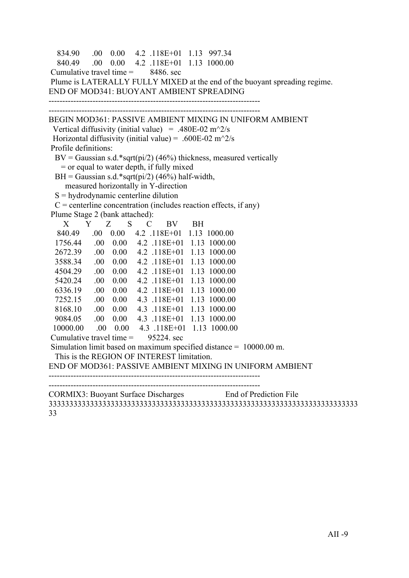```
 834.90 .00 0.00 4.2 .118E+01 1.13 997.34
   840.49 .00 0.00 4.2 .118E+01 1.13 1000.00
Cumulative travel time = 8486, sec
 Plume is LATERALLY FULLY MIXED at the end of the buoyant spreading regime.
END OF MOD341: BUOYANT AMBIENT SPREADING
-----------------------------------------------------------------------------
     -----------------------------------------------------------------------------
BEGIN MOD361: PASSIVE AMBIENT MIXING IN UNIFORM AMBIENT
 Vertical diffusivity (initial value) = .480E-02 m<sup>\sim2/s</sup>
Horizontal diffusivity (initial value) = .600E-02 m<sup>\gamma</sup>2/s
 Profile definitions:
 BV = Gaussian s.d.*sqrt(pi/2) (46%) thickness, measured vertically
    = or equal to water depth, if fully mixed
 BH = Gaussian s.d.*sqrt(pi/2) (46%) half-width,
     measured horizontally in Y-direction
 S =hydrodynamic centerline dilution
 C = centerline concentration (includes reaction effects, if any)
 Plume Stage 2 (bank attached):
 X Y Z S C BV BH
   840.49 .00 0.00 4.2 .118E+01 1.13 1000.00
  1756.44 .00 0.00 4.2 .118E+01 1.13 1000.00
  2672.39 .00 0.00 4.2 .118E+01 1.13 1000.00
  3588.34 .00 0.00 4.2 .118E+01 1.13 1000.00
  4504.29 .00 0.00 4.2 .118E+01 1.13 1000.00
  5420.24 .00 0.00 4.2 .118E+01 1.13 1000.00
  6336.19 .00 0.00 4.2 .118E+01 1.13 1000.00
  7252.15 .00 0.00 4.3 .118E+01 1.13 1000.00
  8168.10 .00 0.00 4.3 .118E+01 1.13 1000.00
  9084.05 .00 0.00 4.3 .118E+01 1.13 1000.00
  10000.00 .00 0.00 4.3 .118E+01 1.13 1000.00
Cumulative travel time = 95224. sec
 Simulation limit based on maximum specified distance = 10000.00 m.
  This is the REGION OF INTEREST limitation.
END OF MOD361: PASSIVE AMBIENT MIXING IN UNIFORM AMBIENT
-----------------------------------------------------------------------------
   -----------------------------------------------------------------------------
CORMIX3: Buoyant Surface Discharges End of Prediction File
333333333333333333333333333333333333333333333333333333333333333333333333333
```
33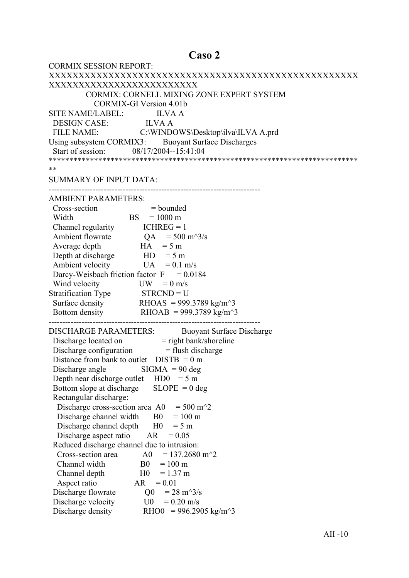# Caso 2

| <b>CORMIX SESSION REPORT:</b>                                                            |
|------------------------------------------------------------------------------------------|
|                                                                                          |
| XXXXXXXXXXXXXXXXXXXXXXXXX                                                                |
| CORMIX: CORNELL MIXING ZONE EXPERT SYSTEM                                                |
| <b>CORMIX-GI Version 4.01b</b>                                                           |
| SITE NAME/LABEL: ILVA A                                                                  |
|                                                                                          |
| DESIGN CASE: ILVA A<br>FILE NAME: C:\WINDOWS\Desktop\ilva\ILVA A.prd                     |
| Using subsystem CORMIX3: Buoyant Surface Discharges                                      |
| Start of session: 08/17/2004--15:41:04                                                   |
|                                                                                          |
| **                                                                                       |
| <b>SUMMARY OF INPUT DATA:</b>                                                            |
|                                                                                          |
| <b>AMBIENT PARAMETERS:</b>                                                               |
| Cross-section<br>$=$ bounded                                                             |
| ion $=$ bounde<br>BS $=$ 1000 m<br>Width                                                 |
| Channel regularity $ICHREG = 1$                                                          |
| Ambient flowrate $QA = 500 \text{ m}^3/\text{s}$                                         |
| $HA = 5 m$<br>Average depth                                                              |
| Depth at discharge $HD = 5 m$                                                            |
| Ambient velocity<br>$UA = 0.1$ m/s                                                       |
| Darcy-Weisbach friction factor $F = 0.0184$                                              |
| Wind velocity<br>$UW = 0$ m/s                                                            |
| Stratification Type STRCND = U                                                           |
| Surface density RHOAS = 999.3789 kg/m <sup><math>\sim</math></sup> 3                     |
| Bottom density RHOAB = 999.3789 kg/m <sup><math>\sim</math></sup> 3                      |
|                                                                                          |
| <b>DISCHARGE PARAMETERS:</b><br><b>Buoyant Surface Discharge</b>                         |
|                                                                                          |
| Discharge located on = right bank/shoreline<br>Discharge configuration = flush discharge |
| Distance from bank to outlet $DISTB = 0 m$                                               |
| Discharge angle $\qquad$ SIGMA = 90 deg                                                  |
| Depth near discharge outlet $HD0 = 5 m$                                                  |
| $SLOPE = 0$ deg<br>Bottom slope at discharge                                             |
| Rectangular discharge:                                                                   |
| Discharge cross-section area A0<br>$= 500 \text{ m}^2$                                   |
| Discharge channel width<br>$= 100 \text{ m}$<br>B <sub>0</sub>                           |
| Discharge channel depth<br>H <sub>0</sub><br>$= 5 m$                                     |
| Discharge aspect ratio<br>AR<br>$= 0.05$                                                 |
| Reduced discharge channel due to intrusion:                                              |
| $= 137.2680$ m <sup><math>\textdegree</math></sup> 2<br>Cross-section area<br>A0         |
| Channel width<br>B <sub>0</sub><br>$= 100 \text{ m}$                                     |
| H <sub>0</sub><br>$= 1.37$ m<br>Channel depth                                            |
| Aspect ratio<br>AR<br>$= 0.01$                                                           |
| Discharge flowrate<br>$= 28 \text{ m}^3/\text{s}$<br>Q <sub>0</sub>                      |
| Discharge velocity<br>$= 0.20$ m/s<br>U0                                                 |
| Discharge density<br>RHO0 = 996.2905 kg/m <sup><math>\text{A}</math>3</sup>              |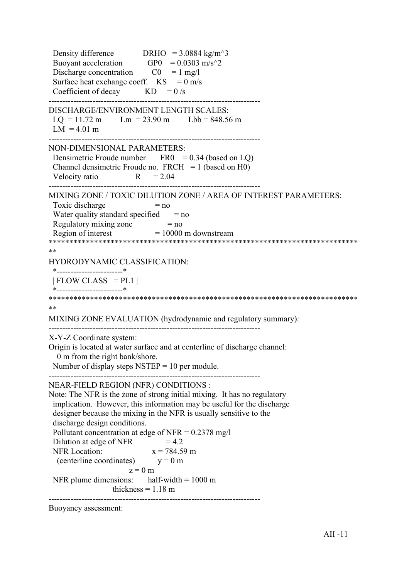Density difference DRHO =  $3.0884 \text{ kg/m}^3$ Buoyant acceleration  $GPO = 0.0303 \text{ m/s}^2$ Discharge concentration  $CO = 1$  mg/l Surface heat exchange coeff.  $KS = 0$  m/s Coefficient of decay  $KD = 0/s$ ----------------------------------------------------------------------------- DISCHARGE/ENVIRONMENT LENGTH SCALES:  $LQ = 11.72 \text{ m}$   $Lm = 23.90 \text{ m}$   $Lbb = 848.56 \text{ m}$  $LM = 4.01 m$ ----------------------------------------------------------------------------- NON-DIMENSIONAL PARAMETERS: Densimetric Froude number  $FRO = 0.34$  (based on LQ) Channel densimetric Froude no.  $FRCH = 1$  (based on H0) Velocity ratio  $R = 2.04$ ----------------------------------------------------------------------------- MIXING ZONE / TOXIC DILUTION ZONE / AREA OF INTEREST PARAMETERS: Toxic discharge  $= no$ Water quality standard specified  $=$  no Regulatory mixing zone  $= no$ Region of interest  $= 10000$  m downstream \*\*\*\*\*\*\*\*\*\*\*\*\*\*\*\*\*\*\*\*\*\*\*\*\*\*\*\*\*\*\*\*\*\*\*\*\*\*\*\*\*\*\*\*\*\*\*\*\*\*\*\*\*\*\*\*\*\*\*\*\*\*\*\*\*\*\*\*\*\*\*\*\*\*\* \*\* HYDRODYNAMIC CLASSIFICATION: \*------------------------\*  $| FLOW CLASS = PL1 |$  \*------------------------\* \*\*\*\*\*\*\*\*\*\*\*\*\*\*\*\*\*\*\*\*\*\*\*\*\*\*\*\*\*\*\*\*\*\*\*\*\*\*\*\*\*\*\*\*\*\*\*\*\*\*\*\*\*\*\*\*\*\*\*\*\*\*\*\*\*\*\*\*\*\*\*\*\*\*\* \*\* MIXING ZONE EVALUATION (hydrodynamic and regulatory summary): ----------------------------------------------------------------------------- X-Y-Z Coordinate system: Origin is located at water surface and at centerline of discharge channel: 0 m from the right bank/shore. Number of display steps  $NSTEP = 10$  per module. ----------------------------------------------------------------------------- NEAR-FIELD REGION (NFR) CONDITIONS : Note: The NFR is the zone of strong initial mixing. It has no regulatory implication. However, this information may be useful for the discharge designer because the mixing in the NFR is usually sensitive to the discharge design conditions. Pollutant concentration at edge of NFR =  $0.2378$  mg/l Dilution at edge of NFR  $= 4.2$ NFR Location:  $x = 784.59$  m (centerline coordinates)  $y = 0$  m  $z = 0$  m NFR plume dimensions: half-width  $= 1000 \text{ m}$ thickness  $= 1.18$  m -----------------------------------------------------------------------------

Buoyancy assessment: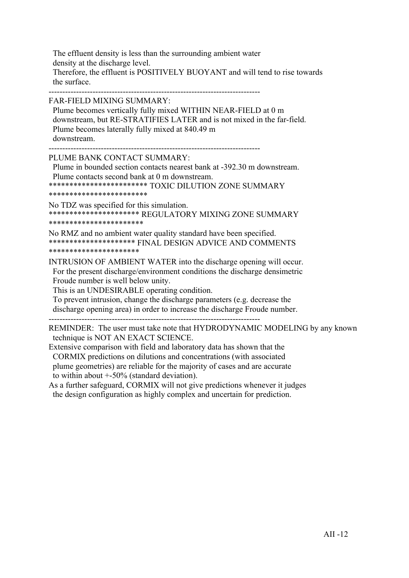The effluent density is less than the surrounding ambient water density at the discharge level. Therefore, the effluent is POSITIVELY BUOYANT and will tend to rise towards the surface.

-----------------------------------------------------------------------------

FAR-FIELD MIXING SUMMARY:

 Plume becomes vertically fully mixed WITHIN NEAR-FIELD at 0 m downstream, but RE-STRATIFIES LATER and is not mixed in the far-field. Plume becomes laterally fully mixed at 840.49 m downstream.

-----------------------------------------------------------------------------

PLUME BANK CONTACT SUMMARY:

 Plume in bounded section contacts nearest bank at -392.30 m downstream. Plume contacts second bank at 0 m downstream.

\*\*\*\*\*\*\*\*\*\*\*\*\*\*\*\*\*\*\*\*\*\*\*\* TOXIC DILUTION ZONE SUMMARY

\*\*\*\*\*\*\*\*\*\*\*\*\*\*\*\*\*\*\*\*\*\*\*\*

No TDZ was specified for this simulation. \*\*\*\*\*\*\*\*\*\*\*\*\*\*\*\*\*\*\*\*\*\* REGULATORY MIXING ZONE SUMMARY \*\*\*\*\*\*\*\*\*\*\*\*\*\*\*\*\*\*\*\*\*\*\*

No RMZ and no ambient water quality standard have been specified. \*\*\*\*\*\*\*\*\*\*\*\*\*\*\*\*\*\*\*\*\* FINAL DESIGN ADVICE AND COMMENTS \*\*\*\*\*\*\*\*\*\*\*\*\*\*\*\*\*\*\*\*\*\*

INTRUSION OF AMBIENT WATER into the discharge opening will occur. For the present discharge/environment conditions the discharge densimetric Froude number is well below unity.

This is an UNDESIRABLE operating condition.

 To prevent intrusion, change the discharge parameters (e.g. decrease the discharge opening area) in order to increase the discharge Froude number.

-----------------------------------------------------------------------------

REMINDER: The user must take note that HYDRODYNAMIC MODELING by any known technique is NOT AN EXACT SCIENCE.

Extensive comparison with field and laboratory data has shown that the CORMIX predictions on dilutions and concentrations (with associated plume geometries) are reliable for the majority of cases and are accurate to within about +-50% (standard deviation).

As a further safeguard, CORMIX will not give predictions whenever it judges the design configuration as highly complex and uncertain for prediction.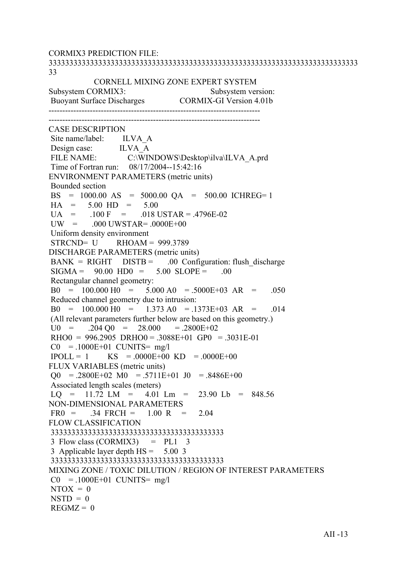CORMIX3 PREDICTION FILE: 333333333333333333333333333333333333333333333333333333333333333333333333333 33 CORNELL MIXING ZONE EXPERT SYSTEM Subsystem CORMIX3: Subsystem version: Buoyant Surface Discharges CORMIX-GI Version 4.01b ----------------------------------------------------------------------------- ----------------------------------------------------------------------------- CASE DESCRIPTION Site name/label: ILVA A Design case: ILVA\_A<br>FILE NAME: C:\WIN C:\WINDOWS\Desktop\ilva\ILVA\_A.prd Time of Fortran run: 08/17/2004--15:42:16 ENVIRONMENT PARAMETERS (metric units) Bounded section BS = 1000.00 AS = 5000.00 QA = 500.00 ICHREG= 1  $HA = 5.00 HD = 5.00$  $UA = 100 F = 018 \text{ USTAR} = .4796E-02$  $UW = 000$   $UWSTAR = 0000E+00$  Uniform density environment  $STRCND = U$  RHOAM = 999.3789 DISCHARGE PARAMETERS (metric units)  $BANK = RIGHT$   $DISTB = 00$  Configuration: flush discharge  $SIGMA = 90.00 HDO = 5.00 SLOPE = .00$  Rectangular channel geometry:  $B0 = 100.000 H0 = 5.000 A0 = 5000E+03 AR = .050$  Reduced channel geometry due to intrusion:  $B0 = 100.000 H0 = 1.373 A0 = .1373E+03 AR = .014$  (All relevant parameters further below are based on this geometry.)  $U0 = 0.204 \text{ O}0 = 28.000 = 0.2800E + 0.2$  $RHOO = 996.2905 \ \text{DRHO}0 = .3088E+01 \ \text{GPO} = .3031E-01$  $CO = 1000E+01$  CUNITS= mg/l  $IPOLL = 1$  KS = .0000E+00 KD = .0000E+00 FLUX VARIABLES (metric units)  $\Omega$  = .2800E+02 M0 = .5711E+01 J0 = .8486E+00 Associated length scales (meters)  $LO = 11.72$   $LM = 4.01$   $Lm = 23.90$   $Lb = 848.56$ NON-DIMENSIONAL PARAMETERS  $FR0 = 0.34$   $FRCH = 1.00$  R = 2.04 FLOW CLASSIFICATION 333333333333333333333333333333333333333333  $3$  Flow class (CORMIX3) = PL1  $3$  3 Applicable layer depth HS = 5.00 3 333333333333333333333333333333333333333333 MIXING ZONE / TOXIC DILUTION / REGION OF INTEREST PARAMETERS  $CO = 1000E+01$  CUNITS= mg/l  $NTOX = 0$  $NSTD = 0$  $REGMZ = 0$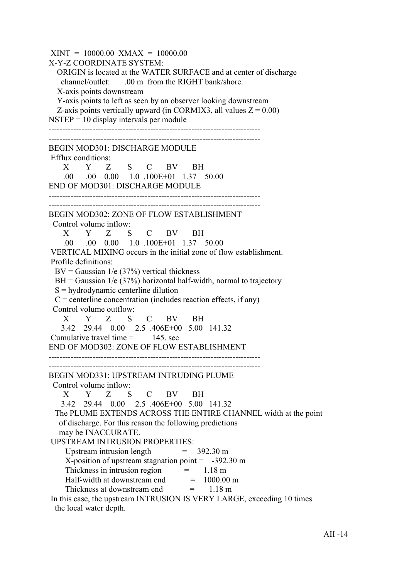$XINT = 10000.00$   $XMAX = 10000.00$ X-Y-Z COORDINATE SYSTEM: ORIGIN is located at the WATER SURFACE and at center of discharge channel/outlet: .00 m from the RIGHT bank/shore. X-axis points downstream Y-axis points to left as seen by an observer looking downstream Z-axis points vertically upward (in CORMIX3, all values  $Z = 0.00$ )  $NSTEP = 10$  display intervals per module ----------------------------------------------------------------------------- ----------------------------------------------------------------------------- BEGIN MOD301: DISCHARGE MODULE Efflux conditions: X Y Z S C BV BH .00 .00 0.00 1.0 .100E+01 1.37 50.00 END OF MOD301: DISCHARGE MODULE ----------------------------------------------------------------------------- ----------------------------------------------------------------------------- BEGIN MOD302: ZONE OF FLOW ESTABLISHMENT Control volume inflow: X Y Z S C BV BH .00 .00 0.00 1.0 .100E+01 1.37 50.00 VERTICAL MIXING occurs in the initial zone of flow establishment. Profile definitions:  $BV = Gaussian \ 1/e \ (37\%)$  vertical thickness  $BH = Gaussian$  1/e (37%) horizontal half-width, normal to trajectory S = hydrodynamic centerline dilution  $C =$  centerline concentration (includes reaction effects, if any) Control volume outflow: X Y Z S C BV BH 3.42 29.44 0.00 2.5 .406E+00 5.00 141.32 Cumulative travel time  $=$  145 sec END OF MOD302: ZONE OF FLOW ESTABLISHMENT ----------------------------------------------------------------------------- ----------------------------------------------------------------------------- BEGIN MOD331: UPSTREAM INTRUDING PLUME Control volume inflow: X Y Z S C BV BH 3.42 29.44 0.00 2.5 .406E+00 5.00 141.32 The PLUME EXTENDS ACROSS THE ENTIRE CHANNEL width at the point of discharge. For this reason the following predictions may be INACCURATE. UPSTREAM INTRUSION PROPERTIES: Upstream intrusion length  $= 392.30 \text{ m}$ X-position of upstream stagnation point  $= -392.30 \text{ m}$ Thickness in intrusion region  $=$  1.18 m Half-width at downstream end  $= 1000.00$  m Thickness at downstream end  $= 1.18 \text{ m}$  In this case, the upstream INTRUSION IS VERY LARGE, exceeding 10 times the local water depth.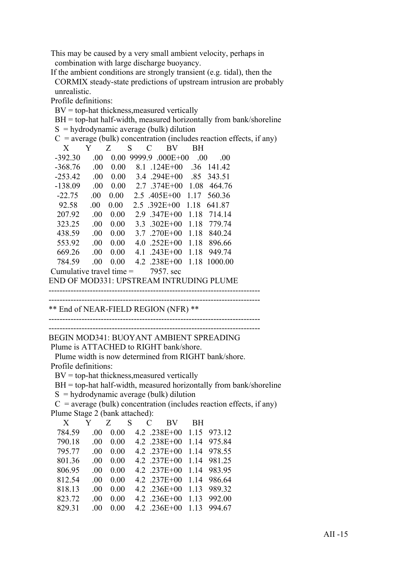This may be caused by a very small ambient velocity, perhaps in combination with large discharge buoyancy.

 If the ambient conditions are strongly transient (e.g. tidal), then the CORMIX steady-state predictions of upstream intrusion are probably unrealistic.

Profile definitions:

 $BV = top-hat$  thickness, measured vertically

 $BH = top-hat$  half-width, measured horizontally from bank/shoreline

 $S = \frac{1}{2}$  hydrodynamic average (bulk) dilution

|                                                                        |         | hydrodynamic average (buik) dirution |                        |           |                           |                                             |                                |  |
|------------------------------------------------------------------------|---------|--------------------------------------|------------------------|-----------|---------------------------|---------------------------------------------|--------------------------------|--|
| $C =$ average (bulk) concentration (includes reaction effects, if any) |         |                                      |                        |           |                           |                                             |                                |  |
| X                                                                      | Y       | Z                                    | S                      | C         | BV                        | <b>BH</b>                                   |                                |  |
| $-392.30$                                                              | .00.    |                                      | $0.00$ 9999.9 .000E+00 |           |                           | .00                                         | .00                            |  |
| $-368.76$                                                              | .00.    | 0.00                                 |                        |           |                           |                                             | 8.1 .124E+00 .36 141.42        |  |
| $-253.42$                                                              | $.00\,$ |                                      |                        |           |                           |                                             | $0.00$ 3.4 .294E+00 .85 343.51 |  |
| $-138.09$                                                              | .00.    |                                      |                        |           |                           | $0.00 \quad 2.7 \quad 374E + 00 \quad 1.08$ | 464.76                         |  |
| $-22.75$                                                               | $.00\,$ | 0.00                                 |                        |           |                           |                                             | 2.5 .405E+00 1.17 560.36       |  |
| 92.58                                                                  | .00.    | $0.00\,$                             |                        |           | $2.5$ .392E+00 1.18       |                                             | 641.87                         |  |
| 207.92                                                                 | .00.    | 0.00                                 |                        |           | $2.9$ .347E+00 1.18       |                                             | 714.14                         |  |
| 323.25                                                                 | .00.    | 0.00                                 |                        |           | 3.3 .302E+00 1.18         |                                             | 779.74                         |  |
| 438.59                                                                 | .00.    | 0.00                                 |                        |           | $3.7 \t .270E+00 \t 1.18$ |                                             | 840.24                         |  |
| 553.92                                                                 | .00.    | 0.00                                 |                        |           | 4.0 .252E+00 1.18         |                                             | 896.66                         |  |
| 669.26                                                                 | .00.    | 0.00                                 |                        |           |                           | 4.1 $.243E+00$ 1.18                         | 949.74                         |  |
| 784.59                                                                 | .00.    | 0.00                                 |                        |           |                           |                                             | 4.2 .238E+00 1.18 1000.00      |  |
| Cumulative travel time $=$                                             |         |                                      |                        | 7957, sec |                           |                                             |                                |  |
|                                                                        |         |                                      |                        |           |                           |                                             |                                |  |

END OF MOD331: UPSTREAM INTRUDING PLUME

-----------------------------------------------------------------------------

\*\* End of NEAR-FIELD REGION (NFR) \*\*

-----------------------------------------------------------------------------

-----------------------------------------------------------------------------

BEGIN MOD341: BUOYANT AMBIENT SPREADING Plume is ATTACHED to RIGHT bank/shore.

 Plume width is now determined from RIGHT bank/shore. Profile definitions:

 $BV = top-hat$  thickness, measured vertically

 $BH = top-hat$  half-width, measured horizontally from bank/shoreline

 $S =$ hydrodynamic average (bulk) dilution

 $C$  = average (bulk) concentration (includes reaction effects, if any) Plume Stage 2 (bank attached):

| X      | Y        | Z S  |  | $C$ BV            | <b>BH</b> |             |
|--------|----------|------|--|-------------------|-----------|-------------|
| 784.59 | $\Omega$ | 0.00 |  | $4.2$ .238E+00    |           | 1.15 973.12 |
| 790.18 | 00       | 0.00 |  | $4.2$ .238E+00    |           | 1.14 975.84 |
| 795.77 | -00      | 0.00 |  | $4.2 \t .237E+00$ |           | 1.14 978.55 |
| 801.36 | 00       | 0.00 |  | $4.2$ .237E+00    |           | 1.14 981.25 |
| 806.95 | 00       | 0.00 |  | $4.2 \t .237E+00$ |           | 1.14 983.95 |
| 812.54 | 00       | 0.00 |  | $4.2 \t .237E+00$ |           | 1.14 986.64 |
| 818.13 | -00      | 0.00 |  | 4.2 .236E+00      | 1.13      | 989.32      |
| 823.72 | 00       | 0.00 |  | 4.2 .236E+00      |           | 1.13 992.00 |
| 829.31 | 00       | 0.00 |  | 4.2 .236E+00      |           | 1 13 994 67 |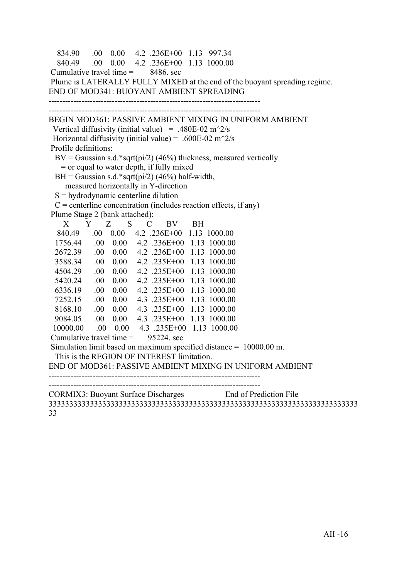```
 834.90 .00 0.00 4.2 .236E+00 1.13 997.34
   840.49 .00 0.00 4.2 .236E+00 1.13 1000.00
Cumulative travel time = 8486, sec
 Plume is LATERALLY FULLY MIXED at the end of the buoyant spreading regime.
END OF MOD341: BUOYANT AMBIENT SPREADING
-----------------------------------------------------------------------------
     -----------------------------------------------------------------------------
BEGIN MOD361: PASSIVE AMBIENT MIXING IN UNIFORM AMBIENT
 Vertical diffusivity (initial value) = .480E-02 m<sup>\gamma</sup>2/s
Horizontal diffusivity (initial value) = .600E-02 m<sup>\sim2/s</sup>
 Profile definitions:
 BV = Gaussian s.d.*sqrt(pi/2) (46%) thickness, measured vertically
    = or equal to water depth, if fully mixed
 BH = Gaussian s.d.*sqrt(pi/2) (46%) half-width,
     measured horizontally in Y-direction
 S = hydrodynamic centerline dilution
 C = centerline concentration (includes reaction effects, if any)
 Plume Stage 2 (bank attached):
 X Y Z S C BV BH
   840.49 .00 0.00 4.2 .236E+00 1.13 1000.00
  1756.44 .00 0.00 4.2 .236E+00 1.13 1000.00
  2672.39 .00 0.00 4.2 .236E+00 1.13 1000.00
  3588.34 .00 0.00 4.2 .235E+00 1.13 1000.00
  4504.29 .00 0.00 4.2 .235E+00 1.13 1000.00
  5420.24 .00 0.00 4.2 .235E+00 1.13 1000.00
  6336.19 .00 0.00 4.2 .235E+00 1.13 1000.00
  7252.15 .00 0.00 4.3 .235E+00 1.13 1000.00
  8168.10 .00 0.00 4.3 .235E+00 1.13 1000.00
  9084.05 .00 0.00 4.3 .235E+00 1.13 1000.00
  10000.00 .00 0.00 4.3 .235E+00 1.13 1000.00
Cumulative travel time = 95224 sec
 Simulation limit based on maximum specified distance = 10000.00 m.
  This is the REGION OF INTEREST limitation.
END OF MOD361: PASSIVE AMBIENT MIXING IN UNIFORM AMBIENT
-----------------------------------------------------------------------------
   -----------------------------------------------------------------------------
CORMIX3: Buoyant Surface Discharges End of Prediction File
333333333333333333333333333333333333333333333333333333333333333333333333333
```
33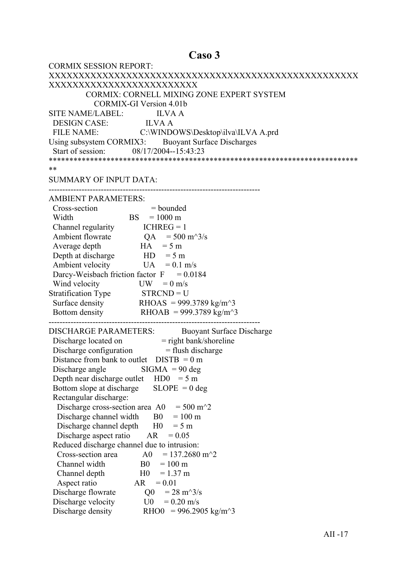# Caso 3

| <b>CORMIX SESSION REPORT:</b>                                                            |
|------------------------------------------------------------------------------------------|
|                                                                                          |
| XXXXXXXXXXXXXXXXXXXXXXXXX                                                                |
| CORMIX: CORNELL MIXING ZONE EXPERT SYSTEM                                                |
| <b>CORMIX-GI Version 4.01b</b>                                                           |
| SITE NAME/LABEL: ILVA A                                                                  |
| DESIGN CASE: ILVA A                                                                      |
| FILE NAME: C:\WINDOWS\Desktop\ilva\ILVA A.prd                                            |
| Using subsystem CORMIX3: Buoyant Surface Discharges                                      |
| Start of session: 08/17/2004--15:43:23                                                   |
|                                                                                          |
| **                                                                                       |
| <b>SUMMARY OF INPUT DATA:</b>                                                            |
|                                                                                          |
| <b>AMBIENT PARAMETERS:</b>                                                               |
| Cross-section<br>$=$ bounded                                                             |
| $BS = 1000 \text{ m}$<br>Width                                                           |
| Channel regularity $ICHREG = 1$                                                          |
| Ambient flowrate $QA = 500 \text{ m}^3/\text{s}$                                         |
| $HA = 5 m$<br>Average depth                                                              |
| Depth at discharge $HD = 5 m$                                                            |
| Ambient velocity<br>$UA = 0.1$ m/s                                                       |
| Darcy-Weisbach friction factor $F = 0.0184$                                              |
| Wind velocity<br>$UW = 0$ m/s                                                            |
| Stratification Type STRCND = U                                                           |
| Surface density RHOAS = 999.3789 kg/m <sup><math>\sim</math></sup> 3                     |
| Bottom density RHOAB = 999.3789 kg/m <sup><math>\sim</math>3</sup>                       |
|                                                                                          |
| <b>DISCHARGE PARAMETERS:</b><br><b>Buoyant Surface Discharge</b>                         |
|                                                                                          |
| Discharge located on = right bank/shoreline<br>Discharge configuration = flush discharge |
| Distance from bank to outlet $DISTB = 0 m$                                               |
| Discharge angle $\qquad$ SIGMA = 90 deg                                                  |
| Depth near discharge outlet $HD0 = 5 m$                                                  |
| $SLOPE = 0$ deg<br>Bottom slope at discharge                                             |
| Rectangular discharge:                                                                   |
| $= 500 \text{ m}^2$<br>Discharge cross-section area A0                                   |
| Discharge channel width<br>B <sub>0</sub><br>$= 100 \text{ m}$                           |
| Discharge channel depth<br>H <sub>0</sub><br>$= 5 m$                                     |
| Discharge aspect ratio<br>AR<br>$= 0.05$                                                 |
| Reduced discharge channel due to intrusion:                                              |
| $= 137.2680$ m <sup><math>\textdegree</math></sup> 2<br>Cross-section area<br>A0         |
| Channel width<br>B <sub>0</sub><br>$= 100 \text{ m}$                                     |
| H <sub>0</sub><br>$= 1.37$ m<br>Channel depth                                            |
| Aspect ratio<br>AR<br>$= 0.01$                                                           |
| Discharge flowrate<br>Q <sub>0</sub><br>$= 28 \text{ m}^3/\text{s}$                      |
| Discharge velocity<br>U0<br>$= 0.20$ m/s                                                 |
| Discharge density<br>RHO0 = 996.2905 kg/m <sup><math>\text{A}</math>3</sup>              |
|                                                                                          |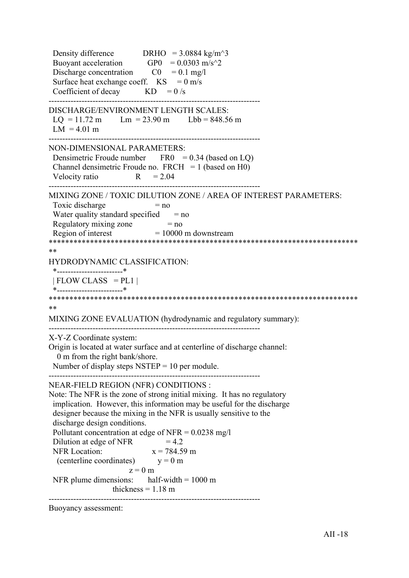Density difference DRHO =  $3.0884 \text{ kg/m}^3$ Buoyant acceleration GP0 =  $0.0303$  m/s<sup> $\textdegree$ </sup>2 Discharge concentration  $CO = 0.1$  mg/l Surface heat exchange coeff.  $KS = 0$  m/s Coefficient of decay  $KD = 0/s$ ----------------------------------------------------------------------------- DISCHARGE/ENVIRONMENT LENGTH SCALES:  $LQ = 11.72 \text{ m}$   $Lm = 23.90 \text{ m}$   $Lbb = 848.56 \text{ m}$  $LM = 4.01 m$ ----------------------------------------------------------------------------- NON-DIMENSIONAL PARAMETERS: Densimetric Froude number  $FRO = 0.34$  (based on LQ) Channel densimetric Froude no.  $FRCH = 1$  (based on H0) Velocity ratio  $R = 2.04$ ----------------------------------------------------------------------------- MIXING ZONE / TOXIC DILUTION ZONE / AREA OF INTEREST PARAMETERS: Toxic discharge  $= no$ Water quality standard specified  $=$  no Regulatory mixing zone  $= no$ Region of interest  $= 10000$  m downstream \*\*\*\*\*\*\*\*\*\*\*\*\*\*\*\*\*\*\*\*\*\*\*\*\*\*\*\*\*\*\*\*\*\*\*\*\*\*\*\*\*\*\*\*\*\*\*\*\*\*\*\*\*\*\*\*\*\*\*\*\*\*\*\*\*\*\*\*\*\*\*\*\*\*\* \*\* HYDRODYNAMIC CLASSIFICATION: \*------------------------\*  $| FLOW CLASS = PL1 |$  \*------------------------\* \*\*\*\*\*\*\*\*\*\*\*\*\*\*\*\*\*\*\*\*\*\*\*\*\*\*\*\*\*\*\*\*\*\*\*\*\*\*\*\*\*\*\*\*\*\*\*\*\*\*\*\*\*\*\*\*\*\*\*\*\*\*\*\*\*\*\*\*\*\*\*\*\*\*\* \*\* MIXING ZONE EVALUATION (hydrodynamic and regulatory summary): ----------------------------------------------------------------------------- X-Y-Z Coordinate system: Origin is located at water surface and at centerline of discharge channel: 0 m from the right bank/shore. Number of display steps  $NSTEP = 10$  per module. ----------------------------------------------------------------------------- NEAR-FIELD REGION (NFR) CONDITIONS : Note: The NFR is the zone of strong initial mixing. It has no regulatory implication. However, this information may be useful for the discharge designer because the mixing in the NFR is usually sensitive to the discharge design conditions. Pollutant concentration at edge of NFR =  $0.0238$  mg/l Dilution at edge of NFR  $= 4.2$ NFR Location:  $x = 784.59$  m (centerline coordinates)  $y = 0$  m  $z = 0$  m NFR plume dimensions: half-width  $= 1000 \text{ m}$ thickness  $= 1.18$  m -----------------------------------------------------------------------------

Buoyancy assessment: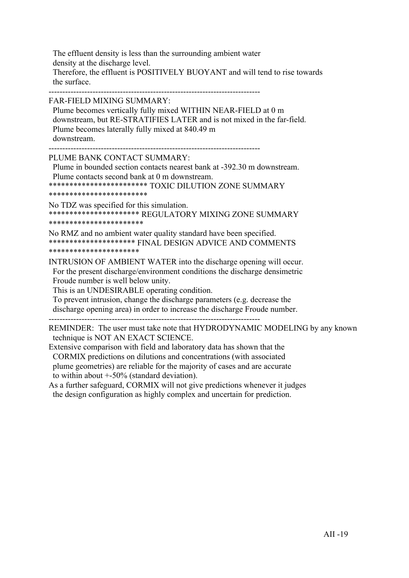The effluent density is less than the surrounding ambient water density at the discharge level. Therefore, the effluent is POSITIVELY BUOYANT and will tend to rise towards the surface.

-----------------------------------------------------------------------------

FAR-FIELD MIXING SUMMARY:

 Plume becomes vertically fully mixed WITHIN NEAR-FIELD at 0 m downstream, but RE-STRATIFIES LATER and is not mixed in the far-field. Plume becomes laterally fully mixed at 840.49 m downstream.

-----------------------------------------------------------------------------

PLUME BANK CONTACT SUMMARY:

 Plume in bounded section contacts nearest bank at -392.30 m downstream. Plume contacts second bank at 0 m downstream.

\*\*\*\*\*\*\*\*\*\*\*\*\*\*\*\*\*\*\*\*\*\*\*\* TOXIC DILUTION ZONE SUMMARY

\*\*\*\*\*\*\*\*\*\*\*\*\*\*\*\*\*\*\*\*\*\*\*\*

No TDZ was specified for this simulation. \*\*\*\*\*\*\*\*\*\*\*\*\*\*\*\*\*\*\*\*\*\* REGULATORY MIXING ZONE SUMMARY \*\*\*\*\*\*\*\*\*\*\*\*\*\*\*\*\*\*\*\*\*\*\*

No RMZ and no ambient water quality standard have been specified. \*\*\*\*\*\*\*\*\*\*\*\*\*\*\*\*\*\*\*\*\* FINAL DESIGN ADVICE AND COMMENTS \*\*\*\*\*\*\*\*\*\*\*\*\*\*\*\*\*\*\*\*\*\*

INTRUSION OF AMBIENT WATER into the discharge opening will occur. For the present discharge/environment conditions the discharge densimetric Froude number is well below unity.

This is an UNDESIRABLE operating condition.

 To prevent intrusion, change the discharge parameters (e.g. decrease the discharge opening area) in order to increase the discharge Froude number.

-----------------------------------------------------------------------------

REMINDER: The user must take note that HYDRODYNAMIC MODELING by any known technique is NOT AN EXACT SCIENCE.

Extensive comparison with field and laboratory data has shown that the CORMIX predictions on dilutions and concentrations (with associated plume geometries) are reliable for the majority of cases and are accurate to within about +-50% (standard deviation).

As a further safeguard, CORMIX will not give predictions whenever it judges the design configuration as highly complex and uncertain for prediction.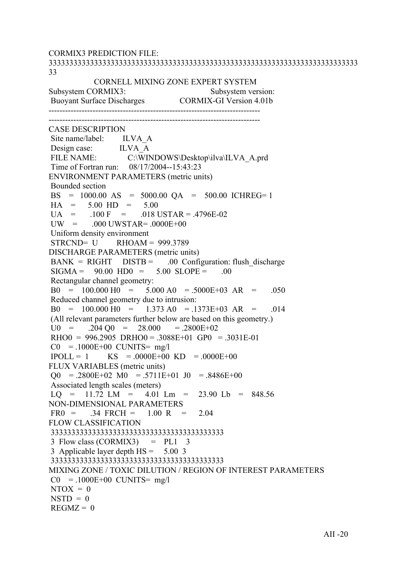CORMIX3 PREDICTION FILE: 333333333333333333333333333333333333333333333333333333333333333333333333333 33 CORNELL MIXING ZONE EXPERT SYSTEM Subsystem CORMIX3: Subsystem version: Buoyant Surface Discharges CORMIX-GI Version 4.01b ----------------------------------------------------------------------------- ----------------------------------------------------------------------------- CASE DESCRIPTION Site name/label: ILVA A Design case: ILVA\_A<br>FILE NAME: C:\WIN C:\WINDOWS\Desktop\ilva\ILVA\_A.prd Time of Fortran run: 08/17/2004--15:43:23 ENVIRONMENT PARAMETERS (metric units) Bounded section BS = 1000.00 AS = 5000.00 QA = 500.00 ICHREG= 1  $HA = 5.00 HD = 5.00$  $UA = 100 F = 018 \text{ USTAR} = .4796E-02$  $UW = 000$   $UWSTAR = 0000E+00$  Uniform density environment  $STRCND = U$  RHOAM = 999.3789 DISCHARGE PARAMETERS (metric units)  $BANK = RIGHT$   $DISTB = 00$  Configuration: flush discharge  $SIGMA = 90.00 HDO = 5.00 SLOPE = .00$  Rectangular channel geometry:  $B0 = 100.000 H0 = 5.000 A0 = 5000E+03 AR = .050$  Reduced channel geometry due to intrusion:  $B0 = 100.000 H0 = 1.373 A0 = .1373E+03 AR = .014$  (All relevant parameters further below are based on this geometry.)  $U0 = 0.204 \text{ O}0 = 28.000 = 0.2800E + 0.2$  $RHOO = 996.2905 \ \text{DRHO}0 = .3088E+01 \ \text{GPO} = .3031E-01$  $CO = 1000E+00$  CUNITS= mg/l  $IPOLL = 1$  KS = .0000E+00 KD = .0000E+00 FLUX VARIABLES (metric units)  $\Omega$  = .2800E+02 M0 = .5711E+01 J0 = .8486E+00 Associated length scales (meters)  $LO = 11.72$   $LM = 4.01$   $Lm = 23.90$   $Lb = 848.56$ NON-DIMENSIONAL PARAMETERS  $FR0 = 0.34$   $FRCH = 1.00$  R = 2.04 FLOW CLASSIFICATION 333333333333333333333333333333333333333333  $3$  Flow class (CORMIX3) = PL1  $3$  3 Applicable layer depth HS = 5.00 3 333333333333333333333333333333333333333333 MIXING ZONE / TOXIC DILUTION / REGION OF INTEREST PARAMETERS  $CO = 1000E + 00$  CUNITS= mg/l  $NTOX = 0$  $NSTD = 0$  $REGMZ = 0$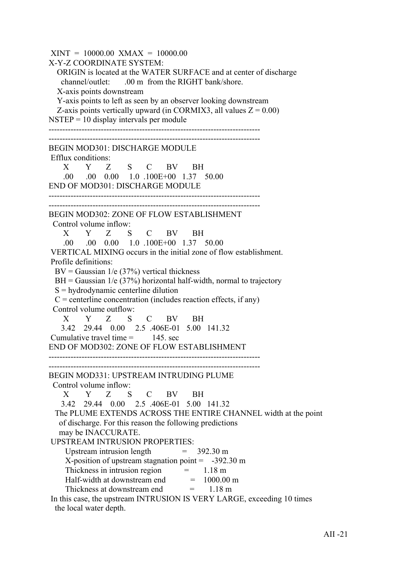$XINT = 10000.00$   $XMAX = 10000.00$ X-Y-Z COORDINATE SYSTEM: ORIGIN is located at the WATER SURFACE and at center of discharge channel/outlet: .00 m from the RIGHT bank/shore. X-axis points downstream Y-axis points to left as seen by an observer looking downstream Z-axis points vertically upward (in CORMIX3, all values  $Z = 0.00$ )  $NSTEP = 10$  display intervals per module ----------------------------------------------------------------------------- ----------------------------------------------------------------------------- BEGIN MOD301: DISCHARGE MODULE Efflux conditions: X Y Z S C BV BH .00 .00 0.00 1.0 .100E+00 1.37 50.00 END OF MOD301: DISCHARGE MODULE ----------------------------------------------------------------------------- ----------------------------------------------------------------------------- BEGIN MOD302: ZONE OF FLOW ESTABLISHMENT Control volume inflow: X Y Z S C BV BH .00 .00 0.00 1.0 .100E+00 1.37 50.00 VERTICAL MIXING occurs in the initial zone of flow establishment. Profile definitions:  $BV = Gaussian \ 1/e \ (37\%)$  vertical thickness  $BH = Gaussian$  1/e (37%) horizontal half-width, normal to trajectory S = hydrodynamic centerline dilution  $C =$  centerline concentration (includes reaction effects, if any) Control volume outflow: X Y Z S C BV BH 3.42 29.44 0.00 2.5 .406E-01 5.00 141.32 Cumulative travel time  $=$  145 sec END OF MOD302: ZONE OF FLOW ESTABLISHMENT ----------------------------------------------------------------------------- ----------------------------------------------------------------------------- BEGIN MOD331: UPSTREAM INTRUDING PLUME Control volume inflow: X Y Z S C BV BH 3.42 29.44 0.00 2.5 .406E-01 5.00 141.32 The PLUME EXTENDS ACROSS THE ENTIRE CHANNEL width at the point of discharge. For this reason the following predictions may be INACCURATE. UPSTREAM INTRUSION PROPERTIES: Upstream intrusion length  $= 392.30 \text{ m}$ X-position of upstream stagnation point  $= -392.30 \text{ m}$ Thickness in intrusion region  $=$  1.18 m Half-width at downstream end  $= 1000.00$  m Thickness at downstream end  $= 1.18 \text{ m}$  In this case, the upstream INTRUSION IS VERY LARGE, exceeding 10 times the local water depth.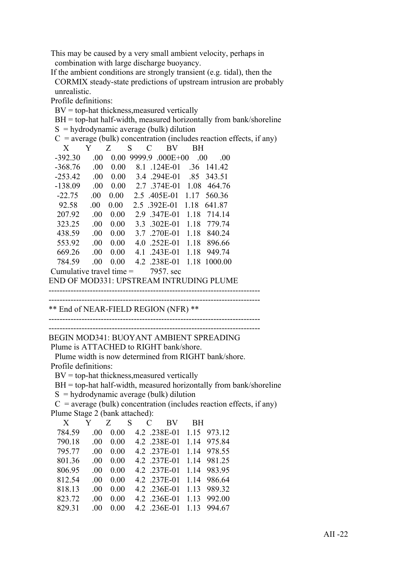This may be caused by a very small ambient velocity, perhaps in combination with large discharge buoyancy.

 If the ambient conditions are strongly transient (e.g. tidal), then the CORMIX steady-state predictions of upstream intrusion are probably unrealistic.

Profile definitions:

 $BV = top-hat$  thickness, measured vertically

 $BH = top-hat$  half-width, measured horizontally from bank/shoreline

|                            |         |      |        | $S =$ hydrodynamic average (bulk) dilution |     |                                           |                                                                        |
|----------------------------|---------|------|--------|--------------------------------------------|-----|-------------------------------------------|------------------------------------------------------------------------|
|                            |         |      |        |                                            |     |                                           | $C$ = average (bulk) concentration (includes reaction effects, if any) |
| X                          | Y       | Z    | S<br>C | BV                                         | BН  |                                           |                                                                        |
| $-392.30$                  | .00.    |      |        | $0.00$ 9999.9 .000E+00                     | .00 | .00                                       |                                                                        |
| $-368.76$                  | .00.    | 0.00 |        | 8.1 .124E-01                               |     | .36 141.42                                |                                                                        |
| $-253.42$                  | $.00\,$ |      |        | 0.00 3.4 .294E-01 .85 343.51               |     |                                           |                                                                        |
| $-138.09$                  | $.00\,$ |      |        | 0.00 2.7 .374E-01 1.08 464.76              |     |                                           |                                                                        |
| $-22.75$                   | $.00\,$ |      |        | $0.00 \quad 2.5 \quad 405E-01 \quad 1.17$  |     | 560.36                                    |                                                                        |
| 92.58                      | .00.    | 0.00 |        | 2.5 .392E-01 1.18                          |     | 641.87                                    |                                                                        |
| 207.92                     | .00.    | 0.00 |        | 2.9 .347E-01 1.18 714.14                   |     |                                           |                                                                        |
| 323.25                     | .00.    | 0.00 |        | 3.3 .302E-01 1.18                          |     | 779.74                                    |                                                                        |
| 438.59                     | .00.    | 0.00 |        | 3.7 .270E-01 1.18                          |     | 840.24                                    |                                                                        |
| 553.92                     | $.00\,$ | 0.00 |        | 4.0 .252E-01 1.18 896.66                   |     |                                           |                                                                        |
| 669.26                     | $.00\,$ | 0.00 | 4.1    | .243E-01 1.18 949.74                       |     |                                           |                                                                        |
| 784.59                     | .00.    | 0.00 |        | 4.2 .238E-01 1.18                          |     | 1000.00                                   |                                                                        |
| Cumulative travel time $=$ |         |      |        | 7957, sec                                  |     |                                           |                                                                        |
|                            |         |      |        |                                            |     | ENID OF MOD221. UDSTREAM INTRUDUCE DI UME |                                                                        |

END OF MOD331: UPSTREAM INTRUDING PLUME

----------------------------------------------------------------------------- -----------------------------------------------------------------------------

\*\* End of NEAR-FIELD REGION (NFR) \*\*

-----------------------------------------------------------------------------

----------------------------------------------------------------------------- BEGIN MOD341: BUOYANT AMBIENT SPREADING

Plume is ATTACHED to RIGHT bank/shore.

 Plume width is now determined from RIGHT bank/shore. Profile definitions:

 $BV = top-hat$  thickness, measured vertically

BH = top-hat half-width, measured horizontally from bank/shoreline

 $S =$ hydrodynamic average (bulk) dilution

 $C$  = average (bulk) concentration (includes reaction effects, if any) Plume Stage 2 (bank attached):

| X      |          | Y Z S |  | C BV         | BH.   |             |
|--------|----------|-------|--|--------------|-------|-------------|
| 784.59 | $\Omega$ | 0.00  |  | 4.2 .238E-01 |       | 1.15 973.12 |
| 790.18 | 00       | 0.00  |  | 4.2 .238E-01 |       | 1.14 975.84 |
| 795.77 | 00       | 0.00  |  | 4.2 .237E-01 |       | 1.14 978.55 |
| 801.36 | 00       | 0.00  |  | 4.2 .237E-01 |       | 1.14 981.25 |
| 806.95 | 00       | 0.00  |  | 4.2 .237E-01 |       | 1.14 983.95 |
| 812.54 | 00       | 0.00  |  | 4.2 .237E-01 |       | 1.14 986.64 |
| 818.13 | -00      | 0.00  |  | 4.2 .236E-01 | 1 1 3 | 989.32      |
| 823.72 | 00       | 0.00  |  | 4.2 .236E-01 |       | 1.13 992.00 |
| 829.31 | 00       | 0.00  |  | 4.2 .236E-01 |       | 1.13 994.67 |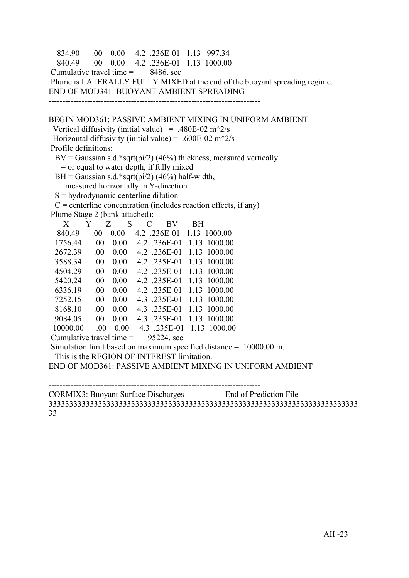```
 834.90 .00 0.00 4.2 .236E-01 1.13 997.34
   840.49 .00 0.00 4.2 .236E-01 1.13 1000.00
Cumulative travel time = 8486, sec
 Plume is LATERALLY FULLY MIXED at the end of the buoyant spreading regime.
END OF MOD341: BUOYANT AMBIENT SPREADING
-----------------------------------------------------------------------------
     -----------------------------------------------------------------------------
BEGIN MOD361: PASSIVE AMBIENT MIXING IN UNIFORM AMBIENT
 Vertical diffusivity (initial value) = .480E-02 m<sup>\gamma</sup>2/s
Horizontal diffusivity (initial value) = .600E-02 m<sup>\sim2/s</sup>
 Profile definitions:
 BV = Gaussian s.d.*sqrt(pi/2) (46%) thickness, measured vertically
    = or equal to water depth, if fully mixed
 BH = Gaussian s.d.*sqrt(pi/2) (46%) half-width,
     measured horizontally in Y-direction
 S =hydrodynamic centerline dilution
 C = centerline concentration (includes reaction effects, if any)
 Plume Stage 2 (bank attached):
 X Y Z S C BV BH
   840.49 .00 0.00 4.2 .236E-01 1.13 1000.00
  1756.44 .00 0.00 4.2 .236E-01 1.13 1000.00
  2672.39 .00 0.00 4.2 .236E-01 1.13 1000.00
  3588.34 .00 0.00 4.2 .235E-01 1.13 1000.00
  4504.29 .00 0.00 4.2 .235E-01 1.13 1000.00
  5420.24 .00 0.00 4.2 .235E-01 1.13 1000.00
  6336.19 .00 0.00 4.2 .235E-01 1.13 1000.00
  7252.15 .00 0.00 4.3 .235E-01 1.13 1000.00
  8168.10 .00 0.00 4.3 .235E-01 1.13 1000.00
  9084.05 .00 0.00 4.3 .235E-01 1.13 1000.00
  10000.00 .00 0.00 4.3 .235E-01 1.13 1000.00
Cumulative travel time = 95224 sec
 Simulation limit based on maximum specified distance = 10000.00 m.
  This is the REGION OF INTEREST limitation.
END OF MOD361: PASSIVE AMBIENT MIXING IN UNIFORM AMBIENT
-----------------------------------------------------------------------------
   -----------------------------------------------------------------------------
CORMIX3: Buoyant Surface Discharges End of Prediction File
333333333333333333333333333333333333333333333333333333333333333333333333333
```
33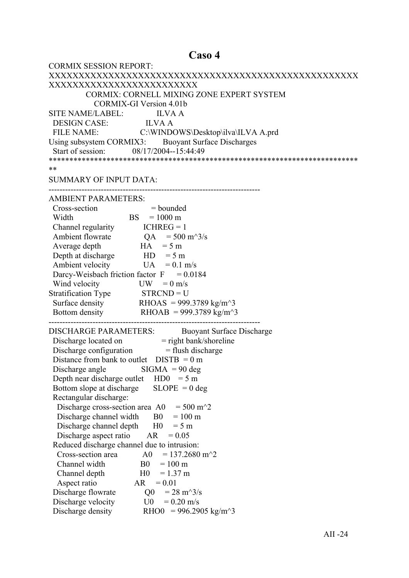#### Caso 4

| <b>CORMIX SESSION REPORT:</b>                                                                                                   |
|---------------------------------------------------------------------------------------------------------------------------------|
|                                                                                                                                 |
| XXXXXXXXXXXXXXXXXXXXXXXXX                                                                                                       |
| CORMIX: CORNELL MIXING ZONE EXPERT SYSTEM                                                                                       |
| <b>CORMIX-GI Version 4.01b</b>                                                                                                  |
| SITE NAME/LABEL: ILVA A                                                                                                         |
|                                                                                                                                 |
| DESIGN CASE: ILVA A<br>FILE NAME: C:\WINDOWS\Desktop\ilva\ILVA A.prd                                                            |
| Using subsystem CORMIX3: Buoyant Surface Discharges                                                                             |
| Start of session: 08/17/2004--15:44:49                                                                                          |
|                                                                                                                                 |
| **                                                                                                                              |
| <b>SUMMARY OF INPUT DATA:</b>                                                                                                   |
|                                                                                                                                 |
| <b>AMBIENT PARAMETERS:</b>                                                                                                      |
| Cross-section<br>$=$ bounded<br>ion $=$ bounde<br>BS $=$ 1000 m                                                                 |
| Width                                                                                                                           |
| Channel regularity $ICHREG = 1$                                                                                                 |
| Ambient flowrate $QA = 500 \text{ m}^3/\text{s}$                                                                                |
| $HA = 5 m$<br>Average depth                                                                                                     |
| Depth at discharge $HD = 5 m$                                                                                                   |
| Ambient velocity<br>$UA = 0.1$ m/s                                                                                              |
| Darcy-Weisbach friction factor $F = 0.0184$                                                                                     |
| Wind velocity<br>$UW = 0$ m/s                                                                                                   |
| Stratification Type STRCND = U                                                                                                  |
| Surface density RHOAS = 999.3789 kg/m <sup><math>\sim</math></sup> 3                                                            |
| Bottom density RHOAB = 999.3789 kg/m <sup><math>\sim</math></sup> 3                                                             |
|                                                                                                                                 |
| <b>DISCHARGE PARAMETERS:</b><br><b>Buoyant Surface Discharge</b>                                                                |
| Discharge located on = right bank/shoreline<br>Discharge configuration = flush discharge                                        |
|                                                                                                                                 |
| Distance from bank to outlet $DISTB = 0 m$                                                                                      |
| Discharge angle $\qquad$ SIGMA = 90 deg                                                                                         |
| Depth near discharge outlet $HD0 = 5 m$                                                                                         |
| $SLOPE = 0$ deg<br>Bottom slope at discharge                                                                                    |
| Rectangular discharge:                                                                                                          |
| Discharge cross-section area A0<br>$= 500 \text{ m}^2$                                                                          |
| Discharge channel width<br>$= 100 \text{ m}$<br>B <sub>0</sub>                                                                  |
| Discharge channel depth<br>H <sub>0</sub><br>$= 5 m$<br>AR<br>$= 0.05$                                                          |
| Discharge aspect ratio                                                                                                          |
| Reduced discharge channel due to intrusion:<br>$= 137.2680$ m <sup><math>\textdegree</math></sup> 2<br>Cross-section area<br>A0 |
|                                                                                                                                 |
| Channel width<br>B <sub>0</sub><br>$= 100 \text{ m}$<br>H <sub>0</sub><br>$= 1.37$ m                                            |
| Channel depth<br>AR<br>$= 0.01$                                                                                                 |
| Aspect ratio<br>$= 28 \text{ m}^3/\text{s}$                                                                                     |
| Discharge flowrate<br>Q <sub>0</sub><br>Discharge velocity<br>U0<br>$= 0.20$ m/s                                                |
|                                                                                                                                 |
| Discharge density<br>RHO0 = 996.2905 kg/m <sup><math>\sim</math>3</sup>                                                         |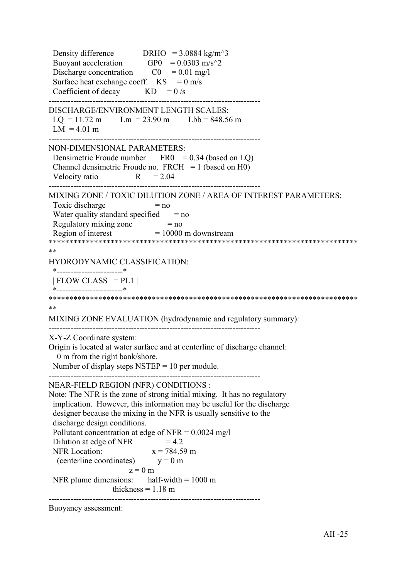Density difference DRHO =  $3.0884 \text{ kg/m}^3$ Buoyant acceleration GP0 =  $0.0303$  m/s<sup> $\textdegree$ </sup>2 Discharge concentration  $CO = 0.01$  mg/l Surface heat exchange coeff.  $KS = 0$  m/s Coefficient of decay  $KD = 0/s$ ----------------------------------------------------------------------------- DISCHARGE/ENVIRONMENT LENGTH SCALES:  $LQ = 11.72 \text{ m}$   $Lm = 23.90 \text{ m}$   $Lbb = 848.56 \text{ m}$  $LM = 4.01 m$ ----------------------------------------------------------------------------- NON-DIMENSIONAL PARAMETERS: Densimetric Froude number  $FRO = 0.34$  (based on LQ) Channel densimetric Froude no.  $FRCH = 1$  (based on H0) Velocity ratio  $R = 2.04$ ----------------------------------------------------------------------------- MIXING ZONE / TOXIC DILUTION ZONE / AREA OF INTEREST PARAMETERS: Toxic discharge  $= no$ Water quality standard specified  $=$  no Regulatory mixing zone  $= no$ Region of interest  $= 10000$  m downstream \*\*\*\*\*\*\*\*\*\*\*\*\*\*\*\*\*\*\*\*\*\*\*\*\*\*\*\*\*\*\*\*\*\*\*\*\*\*\*\*\*\*\*\*\*\*\*\*\*\*\*\*\*\*\*\*\*\*\*\*\*\*\*\*\*\*\*\*\*\*\*\*\*\*\* \*\* HYDRODYNAMIC CLASSIFICATION: \*------------------------\*  $| FLOW CLASS = PL1 |$  \*------------------------\* \*\*\*\*\*\*\*\*\*\*\*\*\*\*\*\*\*\*\*\*\*\*\*\*\*\*\*\*\*\*\*\*\*\*\*\*\*\*\*\*\*\*\*\*\*\*\*\*\*\*\*\*\*\*\*\*\*\*\*\*\*\*\*\*\*\*\*\*\*\*\*\*\*\*\* \*\* MIXING ZONE EVALUATION (hydrodynamic and regulatory summary): ----------------------------------------------------------------------------- X-Y-Z Coordinate system: Origin is located at water surface and at centerline of discharge channel: 0 m from the right bank/shore. Number of display steps  $NSTEP = 10$  per module. ----------------------------------------------------------------------------- NEAR-FIELD REGION (NFR) CONDITIONS : Note: The NFR is the zone of strong initial mixing. It has no regulatory implication. However, this information may be useful for the discharge designer because the mixing in the NFR is usually sensitive to the discharge design conditions. Pollutant concentration at edge of NFR =  $0.0024 \text{ mg/l}$ Dilution at edge of NFR  $= 4.2$ NFR Location:  $x = 784.59$  m (centerline coordinates)  $y = 0$  m  $z = 0$  m NFR plume dimensions: half-width  $= 1000 \text{ m}$ thickness  $= 1.18$  m -----------------------------------------------------------------------------

Buoyancy assessment: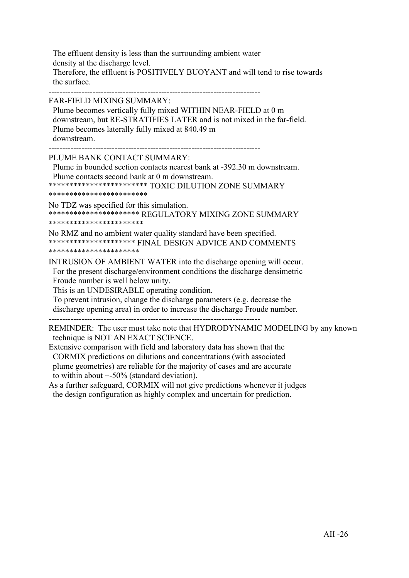The effluent density is less than the surrounding ambient water density at the discharge level. Therefore, the effluent is POSITIVELY BUOYANT and will tend to rise towards the surface.

-----------------------------------------------------------------------------

FAR-FIELD MIXING SUMMARY:

 Plume becomes vertically fully mixed WITHIN NEAR-FIELD at 0 m downstream, but RE-STRATIFIES LATER and is not mixed in the far-field. Plume becomes laterally fully mixed at 840.49 m downstream.

-----------------------------------------------------------------------------

PLUME BANK CONTACT SUMMARY:

 Plume in bounded section contacts nearest bank at -392.30 m downstream. Plume contacts second bank at 0 m downstream.

\*\*\*\*\*\*\*\*\*\*\*\*\*\*\*\*\*\*\*\*\*\*\*\* TOXIC DILUTION ZONE SUMMARY

\*\*\*\*\*\*\*\*\*\*\*\*\*\*\*\*\*\*\*\*\*\*\*\*

No TDZ was specified for this simulation. \*\*\*\*\*\*\*\*\*\*\*\*\*\*\*\*\*\*\*\*\*\* REGULATORY MIXING ZONE SUMMARY \*\*\*\*\*\*\*\*\*\*\*\*\*\*\*\*\*\*\*\*\*\*\*

No RMZ and no ambient water quality standard have been specified. \*\*\*\*\*\*\*\*\*\*\*\*\*\*\*\*\*\*\*\*\* FINAL DESIGN ADVICE AND COMMENTS \*\*\*\*\*\*\*\*\*\*\*\*\*\*\*\*\*\*\*\*\*\*

INTRUSION OF AMBIENT WATER into the discharge opening will occur. For the present discharge/environment conditions the discharge densimetric Froude number is well below unity.

This is an UNDESIRABLE operating condition.

 To prevent intrusion, change the discharge parameters (e.g. decrease the discharge opening area) in order to increase the discharge Froude number.

-----------------------------------------------------------------------------

REMINDER: The user must take note that HYDRODYNAMIC MODELING by any known technique is NOT AN EXACT SCIENCE.

Extensive comparison with field and laboratory data has shown that the CORMIX predictions on dilutions and concentrations (with associated plume geometries) are reliable for the majority of cases and are accurate to within about +-50% (standard deviation).

As a further safeguard, CORMIX will not give predictions whenever it judges the design configuration as highly complex and uncertain for prediction.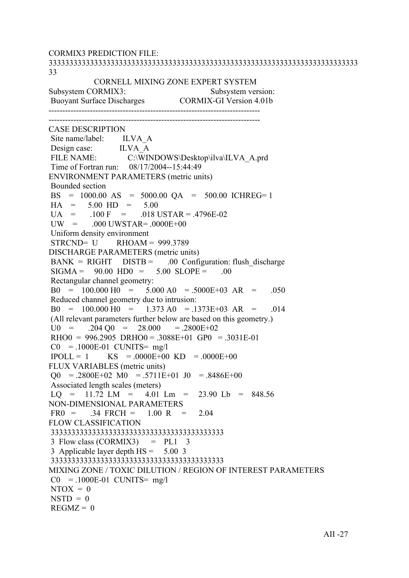CORMIX3 PREDICTION FILE: 333333333333333333333333333333333333333333333333333333333333333333333333333 33 CORNELL MIXING ZONE EXPERT SYSTEM Subsystem CORMIX3: Subsystem version: Buoyant Surface Discharges CORMIX-GI Version 4.01b ----------------------------------------------------------------------------- ----------------------------------------------------------------------------- CASE DESCRIPTION Site name/label: ILVA A Design case: ILVA A FILE NAME: C:\WINDOWS\Desktop\ilva\ILVA\_A.prd Time of Fortran run: 08/17/2004--15:44:49 ENVIRONMENT PARAMETERS (metric units) Bounded section BS = 1000.00 AS = 5000.00 QA = 500.00 ICHREG= 1  $HA = 5.00 HD = 5.00$  $U_A$  = .100 F = .018 USTAR = .4796E-02  $UW = 000$   $UWSTAR = 0000E+00$  Uniform density environment  $STRCND = U$  RHOAM = 999.3789 DISCHARGE PARAMETERS (metric units)  $BANK = RIGHT$   $DISTB = 00$  Configuration: flush discharge  $SIGMA = 90.00 HDO = 5.00 SLOPE = .00$  Rectangular channel geometry:  $B0 = 100.000 H0 = 5.000 A0 = 5000E+03 AR = .050$  Reduced channel geometry due to intrusion:  $B0 = 100.000 H0 = 1.373 A0 = .1373E+03 AR = .014$  (All relevant parameters further below are based on this geometry.)  $U0 = 0.204 \text{ O}0 = 28.000 = 0.2800E + 0.2$  $RHOO = 996.2905 \ \text{DRHO}0 = .3088E+01 \ \text{GPO} = .3031E-01$  $CO = 1000E-01$  CUNITS= mg/l  $IPOLL = 1$  KS = .0000E+00 KD = .0000E+00 FLUX VARIABLES (metric units)  $\Omega$  = .2800E+02 M0 = .5711E+01 J0 = .8486E+00 Associated length scales (meters)  $LO = 11.72$   $LM = 4.01$   $Lm = 23.90$   $Lb = 848.56$ NON-DIMENSIONAL PARAMETERS  $FR0 = 0.34$   $FRCH = 1.00$  R = 2.04 FLOW CLASSIFICATION 333333333333333333333333333333333333333333  $3$  Flow class (CORMIX3) = PL1  $3$  3 Applicable layer depth HS = 5.00 3 333333333333333333333333333333333333333333 MIXING ZONE / TOXIC DILUTION / REGION OF INTEREST PARAMETERS  $CO = 1000E-01$  CUNITS= mg/l  $NTOX = 0$  $NSTD = 0$  $REGMZ = 0$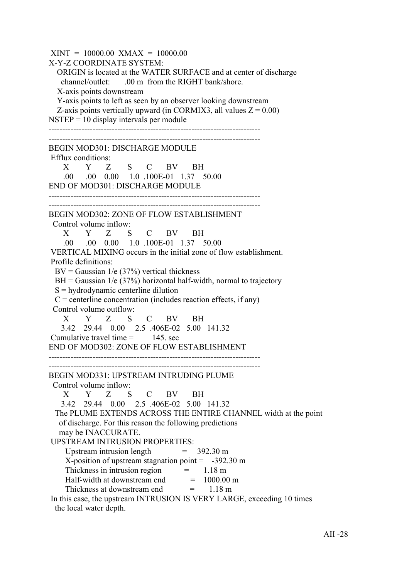$XINT = 10000.00$   $XMAX = 10000.00$ X-Y-Z COORDINATE SYSTEM: ORIGIN is located at the WATER SURFACE and at center of discharge channel/outlet: .00 m from the RIGHT bank/shore. X-axis points downstream Y-axis points to left as seen by an observer looking downstream Z-axis points vertically upward (in CORMIX3, all values  $Z = 0.00$ )  $NSTEP = 10$  display intervals per module ----------------------------------------------------------------------------- ----------------------------------------------------------------------------- BEGIN MOD301: DISCHARGE MODULE Efflux conditions: X Y Z S C BV BH .00 .00 0.00 1.0 .100E-01 1.37 50.00 END OF MOD301: DISCHARGE MODULE ----------------------------------------------------------------------------- ----------------------------------------------------------------------------- BEGIN MOD302: ZONE OF FLOW ESTABLISHMENT Control volume inflow: X Y Z S C BV BH .00 .00 0.00 1.0 .100E-01 1.37 50.00 VERTICAL MIXING occurs in the initial zone of flow establishment. Profile definitions:  $BV = Gaussian \ 1/e \ (37\%)$  vertical thickness  $BH = Gaussian$  1/e (37%) horizontal half-width, normal to trajectory S = hydrodynamic centerline dilution  $C =$  centerline concentration (includes reaction effects, if any) Control volume outflow: X Y Z S C BV BH 3.42 29.44 0.00 2.5 .406E-02 5.00 141.32 Cumulative travel time  $=$  145 sec END OF MOD302: ZONE OF FLOW ESTABLISHMENT ----------------------------------------------------------------------------- ----------------------------------------------------------------------------- BEGIN MOD331: UPSTREAM INTRUDING PLUME Control volume inflow: X Y Z S C BV BH 3.42 29.44 0.00 2.5 .406E-02 5.00 141.32 The PLUME EXTENDS ACROSS THE ENTIRE CHANNEL width at the point of discharge. For this reason the following predictions may be INACCURATE. UPSTREAM INTRUSION PROPERTIES: Upstream intrusion length  $= 392.30 \text{ m}$ X-position of upstream stagnation point  $= -392.30 \text{ m}$ Thickness in intrusion region  $=$  1.18 m Half-width at downstream end  $= 1000.00$  m Thickness at downstream end  $= 1.18 \text{ m}$  In this case, the upstream INTRUSION IS VERY LARGE, exceeding 10 times the local water depth.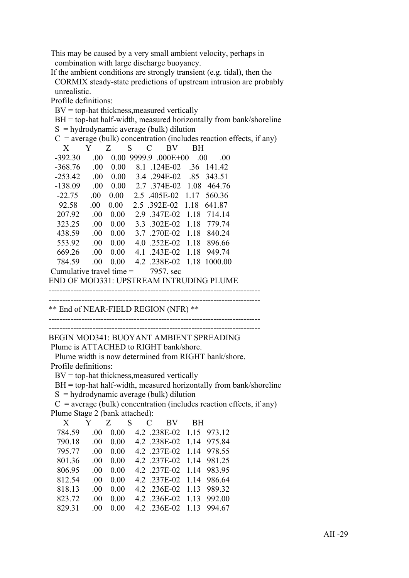This may be caused by a very small ambient velocity, perhaps in combination with large discharge buoyancy.

 If the ambient conditions are strongly transient (e.g. tidal), then the CORMIX steady-state predictions of upstream intrusion are probably unrealistic.

Profile definitions:

 $BV = top-hat$  thickness, measured vertically

BH = top-hat half-width, measured horizontally from bank/shoreline

|           |         |                            |   | $S =$ hydrodynamic average (bulk) dilution                             |           |                   |  |
|-----------|---------|----------------------------|---|------------------------------------------------------------------------|-----------|-------------------|--|
|           |         |                            |   | $C$ = average (bulk) concentration (includes reaction effects, if any) |           |                   |  |
| X         | Y       | Z                          | S | BV<br>$\mathcal{C}_{\mathcal{C}}$                                      | <b>BH</b> |                   |  |
| -392.30   | .00.    |                            |   | $0.00$ 9999.9 .000E+00 .00                                             |           | $\Omega$ $\Omega$ |  |
| -368.76   | .00.    | 0.00                       |   | 8.1 .124E-02 .36 141.42                                                |           |                   |  |
| $-253.42$ |         |                            |   | .00 0.00 3.4 .294E-02 .85 343.51                                       |           |                   |  |
| $-138.09$ |         |                            |   | $.00 \quad 0.00 \quad 2.7 \quad 374E - 02 \quad 1.08 \quad 464.76$     |           |                   |  |
| $-22.75$  | $.00\,$ |                            |   | $0.00$ 2.5 .405E-02 1.17 560.36                                        |           |                   |  |
| 92.58     | $.00\,$ |                            |   | 0.00 2.5 .392E-02 1.18 641.87                                          |           |                   |  |
| 207.92    | .00.    | 0.00                       |   | 2.9 .347E-02 1.18 714.14                                               |           |                   |  |
| 323.25    | $.00\,$ | 0.00                       |   | 3.3 .302E-02 1.18 779.74                                               |           |                   |  |
| 438.59    | $.00\,$ | 0.00                       |   | 3.7 .270E-02 1.18                                                      |           | 840.24            |  |
| 553.92    | $.00\,$ | 0.00                       |   | 4.0 .252E-02 1.18 896.66                                               |           |                   |  |
| 669.26    | $.00\,$ | 0.00                       |   | 4.1 .243E-02 1.18 949.74                                               |           |                   |  |
| 784.59    | .00.    | 0.00                       |   | 4.2 .238E-02 1.18 1000.00                                              |           |                   |  |
|           |         | Cumulative travel time $=$ |   | 7957. sec                                                              |           |                   |  |

END OF MOD331: UPSTREAM INTRUDING PLUME

----------------------------------------------------------------------------- -----------------------------------------------------------------------------

\*\* End of NEAR-FIELD REGION (NFR) \*\*

-----------------------------------------------------------------------------

-----------------------------------------------------------------------------

BEGIN MOD341: BUOYANT AMBIENT SPREADING Plume is ATTACHED to RIGHT bank/shore.

 Plume width is now determined from RIGHT bank/shore. Profile definitions:

 $BV = top-hat$  thickness, measured vertically

BH = top-hat half-width, measured horizontally from bank/shoreline

 $S =$ hydrodynamic average (bulk) dilution

 $C$  = average (bulk) concentration (includes reaction effects, if any) Plume Stage 2 (bank attached):

| X      |          | Y Z S |  |                   | C BV BH           |                          |
|--------|----------|-------|--|-------------------|-------------------|--------------------------|
| 784.59 | -00      | 0.00  |  |                   |                   | 4.2 .238E-02 1.15 973.12 |
| 790.18 | 00       | 0.00  |  |                   |                   | 4.2 .238E-02 1.14 975.84 |
| 795.77 | -00      | 0.00  |  |                   |                   | 4.2 .237E-02 1.14 978.55 |
| 801.36 | $\Omega$ | 0.00  |  |                   |                   | 4.2 .237E-02 1.14 981.25 |
| 806.95 | -00      | 0.00  |  |                   |                   | 4.2 .237E-02 1.14 983.95 |
| 812.54 | -00      | 0.00  |  |                   | 4.2 .237E-02 1.14 | 986.64                   |
| 818.13 | -00      | 0.00  |  | 4.2 .236E-02 1.13 |                   | 989 32                   |
| 823.72 | 00       | 0.00  |  |                   |                   | 4.2 .236E-02 1.13 992.00 |
| 829.31 | 00       | 0.00  |  |                   |                   | 4.2 .236E-02 1.13 994.67 |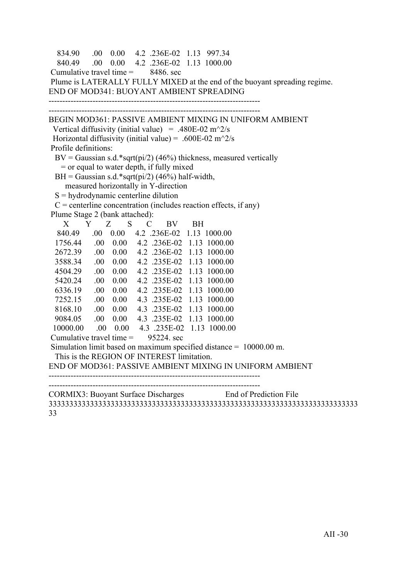```
 834.90 .00 0.00 4.2 .236E-02 1.13 997.34
   840.49 .00 0.00 4.2 .236E-02 1.13 1000.00
Cumulative travel time = 8486, sec
 Plume is LATERALLY FULLY MIXED at the end of the buoyant spreading regime.
END OF MOD341: BUOYANT AMBIENT SPREADING
-----------------------------------------------------------------------------
     -----------------------------------------------------------------------------
BEGIN MOD361: PASSIVE AMBIENT MIXING IN UNIFORM AMBIENT
 Vertical diffusivity (initial value) = .480E-02 m<sup>\gamma</sup>2/s
Horizontal diffusivity (initial value) = .600E-02 m<sup>\sim2/s</sup>
 Profile definitions:
 BV = Gaussian s.d.*sqrt(pi/2) (46%) thickness, measured vertically
    = or equal to water depth, if fully mixed
 BH = Gaussian s.d.*sqrt(pi/2) (46%) half-width,
     measured horizontally in Y-direction
 S = hydrodynamic centerline dilution
 C = centerline concentration (includes reaction effects, if any)
 Plume Stage 2 (bank attached):
 X Y Z S C BV BH
   840.49 .00 0.00 4.2 .236E-02 1.13 1000.00
  1756.44 .00 0.00 4.2 .236E-02 1.13 1000.00
  2672.39 .00 0.00 4.2 .236E-02 1.13 1000.00
  3588.34 .00 0.00 4.2 .235E-02 1.13 1000.00
  4504.29 .00 0.00 4.2 .235E-02 1.13 1000.00
  5420.24 .00 0.00 4.2 .235E-02 1.13 1000.00
  6336.19 .00 0.00 4.2 .235E-02 1.13 1000.00
  7252.15 .00 0.00 4.3 .235E-02 1.13 1000.00
  8168.10 .00 0.00 4.3 .235E-02 1.13 1000.00
  9084.05 .00 0.00 4.3 .235E-02 1.13 1000.00
  10000.00 .00 0.00 4.3 .235E-02 1.13 1000.00
Cumulative travel time = 95224 sec
 Simulation limit based on maximum specified distance = 10000.00 m.
  This is the REGION OF INTEREST limitation.
END OF MOD361: PASSIVE AMBIENT MIXING IN UNIFORM AMBIENT
-----------------------------------------------------------------------------
   -----------------------------------------------------------------------------
CORMIX3: Buoyant Surface Discharges End of Prediction File
333333333333333333333333333333333333333333333333333333333333333333333333333
```
33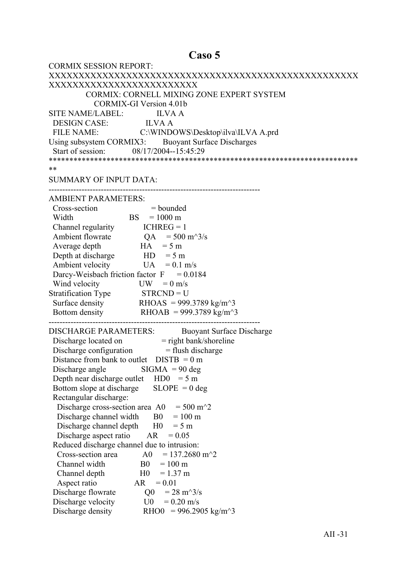## Caso 5

| <b>CORMIX SESSION REPORT:</b>                                                            |
|------------------------------------------------------------------------------------------|
|                                                                                          |
| XXXXXXXXXXXXXXXXXXXXXXXXX                                                                |
| CORMIX: CORNELL MIXING ZONE EXPERT SYSTEM                                                |
| <b>CORMIX-GI Version 4.01b</b>                                                           |
| SITE NAME/LABEL: ILVA A                                                                  |
| DESIGN CASE: ILVA A                                                                      |
| FILE NAME: C:\WINDOWS\Desktop\ilva\ILVA A.prd                                            |
| Using subsystem CORMIX3: Buoyant Surface Discharges                                      |
| Start of session: 08/17/2004--15:45:29                                                   |
|                                                                                          |
| **                                                                                       |
| <b>SUMMARY OF INPUT DATA:</b>                                                            |
|                                                                                          |
| <b>AMBIENT PARAMETERS:</b>                                                               |
| Cross-section<br>$=$ bounded                                                             |
| $BS = 1000 \text{ m}$<br>Width                                                           |
| Channel regularity $ICHREG = 1$                                                          |
| Ambient flowrate $QA = 500 \text{ m}^3/\text{s}$                                         |
| $HA = 5 m$<br>Average depth                                                              |
| Depth at discharge $HD = 5 m$                                                            |
| Ambient velocity<br>$UA = 0.1$ m/s                                                       |
| Darcy-Weisbach friction factor $F = 0.0184$                                              |
| Wind velocity<br>$UW = 0$ m/s                                                            |
| Stratification Type STRCND = U                                                           |
| Surface density RHOAS = 999.3789 kg/m <sup><math>\sim</math></sup> 3                     |
| Bottom density RHOAB = 999.3789 kg/m <sup><math>\sim</math>3</sup>                       |
|                                                                                          |
| <b>DISCHARGE PARAMETERS:</b><br><b>Buoyant Surface Discharge</b>                         |
|                                                                                          |
| Discharge located on = right bank/shoreline<br>Discharge configuration = flush discharge |
| Distance from bank to outlet $DISTB = 0 m$                                               |
| Discharge angle $\qquad$ SIGMA = 90 deg                                                  |
| Depth near discharge outlet $HD0 = 5 m$                                                  |
| $SLOPE = 0$ deg<br>Bottom slope at discharge                                             |
| Rectangular discharge:                                                                   |
| $= 500 \text{ m}^2$<br>Discharge cross-section area A0                                   |
| Discharge channel width<br>B <sub>0</sub><br>$= 100 \text{ m}$                           |
| Discharge channel depth<br>H <sub>0</sub><br>$= 5 m$                                     |
| Discharge aspect ratio<br>AR<br>$= 0.05$                                                 |
| Reduced discharge channel due to intrusion:                                              |
| $= 137.2680$ m <sup><math>\textdegree</math></sup> 2<br>Cross-section area<br>A0         |
| Channel width<br>B <sub>0</sub><br>$= 100 \text{ m}$                                     |
| H <sub>0</sub><br>$= 1.37$ m<br>Channel depth                                            |
| Aspect ratio<br>AR<br>$= 0.01$                                                           |
| Discharge flowrate<br>Q <sub>0</sub><br>$= 28 \text{ m}^3/\text{s}$                      |
| Discharge velocity<br>U0<br>$= 0.20$ m/s                                                 |
| Discharge density<br>RHO0 = 996.2905 kg/m <sup><math>\text{A}</math>3</sup>              |
|                                                                                          |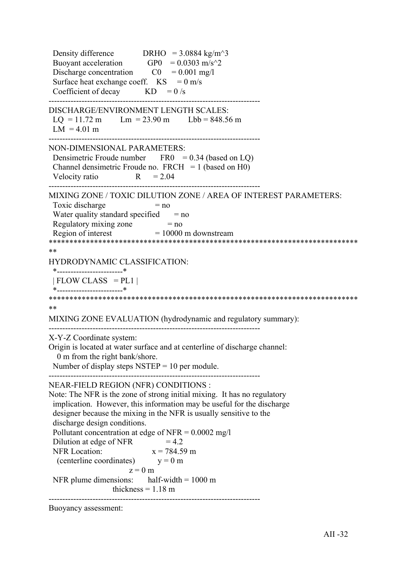Density difference DRHO =  $3.0884 \text{ kg/m}^3$ Buoyant acceleration GP0 =  $0.0303$  m/s<sup> $\textdegree$ </sup>2 Discharge concentration  $CO = 0.001$  mg/l Surface heat exchange coeff.  $KS = 0$  m/s Coefficient of decay  $KD = 0/s$ ----------------------------------------------------------------------------- DISCHARGE/ENVIRONMENT LENGTH SCALES:  $LQ = 11.72 \text{ m}$   $Lm = 23.90 \text{ m}$   $Lbb = 848.56 \text{ m}$  $LM = 4.01 m$ ----------------------------------------------------------------------------- NON-DIMENSIONAL PARAMETERS: Densimetric Froude number  $FRO = 0.34$  (based on LQ) Channel densimetric Froude no.  $FRCH = 1$  (based on H0) Velocity ratio  $R = 2.04$ ----------------------------------------------------------------------------- MIXING ZONE / TOXIC DILUTION ZONE / AREA OF INTEREST PARAMETERS: Toxic discharge  $= no$ Water quality standard specified  $=$  no Regulatory mixing zone  $= no$ Region of interest  $= 10000$  m downstream \*\*\*\*\*\*\*\*\*\*\*\*\*\*\*\*\*\*\*\*\*\*\*\*\*\*\*\*\*\*\*\*\*\*\*\*\*\*\*\*\*\*\*\*\*\*\*\*\*\*\*\*\*\*\*\*\*\*\*\*\*\*\*\*\*\*\*\*\*\*\*\*\*\*\* \*\* HYDRODYNAMIC CLASSIFICATION: \*------------------------\*  $| FLOW CLASS = PL1 |$  \*------------------------\* \*\*\*\*\*\*\*\*\*\*\*\*\*\*\*\*\*\*\*\*\*\*\*\*\*\*\*\*\*\*\*\*\*\*\*\*\*\*\*\*\*\*\*\*\*\*\*\*\*\*\*\*\*\*\*\*\*\*\*\*\*\*\*\*\*\*\*\*\*\*\*\*\*\*\* \*\* MIXING ZONE EVALUATION (hydrodynamic and regulatory summary): ----------------------------------------------------------------------------- X-Y-Z Coordinate system: Origin is located at water surface and at centerline of discharge channel: 0 m from the right bank/shore. Number of display steps  $NSTEP = 10$  per module. ----------------------------------------------------------------------------- NEAR-FIELD REGION (NFR) CONDITIONS : Note: The NFR is the zone of strong initial mixing. It has no regulatory implication. However, this information may be useful for the discharge designer because the mixing in the NFR is usually sensitive to the discharge design conditions. Pollutant concentration at edge of NFR =  $0.0002 \text{ mg/l}$ Dilution at edge of NFR  $= 4.2$ NFR Location:  $x = 784.59$  m (centerline coordinates)  $y = 0$  m  $z = 0$  m NFR plume dimensions: half-width  $= 1000 \text{ m}$ thickness  $= 1.18$  m -----------------------------------------------------------------------------

Buoyancy assessment: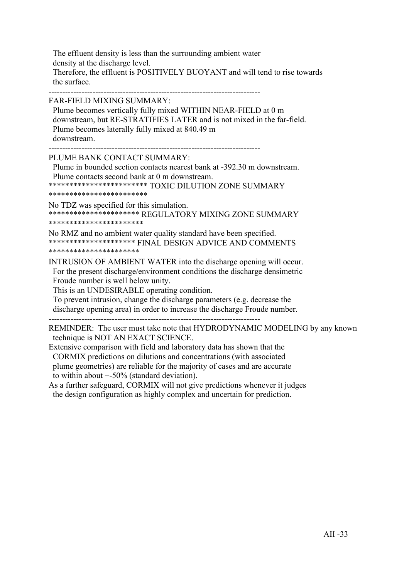The effluent density is less than the surrounding ambient water density at the discharge level. Therefore, the effluent is POSITIVELY BUOYANT and will tend to rise towards the surface.

-----------------------------------------------------------------------------

FAR-FIELD MIXING SUMMARY:

 Plume becomes vertically fully mixed WITHIN NEAR-FIELD at 0 m downstream, but RE-STRATIFIES LATER and is not mixed in the far-field. Plume becomes laterally fully mixed at 840.49 m downstream.

-----------------------------------------------------------------------------

PLUME BANK CONTACT SUMMARY:

 Plume in bounded section contacts nearest bank at -392.30 m downstream. Plume contacts second bank at 0 m downstream.

\*\*\*\*\*\*\*\*\*\*\*\*\*\*\*\*\*\*\*\*\*\*\*\* TOXIC DILUTION ZONE SUMMARY

\*\*\*\*\*\*\*\*\*\*\*\*\*\*\*\*\*\*\*\*\*\*\*\*

No TDZ was specified for this simulation. \*\*\*\*\*\*\*\*\*\*\*\*\*\*\*\*\*\*\*\*\*\* REGULATORY MIXING ZONE SUMMARY \*\*\*\*\*\*\*\*\*\*\*\*\*\*\*\*\*\*\*\*\*\*\*

No RMZ and no ambient water quality standard have been specified. \*\*\*\*\*\*\*\*\*\*\*\*\*\*\*\*\*\*\*\*\* FINAL DESIGN ADVICE AND COMMENTS \*\*\*\*\*\*\*\*\*\*\*\*\*\*\*\*\*\*\*\*\*\*

INTRUSION OF AMBIENT WATER into the discharge opening will occur. For the present discharge/environment conditions the discharge densimetric Froude number is well below unity.

This is an UNDESIRABLE operating condition.

 To prevent intrusion, change the discharge parameters (e.g. decrease the discharge opening area) in order to increase the discharge Froude number.

-----------------------------------------------------------------------------

REMINDER: The user must take note that HYDRODYNAMIC MODELING by any known technique is NOT AN EXACT SCIENCE.

Extensive comparison with field and laboratory data has shown that the CORMIX predictions on dilutions and concentrations (with associated plume geometries) are reliable for the majority of cases and are accurate to within about +-50% (standard deviation).

As a further safeguard, CORMIX will not give predictions whenever it judges the design configuration as highly complex and uncertain for prediction.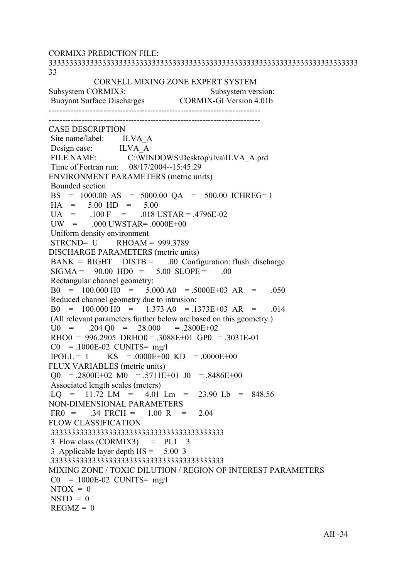CORMIX3 PREDICTION FILE: 333333333333333333333333333333333333333333333333333333333333333333333333333 33 CORNELL MIXING ZONE EXPERT SYSTEM Subsystem CORMIX3: Subsystem version: Buoyant Surface Discharges CORMIX-GI Version 4.01b ----------------------------------------------------------------------------- ----------------------------------------------------------------------------- CASE DESCRIPTION Site name/label: ILVA A Design case: ILVA A FILE NAME: C:\WINDOWS\Desktop\ilva\ILVA\_A.prd Time of Fortran run: 08/17/2004--15:45:29 ENVIRONMENT PARAMETERS (metric units) Bounded section BS = 1000.00 AS = 5000.00 QA = 500.00 ICHREG= 1  $HA = 5.00 HD = 5.00$  $U_A$  = .100 F = .018 USTAR = .4796E-02  $UW = 000$   $UWSTAR = 0000E+00$  Uniform density environment  $STRCND = U$  RHOAM = 999.3789 DISCHARGE PARAMETERS (metric units)  $BANK = RIGHT$   $DISTB = 00$  Configuration: flush discharge  $SIGMA = 90.00 HDO = 5.00 SLOPE = .00$  Rectangular channel geometry:  $B0 = 100.000 H0 = 5.000 A0 = 5000E+03 AR = .050$  Reduced channel geometry due to intrusion:  $B0 = 100.000 H0 = 1.373 A0 = .1373E+03 AR = .014$  (All relevant parameters further below are based on this geometry.)  $U0 = 0.204 \text{ O}0 = 28.000 = 0.2800E + 0.2$  $RHOO = 996.2905 \ \text{DRHO}0 = .3088E+01 \ \text{GPO} = .3031E-01$  $CO = 1000E-02$  CUNITS= mg/l  $IPOLL = 1$  KS = .0000E+00 KD = .0000E+00 FLUX VARIABLES (metric units)  $\Omega$  = .2800E+02 M0 = .5711E+01 J0 = .8486E+00 Associated length scales (meters)  $LO = 11.72$   $LM = 4.01$   $Lm = 23.90$   $Lb = 848.56$ NON-DIMENSIONAL PARAMETERS  $FR0 = 0.34$   $FRCH = 1.00$  R = 2.04 FLOW CLASSIFICATION 333333333333333333333333333333333333333333  $3$  Flow class (CORMIX3) = PL1  $3$  3 Applicable layer depth HS = 5.00 3 333333333333333333333333333333333333333333 MIXING ZONE / TOXIC DILUTION / REGION OF INTEREST PARAMETERS  $CO = 1000E-02$  CUNITS= mg/l  $NTOX = 0$  $NSTD = 0$  $REGMZ = 0$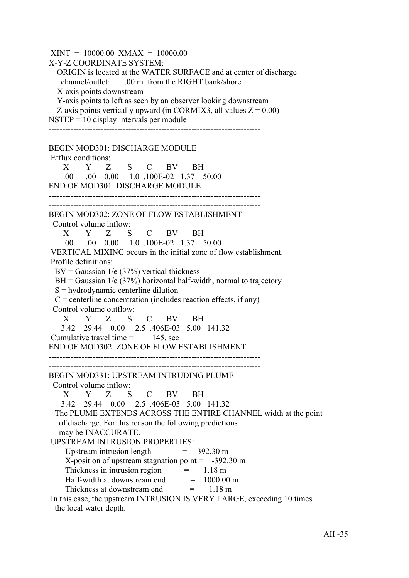$XINT = 10000.00$   $XMAX = 10000.00$ X-Y-Z COORDINATE SYSTEM: ORIGIN is located at the WATER SURFACE and at center of discharge channel/outlet: .00 m from the RIGHT bank/shore. X-axis points downstream Y-axis points to left as seen by an observer looking downstream Z-axis points vertically upward (in CORMIX3, all values  $Z = 0.00$ )  $NSTEP = 10$  display intervals per module ----------------------------------------------------------------------------- ----------------------------------------------------------------------------- BEGIN MOD301: DISCHARGE MODULE Efflux conditions: X Y Z S C BV BH .00 .00 0.00 1.0 .100E-02 1.37 50.00 END OF MOD301: DISCHARGE MODULE ----------------------------------------------------------------------------- ----------------------------------------------------------------------------- BEGIN MOD302: ZONE OF FLOW ESTABLISHMENT Control volume inflow: X Y Z S C BV BH .00 .00 0.00 1.0 .100E-02 1.37 50.00 VERTICAL MIXING occurs in the initial zone of flow establishment. Profile definitions:  $BV = Gaussian \ 1/e \ (37\%)$  vertical thickness  $BH = Gaussian$  1/e (37%) horizontal half-width, normal to trajectory S = hydrodynamic centerline dilution  $C =$  centerline concentration (includes reaction effects, if any) Control volume outflow: X Y Z S C BV BH 3.42 29.44 0.00 2.5 .406E-03 5.00 141.32 Cumulative travel time  $=$  145 sec END OF MOD302: ZONE OF FLOW ESTABLISHMENT ----------------------------------------------------------------------------- ----------------------------------------------------------------------------- BEGIN MOD331: UPSTREAM INTRUDING PLUME Control volume inflow: X Y Z S C BV BH 3.42 29.44 0.00 2.5 .406E-03 5.00 141.32 The PLUME EXTENDS ACROSS THE ENTIRE CHANNEL width at the point of discharge. For this reason the following predictions may be INACCURATE. UPSTREAM INTRUSION PROPERTIES: Upstream intrusion length  $= 392.30 \text{ m}$ X-position of upstream stagnation point  $= -392.30 \text{ m}$ Thickness in intrusion region  $=$  1.18 m Half-width at downstream end  $= 1000.00$  m Thickness at downstream end  $= 1.18 \text{ m}$  In this case, the upstream INTRUSION IS VERY LARGE, exceeding 10 times the local water depth.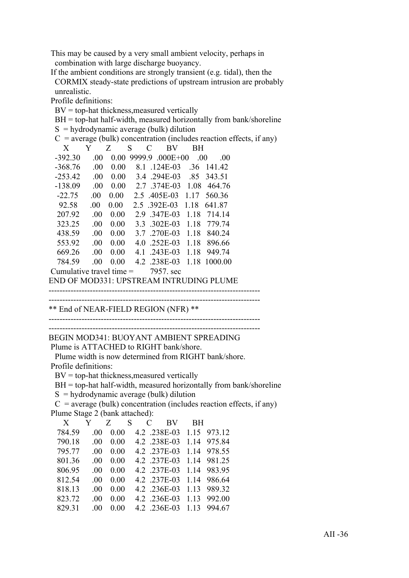This may be caused by a very small ambient velocity, perhaps in combination with large discharge buoyancy.

 If the ambient conditions are strongly transient (e.g. tidal), then the CORMIX steady-state predictions of upstream intrusion are probably unrealistic.

Profile definitions:

 $BV = top-hat$  thickness, measured vertically

 $BH = top-hat$  half-width, measured horizontally from bank/shoreline

|                            |         |      |        | $S =$ hydrodynamic average (bulk) dilution |      |                                             |                                                                        |
|----------------------------|---------|------|--------|--------------------------------------------|------|---------------------------------------------|------------------------------------------------------------------------|
|                            |         |      |        |                                            |      |                                             | $C$ = average (bulk) concentration (includes reaction effects, if any) |
| X                          | Y       | Z    | S<br>C | BV                                         | BН   |                                             |                                                                        |
| $-392.30$                  | .00.    |      |        | $0.00$ 9999.9 .000E+00                     | .00. | .00                                         |                                                                        |
| $-368.76$                  | .00.    | 0.00 |        | 8.1 .124E-03                               |      | .36 141.42                                  |                                                                        |
| $-253.42$                  | $.00\,$ |      |        | 0.00 3.4 .294E-03 .85 343.51               |      |                                             |                                                                        |
| $-138.09$                  | .00     |      |        | 0.00 2.7 .374E-03 1.08 464.76              |      |                                             |                                                                        |
| $-22.75$                   | $.00\,$ |      |        | 0.00 2.5 .405E-03 1.17 560.36              |      |                                             |                                                                        |
| 92.58                      | $.00\,$ | 0.00 |        | 2.5 .392E-03 1.18                          |      | 641.87                                      |                                                                        |
| 207.92                     | .00.    | 0.00 |        | 2.9 .347E-03 1.18 714.14                   |      |                                             |                                                                        |
| 323.25                     | .00.    | 0.00 |        | 3.3 .302E-03 1.18                          |      | 779.74                                      |                                                                        |
| 438.59                     | $.00\,$ | 0.00 |        | 3.7 .270E-03 1.18                          |      | 840.24                                      |                                                                        |
| 553.92                     | $.00\,$ | 0.00 |        | 4.0 .252E-03 1.18 896.66                   |      |                                             |                                                                        |
| 669.26                     | $.00\,$ | 0.00 |        | 4.1 .243E-03 1.18 949.74                   |      |                                             |                                                                        |
| 784.59                     | .00.    | 0.00 |        |                                            |      | 4.2 .238E-03 1.18 1000.00                   |                                                                        |
| Cumulative travel time $=$ |         |      |        | 7957. sec                                  |      |                                             |                                                                        |
|                            |         |      |        |                                            |      | ENID OE MOD221. UDETDE AM INTDUDINIC DI UME |                                                                        |

END OF MOD331: UPSTREAM INTRUDING PLUME

----------------------------------------------------------------------------- -----------------------------------------------------------------------------

\*\* End of NEAR-FIELD REGION (NFR) \*\*

-----------------------------------------------------------------------------

-----------------------------------------------------------------------------

BEGIN MOD341: BUOYANT AMBIENT SPREADING Plume is ATTACHED to RIGHT bank/shore.

Plume width is now determined from RIGHT bank/shore.

Profile definitions:

 $BV = top-hat$  thickness, measured vertically

 $BH = top-hat$  half-width, measured horizontally from bank/shoreline

 $S =$ hydrodynamic average (bulk) dilution

 $C$  = average (bulk) concentration (includes reaction effects, if any) Plume Stage 2 (bank attached):

| X      | Y        | Z S  |  | $C \quad \Box$ | BV.          | BH. |             |
|--------|----------|------|--|----------------|--------------|-----|-------------|
| 784.59 | ()()     | 0.00 |  |                | 4.2 238E-03  |     | 1 15 973 12 |
| 790.18 | $\Omega$ | 0.00 |  |                | 4.2 238E-03  |     | 1 14 975 84 |
| 795 77 | -00      | 0.00 |  |                | 4.2 .237E-03 |     | 1 14 978 55 |
| 801.36 | -00      | 0.00 |  |                | 4.2 .237E-03 |     | 1.14 981.25 |
| 806.95 | -00      | 0.00 |  |                | 4.2 237E-03  |     | 1 14 983 95 |
| 812.54 | -00      | 0.00 |  |                | 4.2 .237E-03 |     | 1.14 986.64 |
| 818.13 | -00      | 0.00 |  |                | 4.2 .236E-03 |     | 1.13 989.32 |
| 823.72 | -00      | 0.00 |  |                | 4.2 .236E-03 |     | 1 13 992 00 |
| 829.31 | -00      | 0.00 |  |                | 4.2 .236E-03 |     | 1 13 994 67 |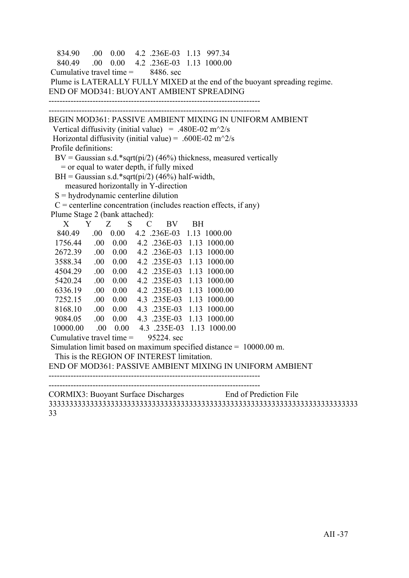```
 834.90 .00 0.00 4.2 .236E-03 1.13 997.34
   840.49 .00 0.00 4.2 .236E-03 1.13 1000.00
Cumulative travel time = 8486, sec
 Plume is LATERALLY FULLY MIXED at the end of the buoyant spreading regime.
END OF MOD341: BUOYANT AMBIENT SPREADING
-----------------------------------------------------------------------------
     -----------------------------------------------------------------------------
BEGIN MOD361: PASSIVE AMBIENT MIXING IN UNIFORM AMBIENT
 Vertical diffusivity (initial value) = .480E-02 m<sup>\gamma</sup>2/s
Horizontal diffusivity (initial value) = .600E-02 m<sup>\sim2/s</sup>
 Profile definitions:
 BV = Gaussian s.d.*sqrt(pi/2) (46%) thickness, measured vertically
    = or equal to water depth, if fully mixed
 BH = Gaussian s.d.*sqrt(pi/2) (46%) half-width,
     measured horizontally in Y-direction
 S = hydrodynamic centerline dilution
 C = centerline concentration (includes reaction effects, if any)
 Plume Stage 2 (bank attached):
 X Y Z S C BV BH
   840.49 .00 0.00 4.2 .236E-03 1.13 1000.00
  1756.44 .00 0.00 4.2 .236E-03 1.13 1000.00
  2672.39 .00 0.00 4.2 .236E-03 1.13 1000.00
  3588.34 .00 0.00 4.2 .235E-03 1.13 1000.00
  4504.29 .00 0.00 4.2 .235E-03 1.13 1000.00
  5420.24 .00 0.00 4.2 .235E-03 1.13 1000.00
  6336.19 .00 0.00 4.2 .235E-03 1.13 1000.00
  7252.15 .00 0.00 4.3 .235E-03 1.13 1000.00
  8168.10 .00 0.00 4.3 .235E-03 1.13 1000.00
  9084.05 .00 0.00 4.3 .235E-03 1.13 1000.00
  10000.00 .00 0.00 4.3 .235E-03 1.13 1000.00
Cumulative travel time = 95224 sec
 Simulation limit based on maximum specified distance = 10000.00 m.
  This is the REGION OF INTEREST limitation.
END OF MOD361: PASSIVE AMBIENT MIXING IN UNIFORM AMBIENT
-----------------------------------------------------------------------------
   -----------------------------------------------------------------------------
CORMIX3: Buoyant Surface Discharges End of Prediction File
333333333333333333333333333333333333333333333333333333333333333333333333333
```
33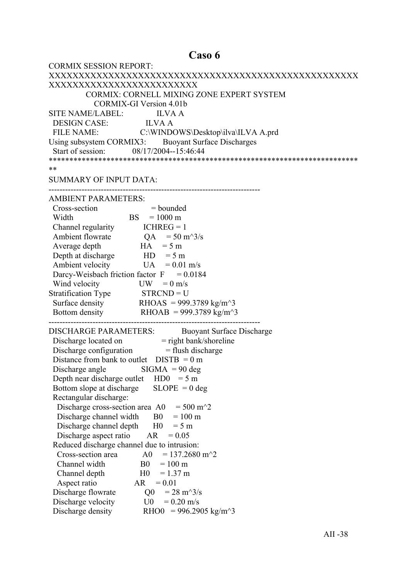## Caso 6

| <b>CORMIX SESSION REPORT:</b>                                                            |
|------------------------------------------------------------------------------------------|
|                                                                                          |
| XXXXXXXXXXXXXXXXXXXXXXXXX                                                                |
| CORMIX: CORNELL MIXING ZONE EXPERT SYSTEM                                                |
| <b>CORMIX-GI Version 4.01b</b>                                                           |
| SITE NAME/LABEL: ILVA A                                                                  |
|                                                                                          |
| DESIGN CASE: ILVA A<br>FILE NAME: C:\WINDOWS\Desktop\ilva\ILVA A.prd                     |
| Using subsystem CORMIX3: Buoyant Surface Discharges                                      |
| Start of session: 08/17/2004--15:46:44                                                   |
|                                                                                          |
| **                                                                                       |
| <b>SUMMARY OF INPUT DATA:</b>                                                            |
|                                                                                          |
| <b>AMBIENT PARAMETERS:</b>                                                               |
| Cross-section<br>$=$ bounded                                                             |
| ion $=$ bounde<br>BS $=$ 1000 m<br>Width                                                 |
| Channel regularity $ICHREG = 1$                                                          |
| Ambient flowrate $QA = 50 \text{ m}^3/\text{s}$                                          |
| $HA = 5 m$<br>Average depth                                                              |
| Depth at discharge $HD = 5 m$                                                            |
| Ambient velocity<br>$UA = 0.01$ m/s                                                      |
| Darcy-Weisbach friction factor $F = 0.0184$                                              |
| Wind velocity<br>$UW = 0$ m/s                                                            |
| Stratification Type STRCND = U                                                           |
| Surface density RHOAS = 999.3789 kg/m <sup><math>\sim</math></sup> 3                     |
| Bottom density RHOAB = 999.3789 kg/m <sup><math>\sim</math></sup> 3                      |
|                                                                                          |
| <b>DISCHARGE PARAMETERS:</b><br><b>Buoyant Surface Discharge</b>                         |
| Discharge located on = right bank/shoreline<br>Discharge configuration = flush discharge |
|                                                                                          |
| Distance from bank to outlet $DISTB = 0 m$                                               |
| Discharge angle $\qquad$ SIGMA = 90 deg                                                  |
| Depth near discharge outlet $HD0 = 5 m$                                                  |
| $SLOPE = 0$ deg<br>Bottom slope at discharge                                             |
| Rectangular discharge:                                                                   |
| Discharge cross-section area A0<br>$= 500 \text{ m}^2$                                   |
| Discharge channel width<br>$= 100 \text{ m}$<br>B <sub>0</sub>                           |
| Discharge channel depth<br>H <sub>0</sub><br>$= 5 m$                                     |
| Discharge aspect ratio<br>AR<br>$= 0.05$                                                 |
| Reduced discharge channel due to intrusion:                                              |
| $= 137.2680$ m <sup><math>\textdegree</math></sup> 2<br>Cross-section area<br>A0         |
| Channel width<br>B <sub>0</sub><br>$= 100 \text{ m}$                                     |
| H <sub>0</sub><br>$= 1.37$ m<br>Channel depth                                            |
| Aspect ratio<br>AR<br>$= 0.01$                                                           |
| Discharge flowrate<br>$= 28 \text{ m}^3/\text{s}$<br>Q <sub>0</sub>                      |
| Discharge velocity<br>$= 0.20$ m/s<br>U0                                                 |
| Discharge density<br>RHO0 = 996.2905 kg/m <sup><math>\text{A}</math>3</sup>              |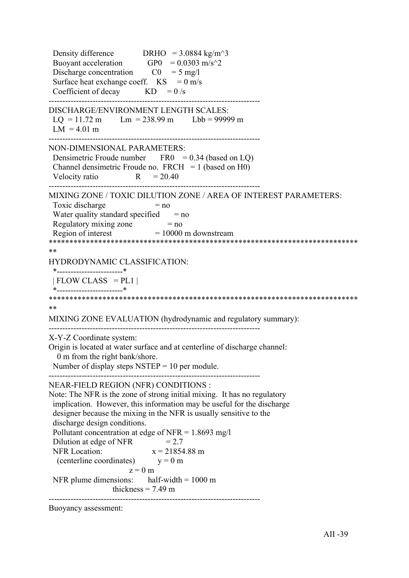Density difference DRHO =  $3.0884 \text{ kg/m}^3$ Buoyant acceleration GP0 =  $0.0303$  m/s<sup> $\textdegree$ </sup>2 Discharge concentration  $CO = 5$  mg/l Surface heat exchange coeff.  $KS = 0$  m/s Coefficient of decay  $KD = 0/s$ ----------------------------------------------------------------------------- DISCHARGE/ENVIRONMENT LENGTH SCALES:  $LQ = 11.72 \text{ m}$   $Lm = 238.99 \text{ m}$   $Lbb = 99999 \text{ m}$  $LM = 4.01 m$ ----------------------------------------------------------------------------- NON-DIMENSIONAL PARAMETERS: Densimetric Froude number  $FRO = 0.34$  (based on LQ) Channel densimetric Froude no.  $FRCH = 1$  (based on H0) Velocity ratio  $R = 20.40$ ----------------------------------------------------------------------------- MIXING ZONE / TOXIC DILUTION ZONE / AREA OF INTEREST PARAMETERS: Toxic discharge  $= no$ Water quality standard specified  $=$  no Regulatory mixing zone  $= no$ Region of interest  $= 10000$  m downstream \*\*\*\*\*\*\*\*\*\*\*\*\*\*\*\*\*\*\*\*\*\*\*\*\*\*\*\*\*\*\*\*\*\*\*\*\*\*\*\*\*\*\*\*\*\*\*\*\*\*\*\*\*\*\*\*\*\*\*\*\*\*\*\*\*\*\*\*\*\*\*\*\*\*\* \*\* HYDRODYNAMIC CLASSIFICATION: \*------------------------\*  $| FLOW CLASS = PL1 |$  \*------------------------\* \*\*\*\*\*\*\*\*\*\*\*\*\*\*\*\*\*\*\*\*\*\*\*\*\*\*\*\*\*\*\*\*\*\*\*\*\*\*\*\*\*\*\*\*\*\*\*\*\*\*\*\*\*\*\*\*\*\*\*\*\*\*\*\*\*\*\*\*\*\*\*\*\*\*\* \*\* MIXING ZONE EVALUATION (hydrodynamic and regulatory summary): ----------------------------------------------------------------------------- X-Y-Z Coordinate system: Origin is located at water surface and at centerline of discharge channel: 0 m from the right bank/shore. Number of display steps  $NSTEP = 10$  per module. ----------------------------------------------------------------------------- NEAR-FIELD REGION (NFR) CONDITIONS : Note: The NFR is the zone of strong initial mixing. It has no regulatory implication. However, this information may be useful for the discharge designer because the mixing in the NFR is usually sensitive to the discharge design conditions. Pollutant concentration at edge of NFR =  $1.8693$  mg/l Dilution at edge of NFR  $= 2.7$ NFR Location:  $x = 21854.88 \text{ m}$ (centerline coordinates)  $y = 0$  m  $z = 0$  m NFR plume dimensions: half-width  $= 1000 \text{ m}$ thickness  $= 7.49$  m -----------------------------------------------------------------------------

Buoyancy assessment: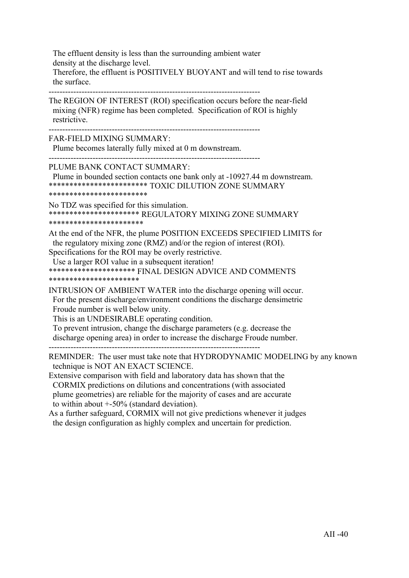The effluent density is less than the surrounding ambient water density at the discharge level. Therefore, the effluent is POSITIVELY BUOYANT and will tend to rise towards the surface.

-----------------------------------------------------------------------------

The REGION OF INTEREST (ROI) specification occurs before the near-field mixing (NFR) regime has been completed. Specification of ROI is highly restrictive.

-----------------------------------------------------------------------------

-----------------------------------------------------------------------------

FAR-FIELD MIXING SUMMARY:

Plume becomes laterally fully mixed at 0 m downstream.

PLUME BANK CONTACT SUMMARY:

 Plume in bounded section contacts one bank only at -10927.44 m downstream. \*\*\*\*\*\*\*\*\*\*\*\*\*\*\*\*\*\*\*\*\*\*\*\* TOXIC DILUTION ZONE SUMMARY

\*\*\*\*\*\*\*\*\*\*\*\*\*\*\*\*\*\*\*\*\*\*\*\*

No TDZ was specified for this simulation. \*\*\*\*\*\*\*\*\*\*\*\*\*\*\*\*\*\*\*\*\*\* REGULATORY MIXING ZONE SUMMARY \*\*\*\*\*\*\*\*\*\*\*\*\*\*\*\*\*\*\*\*\*\*\*

At the end of the NFR, the plume POSITION EXCEEDS SPECIFIED LIMITS for the regulatory mixing zone (RMZ) and/or the region of interest (ROI).

Specifications for the ROI may be overly restrictive.

Use a larger ROI value in a subsequent iteration!

\*\*\*\*\*\*\*\*\*\*\*\*\*\*\*\*\*\*\*\*\* FINAL DESIGN ADVICE AND COMMENTS \*\*\*\*\*\*\*\*\*\*\*\*\*\*\*\*\*\*\*\*\*\*

INTRUSION OF AMBIENT WATER into the discharge opening will occur. For the present discharge/environment conditions the discharge densimetric Froude number is well below unity.

This is an UNDESIRABLE operating condition.

 To prevent intrusion, change the discharge parameters (e.g. decrease the discharge opening area) in order to increase the discharge Froude number. -----------------------------------------------------------------------------

REMINDER: The user must take note that HYDRODYNAMIC MODELING by any known technique is NOT AN EXACT SCIENCE.

Extensive comparison with field and laboratory data has shown that the CORMIX predictions on dilutions and concentrations (with associated plume geometries) are reliable for the majority of cases and are accurate to within about +-50% (standard deviation).

As a further safeguard, CORMIX will not give predictions whenever it judges the design configuration as highly complex and uncertain for prediction.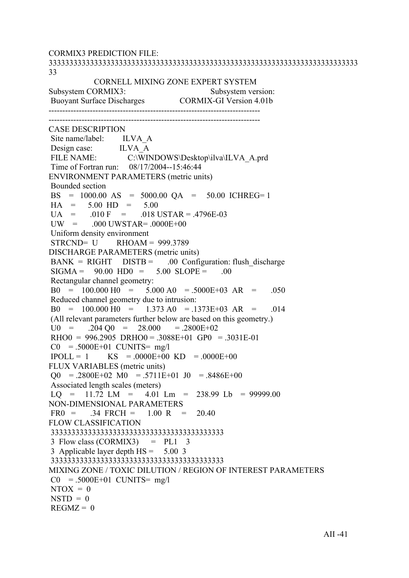CORMIX3 PREDICTION FILE: 333333333333333333333333333333333333333333333333333333333333333333333333333 33 CORNELL MIXING ZONE EXPERT SYSTEM Subsystem CORMIX3: Subsystem version: Buoyant Surface Discharges CORMIX-GI Version 4.01b ----------------------------------------------------------------------------- ----------------------------------------------------------------------------- CASE DESCRIPTION Site name/label: ILVA A Design case: ILVA\_A<br>FILE NAME: C:\WIN C:\WINDOWS\Desktop\ilva\ILVA\_A.prd Time of Fortran run: 08/17/2004--15:46:44 ENVIRONMENT PARAMETERS (metric units) Bounded section BS = 1000.00 AS = 5000.00 QA = 50.00 ICHREG= 1  $HA = 5.00 HD = 5.00$  $U_A$  = .010 F = .018 USTAR = .4796E-03  $UW = 000$   $UWSTAR = 0000E+00$  Uniform density environment  $STRCND = U$  RHOAM = 999.3789 DISCHARGE PARAMETERS (metric units)  $BANK = RIGHT$   $DISTB = 00$  Configuration: flush discharge  $SIGMA = 90.00 HDO = 5.00 SLOPE = .00$  Rectangular channel geometry:  $B0 = 100.000 H0 = 5.000 A0 = 5000E+03 AR = .050$  Reduced channel geometry due to intrusion:  $B0 = 100.000 H0 = 1.373 A0 = .1373E+03 AR = .014$  (All relevant parameters further below are based on this geometry.)  $U0 = 0.204 \text{ O}0 = 28.000 = 0.2800E + 0.2$  $RHOO = 996.2905 \ \text{DRHO}0 = .3088E+01 \ \text{GPO} = .3031E-01$  $CO = .5000E+01$  CUNITS= mg/l  $IPOLL = 1$  KS = .0000E+00 KD = .0000E+00 FLUX VARIABLES (metric units)  $\Omega$  = .2800E+02 M0 = .5711E+01 J0 = .8486E+00 Associated length scales (meters)  $LO = 11.72$   $LM = 4.01$   $Lm = 238.99$   $Lb = 99999.00$ NON-DIMENSIONAL PARAMETERS  $FR0 = 0.34$   $FRCH = 1.00$   $R = 20.40$ FLOW CLASSIFICATION 333333333333333333333333333333333333333333  $3$  Flow class (CORMIX3) = PL1  $3$  3 Applicable layer depth HS = 5.00 3 333333333333333333333333333333333333333333 MIXING ZONE / TOXIC DILUTION / REGION OF INTEREST PARAMETERS  $CO = .5000E+01$  CUNITS= mg/l  $NTOX = 0$  $NSTD = 0$  $REGMZ = 0$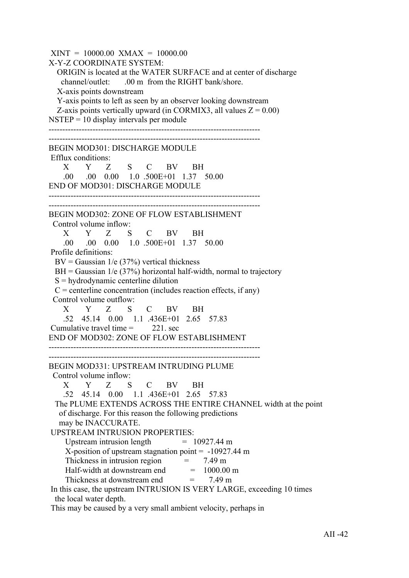$XINT = 10000.00$   $XMAX = 10000.00$ X-Y-Z COORDINATE SYSTEM: ORIGIN is located at the WATER SURFACE and at center of discharge channel/outlet: .00 m from the RIGHT bank/shore. X-axis points downstream Y-axis points to left as seen by an observer looking downstream Z-axis points vertically upward (in CORMIX3, all values  $Z = 0.00$ )  $NSTEP = 10$  display intervals per module ----------------------------------------------------------------------------- ----------------------------------------------------------------------------- BEGIN MOD301: DISCHARGE MODULE Efflux conditions: X Y Z S C BV BH .00 .00 0.00 1.0 .500E+01 1.37 50.00 END OF MOD301: DISCHARGE MODULE ----------------------------------------------------------------------------- ----------------------------------------------------------------------------- BEGIN MOD302: ZONE OF FLOW ESTABLISHMENT Control volume inflow: X Y Z S C BV BH .00 .00 0.00 1.0 .500E+01 1.37 50.00 Profile definitions:  $BV = Gaussian \ 1/e \ (37\%)$  vertical thickness  $BH = Gaussian$  1/e (37%) horizontal half-width, normal to trajectory  $S =$  hydrodynamic centerline dilution  $C =$  centerline concentration (includes reaction effects, if any) Control volume outflow: X Y Z S C BV BH .52 45.14 0.00 1.1 .436E+01 2.65 57.83 Cumulative travel time  $=$  221. sec END OF MOD302: ZONE OF FLOW ESTABLISHMENT ----------------------------------------------------------------------------- ----------------------------------------------------------------------------- BEGIN MOD331: UPSTREAM INTRUDING PLUME Control volume inflow: X Y Z S C BV BH .52 45.14 0.00 1.1 .436E+01 2.65 57.83 The PLUME EXTENDS ACROSS THE ENTIRE CHANNEL width at the point of discharge. For this reason the following predictions may be INACCURATE. UPSTREAM INTRUSION PROPERTIES: Upstream intrusion length  $= 10927.44 \text{ m}$  X-position of upstream stagnation point = -10927.44 m Thickness in intrusion region  $= 7.49 \text{ m}$ Half-width at downstream end  $= 1000.00$  m Thickness at downstream end  $= 7.49 \text{ m}$  In this case, the upstream INTRUSION IS VERY LARGE, exceeding 10 times the local water depth.

This may be caused by a very small ambient velocity, perhaps in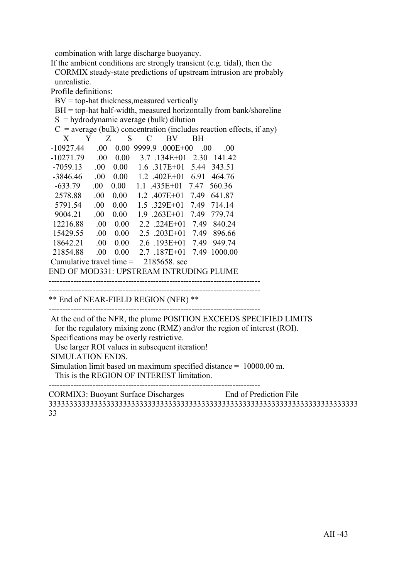combination with large discharge buoyancy.

 If the ambient conditions are strongly transient (e.g. tidal), then the CORMIX steady-state predictions of upstream intrusion are probably unrealistic.

Profile definitions:

 $BV = top-hat$  thickness, measured vertically

BH = top-hat half-width, measured horizontally from bank/shoreline

```
S =hydrodynamic average (bulk) dilution
```
 $C$  = average (bulk) concentration (includes reaction effects, if any)

| X                                        | Y | Z    | S    | C      |                       | BV           | <b>BH</b> |         |
|------------------------------------------|---|------|------|--------|-----------------------|--------------|-----------|---------|
| $-10927.44$                              |   | .00  | 0.00 | 9999.9 |                       | $.000E + 00$ | -00       | .00     |
| $-10271.79$                              |   | .00  | 0.00 |        | 3.7 134E+01           |              | 2.30      | 14142   |
| $-7059.13$                               |   | .00  | 0.00 |        | $1.6$ .317E+01        |              | 5.44      | 343.51  |
| $-3846.46$                               |   | .00  | 0.00 |        | $1.2 \quad 402E + 01$ |              | 6.91      | 464.76  |
| $-633.79$                                |   | .00. | 0.00 | 11     | $.435E+01$            |              | 7.47      | 560.36  |
| 2578.88                                  |   | .00  | 0.00 |        | $1.2$ $.407E+01$      |              | 7.49      | 641.87  |
| 5791.54                                  |   | .00  | 0.00 |        | $1.5 \quad 329E+01$   |              | 7.49      | 714 14  |
| 9004.21                                  |   | .00  | 0.00 |        | $1.9 \t .263E+01$     |              | 7.49      | 779.74  |
| 12216.88                                 |   | .00  | 0.00 |        | $2.2$ .224E+01        |              | 749       | 840.24  |
| 15429.55                                 |   | .00  | 0.00 |        | $2.5$ $.203E+01$      |              | 7.49      | 896.66  |
| 18642.21                                 |   | .00. | 0.00 |        | $2.6$ .193E+01        |              | 749       | 949.74  |
| 21854.88                                 |   | .00  | 0.00 |        | 2.7 187E+01           |              | 7.49      | 1000.00 |
| Cumulative travel time $=$               |   |      |      |        | 2185658 sec           |              |           |         |
| END OF MOD221. UDGEDE IN OFFDUDING BLUME |   |      |      |        |                       |              |           |         |

END OF MOD331: UPSTREAM INTRUDING PLUME

-----------------------------------------------------------------------------

-----------------------------------------------------------------------------

\*\* End of NEAR-FIELD REGION (NFR) \*\*

-----------------------------------------------------------------------------

 At the end of the NFR, the plume POSITION EXCEEDS SPECIFIED LIMITS for the regulatory mixing zone (RMZ) and/or the region of interest (ROI). Specifications may be overly restrictive.

Use larger ROI values in subsequent iteration!

SIMULATION ENDS.

 Simulation limit based on maximum specified distance = 10000.00 m. This is the REGION OF INTEREST limitation.

 $-$ 

CORMIX3: Buoyant Surface Discharges End of Prediction File 333333333333333333333333333333333333333333333333333333333333333333333333333 33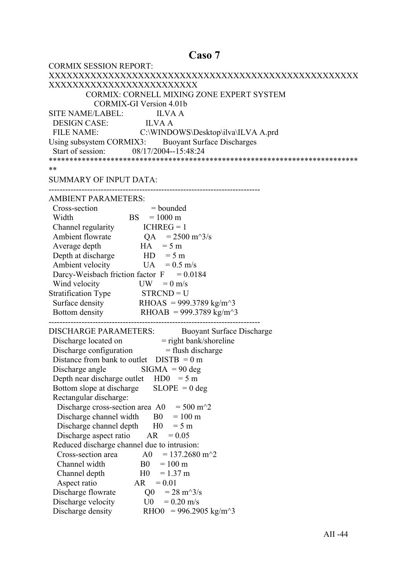# Caso 7

| <b>CORMIX SESSION REPORT:</b>                                                                             |
|-----------------------------------------------------------------------------------------------------------|
|                                                                                                           |
| XXXXXXXXXXXXXXXXXXXXXXXXX                                                                                 |
| <b>CORMIX: CORNELL MIXING ZONE EXPERT SYSTEM</b>                                                          |
| <b>CORMIX-GI Version 4.01b</b>                                                                            |
| SITE NAME/LABEL: ILVA A                                                                                   |
| DESIGN CASE: ILVA A                                                                                       |
| FILE NAME: C:\WINDOWS\Desktop\ilva\ILVA A.prd                                                             |
| Using subsystem CORMIX3: Buoyant Surface Discharges                                                       |
| Start of session: 08/17/2004--15:48:24                                                                    |
|                                                                                                           |
| **                                                                                                        |
| <b>SUMMARY OF INPUT DATA:</b>                                                                             |
|                                                                                                           |
| <b>AMBIENT PARAMETERS:</b>                                                                                |
| Cross-section<br>$=$ bounded                                                                              |
| $BS = 1000 \text{ m}$<br>Width                                                                            |
| Channel regularity $ICHREG = 1$                                                                           |
| Ambient flowrate $QA = 2500 \text{ m}^3/\text{s}$                                                         |
| $HA = 5 m$<br>Average depth                                                                               |
| Depth at discharge $HD = 5 m$                                                                             |
| Ambient velocity<br>$UA = 0.5$ m/s                                                                        |
| Darcy-Weisbach friction factor $F = 0.0184$                                                               |
| Wind velocity<br>$UW = 0$ m/s                                                                             |
|                                                                                                           |
| Stratification Type $STR CND = U$<br>Surface density RHOAS = 999.3789 kg/m <sup><math>\sim</math></sup> 3 |
| Bottom density RHOAB = 999.3789 kg/m <sup><math>\sim</math>3</sup>                                        |
|                                                                                                           |
| <b>DISCHARGE PARAMETERS:</b><br><b>Buoyant Surface Discharge</b>                                          |
|                                                                                                           |
| Discharge located on = right bank/shoreline<br>Discharge configuration = flush discharge                  |
| Distance from bank to outlet $DISTB = 0 m$                                                                |
| Discharge angle $\qquad$ SIGMA = 90 deg                                                                   |
| Depth near discharge outlet $HD0 = 5 m$                                                                   |
| $SLOPE = 0$ deg<br>Bottom slope at discharge                                                              |
| Rectangular discharge:                                                                                    |
| $= 500 \text{ m}^2$<br>Discharge cross-section area A0                                                    |
| $= 100 \text{ m}$<br>Discharge channel width<br>B <sub>0</sub>                                            |
| Discharge channel depth<br>H <sub>0</sub><br>$= 5 m$                                                      |
| Discharge aspect ratio<br>AR<br>$= 0.05$                                                                  |
| Reduced discharge channel due to intrusion:                                                               |
| $= 137.2680$ m <sup><math>\textdegree</math></sup> 2<br>Cross-section area<br>A0                          |
| Channel width<br>B <sub>0</sub><br>$= 100 \text{ m}$                                                      |
| H <sub>0</sub><br>$= 1.37$ m<br>Channel depth                                                             |
| Aspect ratio<br>AR<br>$= 0.01$                                                                            |
| $= 28 \text{ m}^3/\text{s}$<br>Discharge flowrate<br>Q <sub>0</sub>                                       |
| Discharge velocity<br>$= 0.20$ m/s<br>U0                                                                  |
| Discharge density<br>RHO0 = 996.2905 kg/m <sup><math>\text{A}</math>3</sup>                               |
|                                                                                                           |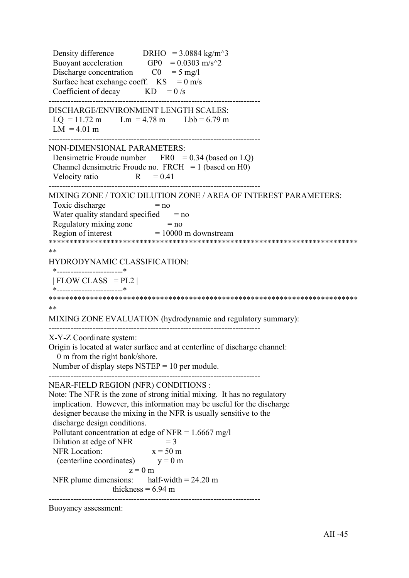Density difference DRHO =  $3.0884 \text{ kg/m}^3$ Buoyant acceleration GP0 =  $0.0303$  m/s<sup> $\textdegree$ </sup>2 Discharge concentration  $CO = 5$  mg/l Surface heat exchange coeff.  $KS = 0$  m/s Coefficient of decay  $KD = 0/s$ ----------------------------------------------------------------------------- DISCHARGE/ENVIRONMENT LENGTH SCALES:  $LQ = 11.72 \text{ m}$   $Lm = 4.78 \text{ m}$   $Lbb = 6.79 \text{ m}$  $LM = 4.01 m$ ----------------------------------------------------------------------------- NON-DIMENSIONAL PARAMETERS: Densimetric Froude number  $FRO = 0.34$  (based on LQ) Channel densimetric Froude no.  $FRCH = 1$  (based on H0) Velocity ratio  $R = 0.41$ ----------------------------------------------------------------------------- MIXING ZONE / TOXIC DILUTION ZONE / AREA OF INTEREST PARAMETERS: Toxic discharge  $= no$ Water quality standard specified  $=$  no Regulatory mixing zone  $= no$ Region of interest  $= 10000$  m downstream \*\*\*\*\*\*\*\*\*\*\*\*\*\*\*\*\*\*\*\*\*\*\*\*\*\*\*\*\*\*\*\*\*\*\*\*\*\*\*\*\*\*\*\*\*\*\*\*\*\*\*\*\*\*\*\*\*\*\*\*\*\*\*\*\*\*\*\*\*\*\*\*\*\*\* \*\* HYDRODYNAMIC CLASSIFICATION: \*------------------------\*  $| FLOW CLASS = PL2 |$  \*------------------------\* \*\*\*\*\*\*\*\*\*\*\*\*\*\*\*\*\*\*\*\*\*\*\*\*\*\*\*\*\*\*\*\*\*\*\*\*\*\*\*\*\*\*\*\*\*\*\*\*\*\*\*\*\*\*\*\*\*\*\*\*\*\*\*\*\*\*\*\*\*\*\*\*\*\*\* \*\* MIXING ZONE EVALUATION (hydrodynamic and regulatory summary): ----------------------------------------------------------------------------- X-Y-Z Coordinate system: Origin is located at water surface and at centerline of discharge channel: 0 m from the right bank/shore. Number of display steps  $NSTEP = 10$  per module. ----------------------------------------------------------------------------- NEAR-FIELD REGION (NFR) CONDITIONS : Note: The NFR is the zone of strong initial mixing. It has no regulatory implication. However, this information may be useful for the discharge designer because the mixing in the NFR is usually sensitive to the discharge design conditions. Pollutant concentration at edge of NFR =  $1.6667$  mg/l Dilution at edge of NFR  $= 3$ <br>NFR Location:  $x = 50$  m NFR Location: (centerline coordinates)  $y = 0$  m  $z = 0$  m NFR plume dimensions: half-width  $= 24.20$  m thickness  $= 6.94$  m -----------------------------------------------------------------------------

Buoyancy assessment: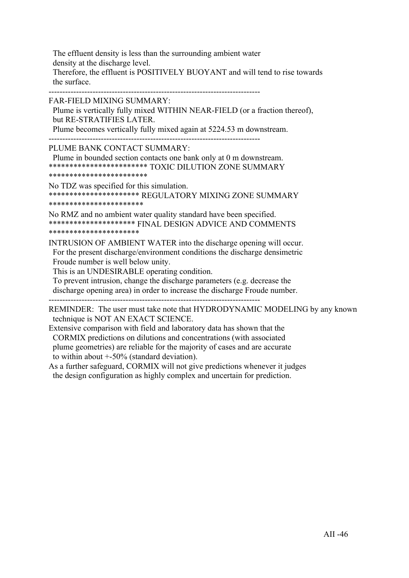The effluent density is less than the surrounding ambient water density at the discharge level.

 Therefore, the effluent is POSITIVELY BUOYANT and will tend to rise towards the surface.

-----------------------------------------------------------------------------

FAR-FIELD MIXING SUMMARY:

 Plume is vertically fully mixed WITHIN NEAR-FIELD (or a fraction thereof), but RE-STRATIFIES LATER.

Plume becomes vertically fully mixed again at 5224.53 m downstream.

-----------------------------------------------------------------------------

PLUME BANK CONTACT SUMMARY:

 Plume in bounded section contacts one bank only at 0 m downstream. \*\*\*\*\*\*\*\*\*\*\*\*\*\*\*\*\*\*\*\*\*\*\*\* TOXIC DILUTION ZONE SUMMARY \*\*\*\*\*\*\*\*\*\*\*\*\*\*\*\*\*\*\*\*\*\*\*\*

No TDZ was specified for this simulation. \*\*\*\*\*\*\*\*\*\*\*\*\*\*\*\*\*\*\*\*\*\* REGULATORY MIXING ZONE SUMMARY \*\*\*\*\*\*\*\*\*\*\*\*\*\*\*\*\*\*\*\*\*\*\*

No RMZ and no ambient water quality standard have been specified. \*\*\*\*\*\*\*\*\*\*\*\*\*\*\*\*\*\*\*\*\* FINAL DESIGN ADVICE AND COMMENTS \*\*\*\*\*\*\*\*\*\*\*\*\*\*\*\*\*\*\*\*\*\*

INTRUSION OF AMBIENT WATER into the discharge opening will occur. For the present discharge/environment conditions the discharge densimetric Froude number is well below unity.

This is an UNDESIRABLE operating condition.

 To prevent intrusion, change the discharge parameters (e.g. decrease the discharge opening area) in order to increase the discharge Froude number. -----------------------------------------------------------------------------

REMINDER: The user must take note that HYDRODYNAMIC MODELING by any known technique is NOT AN EXACT SCIENCE.

Extensive comparison with field and laboratory data has shown that the CORMIX predictions on dilutions and concentrations (with associated plume geometries) are reliable for the majority of cases and are accurate to within about +-50% (standard deviation).

As a further safeguard, CORMIX will not give predictions whenever it judges the design configuration as highly complex and uncertain for prediction.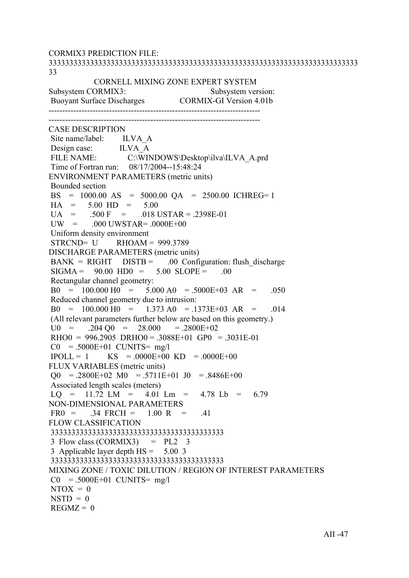CORMIX3 PREDICTION FILE: 333333333333333333333333333333333333333333333333333333333333333333333333333 33 CORNELL MIXING ZONE EXPERT SYSTEM Subsystem CORMIX3: Subsystem version: Buoyant Surface Discharges CORMIX-GI Version 4.01b ----------------------------------------------------------------------------- ----------------------------------------------------------------------------- CASE DESCRIPTION Site name/label: ILVA A Design case: ILVA A FILE NAME: C:\WINDOWS\Desktop\ilva\ILVA\_A.prd Time of Fortran run: 08/17/2004--15:48:24 ENVIRONMENT PARAMETERS (metric units) Bounded section BS = 1000.00 AS = 5000.00 QA = 2500.00 ICHREG= 1  $HA = 5.00 HD = 5.00$  $UA = .500 F = .018 \text{ USTAR} = .2398E-01$  $UW = 000$   $UWSTAR = 0000E+00$  Uniform density environment  $STRCND = U$  RHOAM = 999.3789 DISCHARGE PARAMETERS (metric units)  $BANK = RIGHT$   $DISTB = 00$  Configuration: flush discharge  $SIGMA = 90.00 HDO = 5.00 SLOPE = .00$  Rectangular channel geometry:  $B0 = 100.000 H0 = 5.000 A0 = 5000E+03 AR = .050$  Reduced channel geometry due to intrusion:  $B0 = 100.000 H0 = 1.373 A0 = .1373E+03 AR = .014$  (All relevant parameters further below are based on this geometry.)  $U0 = 0.204 \text{ O}0 = 28.000 = 0.2800E + 0.2$  $RHOO = 996.2905 \ \text{DRHO}0 = .3088E+01 \ \text{GPO} = .3031E-01$  $CO = .5000E+01$  CUNITS= mg/l  $IPOLL = 1$  KS = .0000E+00 KD = .0000E+00 FLUX VARIABLES (metric units)  $\Omega$  = .2800E+02 M0 = .5711E+01 J0 = .8486E+00 Associated length scales (meters)  $LO = 11.72$   $LM = 4.01$   $Lm = 4.78$   $Lb = 6.79$ NON-DIMENSIONAL PARAMETERS  $FR0 = 34$   $FRCH = 1.00$   $R = 41$ FLOW CLASSIFICATION 333333333333333333333333333333333333333333 3 Flow class (CORMIX3)  $= PL2$  3 3 Applicable layer depth HS = 5.00 3 333333333333333333333333333333333333333333 MIXING ZONE / TOXIC DILUTION / REGION OF INTEREST PARAMETERS  $CO = .5000E+01$  CUNITS= mg/l  $NTOX = 0$  $NSTD = 0$  $REGMZ = 0$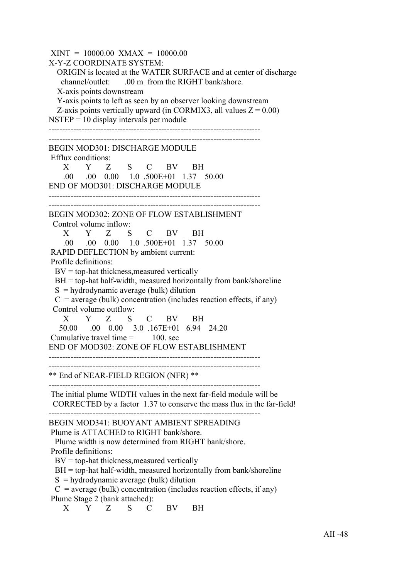$XINT = 10000.00$   $XMAX = 10000.00$ X-Y-Z COORDINATE SYSTEM: ORIGIN is located at the WATER SURFACE and at center of discharge channel/outlet: .00 m from the RIGHT bank/shore. X-axis points downstream Y-axis points to left as seen by an observer looking downstream Z-axis points vertically upward (in CORMIX3, all values  $Z = 0.00$ )  $NSTEP = 10$  display intervals per module ----------------------------------------------------------------------------- ----------------------------------------------------------------------------- BEGIN MOD301: DISCHARGE MODULE Efflux conditions: X Y Z S C BV BH .00 .00 0.00 1.0 .500E+01 1.37 50.00 END OF MOD301: DISCHARGE MODULE ----------------------------------------------------------------------------- ----------------------------------------------------------------------------- BEGIN MOD302: ZONE OF FLOW ESTABLISHMENT Control volume inflow: X Y Z S C BV BH .00 .00 0.00 1.0 .500E+01 1.37 50.00 RAPID DEFLECTION by ambient current: Profile definitions:  $BV =$  top-hat thickness, measured vertically  $BH = top-hat$  half-width, measured horizontally from bank/shoreline  $S =$ hydrodynamic average (bulk) dilution  $C$  = average (bulk) concentration (includes reaction effects, if any) Control volume outflow: X Y Z S C BV BH 50.00 .00 0.00 3.0 .167E+01 6.94 24.20 Cumulative travel time  $=$  100 sec END OF MOD302: ZONE OF FLOW ESTABLISHMENT ----------------------------------------------------------------------------- ----------------------------------------------------------------------------- \*\* End of NEAR-FIELD REGION (NFR) \*\* ----------------------------------------------------------------------------- The initial plume WIDTH values in the next far-field module will be CORRECTED by a factor 1.37 to conserve the mass flux in the far-field! ----------------------------------------------------------------------------- BEGIN MOD341: BUOYANT AMBIENT SPREADING Plume is ATTACHED to RIGHT bank/shore. Plume width is now determined from RIGHT bank/shore. Profile definitions:  $BV = top-hat$  thickness, measured vertically  $BH = top-hat$  half-width, measured horizontally from bank/shoreline  $S =$ hydrodynamic average (bulk) dilution  $C$  = average (bulk) concentration (includes reaction effects, if any) Plume Stage 2 (bank attached): X Y Z S C BV BH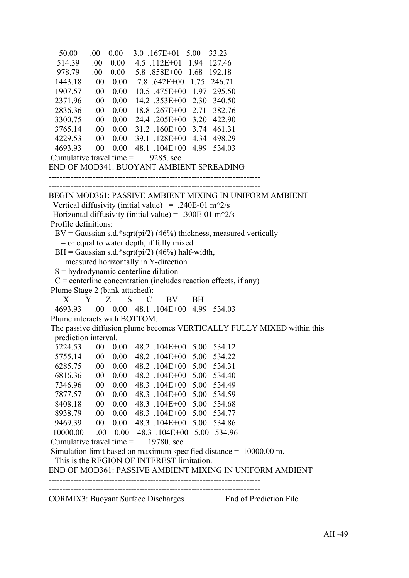```
 50.00 .00 0.00 3.0 .167E+01 5.00 33.23
   514.39 .00 0.00 4.5 .112E+01 1.94 127.46
   978.79 .00 0.00 5.8 .858E+00 1.68 192.18
  1443.18 .00 0.00 7.8 .642E+00 1.75 246.71
  1907.57 .00 0.00 10.5 .475E+00 1.97 295.50
  2371.96 .00 0.00 14.2 .353E+00 2.30 340.50
  2836.36 .00 0.00 18.8 .267E+00 2.71 382.76
  3300.75 .00 0.00 24.4 .205E+00 3.20 422.90
  3765.14 .00 0.00 31.2 .160E+00 3.74 461.31
  4229.53 .00 0.00 39.1 .128E+00 4.34 498.29
  4693.93 .00 0.00 48.1 .104E+00 4.99 534.03
Cumulative travel time = 9285. sec
END OF MOD341: BUOYANT AMBIENT SPREADING
   ------------------------------------------------------------------------------
BEGIN MOD361: PASSIVE AMBIENT MIXING IN UNIFORM AMBIENT
Vertical diffusivity (initial value) = .240E-01 m<sup>\sim2/s</sup>
Horizontal diffusivity (initial value) = .300E-01 m<sup>\gamma</sup>2/s
 Profile definitions:
 BV = Gaussian s.d.*sqrt(pi/2) (46%) thickness, measured vertically
    = or equal to water depth, if fully mixed
 BH = Gaussian s.d.*sart<b>(p</b>i/2) (46%) half-width. measured horizontally in Y-direction
 S = hydrodynamic centerline dilution
 C = centerline concentration (includes reaction effects, if any)
 Plume Stage 2 (bank attached):
 X Y Z S C BV BH
  4693.93 .00 0.00 48.1 .104E+00 4.99 534.03
 Plume interacts with BOTTOM.
 The passive diffusion plume becomes VERTICALLY FULLY MIXED within this
  prediction interval.
  5224.53 .00 0.00 48.2 .104E+00 5.00 534.12
  5755.14 .00 0.00 48.2 .104E+00 5.00 534.22
  6285.75 .00 0.00 48.2 .104E+00 5.00 534.31
  6816.36 .00 0.00 48.2 .104E+00 5.00 534.40
  7346.96 .00 0.00 48.3 .104E+00 5.00 534.49
  7877.57 .00 0.00 48.3 .104E+00 5.00 534.59
  8408.18 .00 0.00 48.3 .104E+00 5.00 534.68
  8938.79 .00 0.00 48.3 .104E+00 5.00 534.77
  9469.39 .00 0.00 48.3 .104E+00 5.00 534.86
  10000.00 .00 0.00 48.3 .104E+00 5.00 534.96
Cumulative travel time = 19780. sec
 Simulation limit based on maximum specified distance = 10000.00 m.
  This is the REGION OF INTEREST limitation.
END OF MOD361: PASSIVE AMBIENT MIXING IN UNIFORM AMBIENT
   -----------------------------------------------------------------------------
-----------------------------------------------------------------------------
CORMIX3: Buoyant Surface Discharges End of Prediction File
```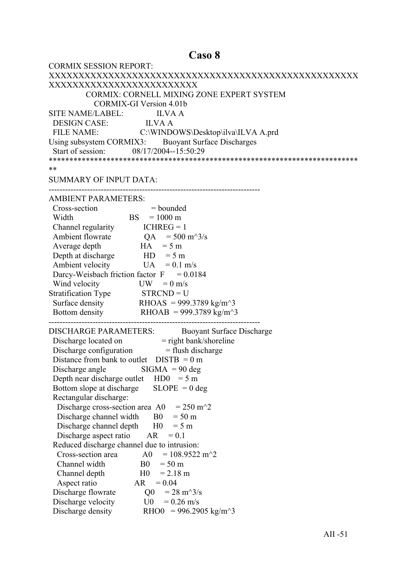#### Caso 8

| <b>CORMIX SESSION REPORT:</b>                                                            |
|------------------------------------------------------------------------------------------|
|                                                                                          |
| XXXXXXXXXXXXXXXXXXXXXXXXX                                                                |
| CORMIX: CORNELL MIXING ZONE EXPERT SYSTEM                                                |
| <b>CORMIX-GI Version 4.01b</b>                                                           |
| SITE NAME/LABEL: ILVA A                                                                  |
| DESIGN CASE: ILVA A                                                                      |
| FILE NAME: C:\WINDOWS\Desktop\ilva\ILVA A.prd                                            |
| Using subsystem CORMIX3: Buoyant Surface Discharges                                      |
| Start of session: 08/17/2004--15:50:29                                                   |
|                                                                                          |
| **                                                                                       |
| <b>SUMMARY OF INPUT DATA:</b>                                                            |
|                                                                                          |
| <b>AMBIENT PARAMETERS:</b>                                                               |
| Cross-section<br>$=$ bounded                                                             |
| $BS = 1000 \text{ m}$<br>Width                                                           |
| Channel regularity $ICHREG = 1$                                                          |
| Ambient flowrate $QA = 500 \text{ m}^3/\text{s}$                                         |
| $HA = 5 m$<br>Average depth                                                              |
| Depth at discharge $HD = 5 m$                                                            |
| Ambient velocity<br>$UA = 0.1$ m/s                                                       |
| Darcy-Weisbach friction factor $F = 0.0184$                                              |
| Wind velocity<br>$UW = 0$ m/s                                                            |
| Stratification Type STRCND = U                                                           |
| Surface density RHOAS = 999.3789 kg/m <sup><math>\sim</math></sup> 3                     |
| Bottom density RHOAB = 999.3789 kg/m <sup><math>\sim</math>3</sup>                       |
|                                                                                          |
| <b>DISCHARGE PARAMETERS:</b><br><b>Buoyant Surface Discharge</b>                         |
|                                                                                          |
| Discharge located on = right bank/shoreline<br>Discharge configuration = flush discharge |
| Distance from bank to outlet $DISTB = 0 m$                                               |
| Discharge angle $\qquad$ SIGMA = 90 deg                                                  |
| Depth near discharge outlet $HD0 = 5 m$                                                  |
| $SLOPE = 0$ deg<br>Bottom slope at discharge                                             |
| Rectangular discharge:                                                                   |
| $= 250$ m <sup><math>\textdegree</math></sup> 2<br>Discharge cross-section area A0       |
| Discharge channel width<br>B <sub>0</sub><br>$= 50 \text{ m}$                            |
| Discharge channel depth<br>H <sub>0</sub><br>$= 5 m$                                     |
| Discharge aspect ratio<br>AR<br>$= 0.1$                                                  |
| Reduced discharge channel due to intrusion:                                              |
| $= 108.9522 \text{ m}^2$<br>Cross-section area<br>A0                                     |
| Channel width<br>B <sub>0</sub><br>$= 50 \text{ m}$                                      |
| H <sub>0</sub><br>$= 2.18 \text{ m}$<br>Channel depth                                    |
| Aspect ratio<br>AR<br>$= 0.04$                                                           |
| Discharge flowrate<br>$= 28 \text{ m}^3/\text{s}$<br>Q <sub>0</sub>                      |
| Discharge velocity<br>U0<br>$= 0.26$ m/s                                                 |
| Discharge density<br>RHO0 = 996.2905 kg/m <sup><math>\text{A}</math>3</sup>              |
|                                                                                          |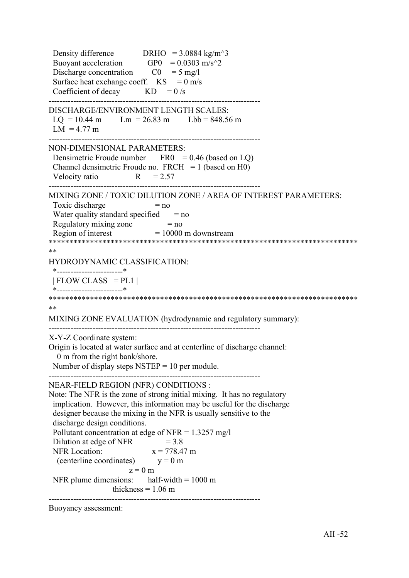Density difference DRHO =  $3.0884 \text{ kg/m}^3$ Buoyant acceleration GP0 =  $0.0303$  m/s<sup> $\textdegree$ </sup>2 Discharge concentration  $CO = 5$  mg/l Surface heat exchange coeff.  $KS = 0$  m/s Coefficient of decay  $KD = 0/s$ ----------------------------------------------------------------------------- DISCHARGE/ENVIRONMENT LENGTH SCALES:  $LQ = 10.44$  m  $Lm = 26.83$  m  $Lbb = 848.56$  m  $LM = 4.77 m$ ----------------------------------------------------------------------------- NON-DIMENSIONAL PARAMETERS: Densimetric Froude number  $FRO = 0.46$  (based on LQ) Channel densimetric Froude no.  $FRCH = 1$  (based on H0) Velocity ratio  $R = 2.57$ ----------------------------------------------------------------------------- MIXING ZONE / TOXIC DILUTION ZONE / AREA OF INTEREST PARAMETERS: Toxic discharge  $= no$ Water quality standard specified  $=$  no Regulatory mixing zone  $= no$ Region of interest  $= 10000$  m downstream \*\*\*\*\*\*\*\*\*\*\*\*\*\*\*\*\*\*\*\*\*\*\*\*\*\*\*\*\*\*\*\*\*\*\*\*\*\*\*\*\*\*\*\*\*\*\*\*\*\*\*\*\*\*\*\*\*\*\*\*\*\*\*\*\*\*\*\*\*\*\*\*\*\*\* \*\* HYDRODYNAMIC CLASSIFICATION: \*------------------------\*  $| FLOW CLASS = PL1 |$  \*------------------------\* \*\*\*\*\*\*\*\*\*\*\*\*\*\*\*\*\*\*\*\*\*\*\*\*\*\*\*\*\*\*\*\*\*\*\*\*\*\*\*\*\*\*\*\*\*\*\*\*\*\*\*\*\*\*\*\*\*\*\*\*\*\*\*\*\*\*\*\*\*\*\*\*\*\*\* \*\* MIXING ZONE EVALUATION (hydrodynamic and regulatory summary): ----------------------------------------------------------------------------- X-Y-Z Coordinate system: Origin is located at water surface and at centerline of discharge channel: 0 m from the right bank/shore. Number of display steps  $NSTEP = 10$  per module. ----------------------------------------------------------------------------- NEAR-FIELD REGION (NFR) CONDITIONS : Note: The NFR is the zone of strong initial mixing. It has no regulatory implication. However, this information may be useful for the discharge designer because the mixing in the NFR is usually sensitive to the discharge design conditions. Pollutant concentration at edge of NFR =  $1.3257$  mg/l Dilution at edge of NFR  $= 3.8$ NFR Location:  $x = 778.47$  m (centerline coordinates)  $y = 0$  m  $z = 0$  m NFR plume dimensions: half-width  $= 1000 \text{ m}$ thickness  $= 1.06$  m -----------------------------------------------------------------------------

Buoyancy assessment: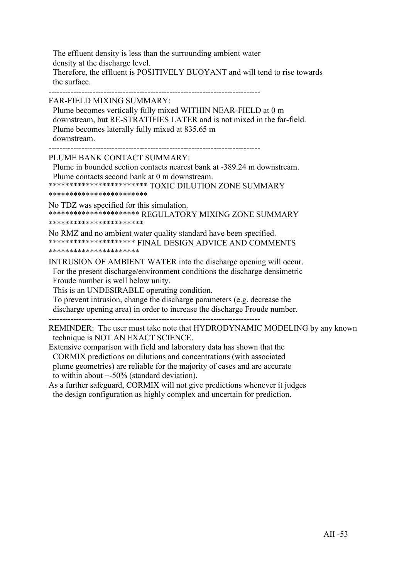The effluent density is less than the surrounding ambient water density at the discharge level. Therefore, the effluent is POSITIVELY BUOYANT and will tend to rise towards the surface.

-----------------------------------------------------------------------------

FAR-FIELD MIXING SUMMARY:

 Plume becomes vertically fully mixed WITHIN NEAR-FIELD at 0 m downstream, but RE-STRATIFIES LATER and is not mixed in the far-field. Plume becomes laterally fully mixed at 835.65 m downstream.

-----------------------------------------------------------------------------

PLUME BANK CONTACT SUMMARY:

 Plume in bounded section contacts nearest bank at -389.24 m downstream. Plume contacts second bank at 0 m downstream.

\*\*\*\*\*\*\*\*\*\*\*\*\*\*\*\*\*\*\*\*\*\*\*\* TOXIC DILUTION ZONE SUMMARY

\*\*\*\*\*\*\*\*\*\*\*\*\*\*\*\*\*\*\*\*\*\*\*\*

No TDZ was specified for this simulation. \*\*\*\*\*\*\*\*\*\*\*\*\*\*\*\*\*\*\*\*\*\* REGULATORY MIXING ZONE SUMMARY \*\*\*\*\*\*\*\*\*\*\*\*\*\*\*\*\*\*\*\*\*\*\*

No RMZ and no ambient water quality standard have been specified. \*\*\*\*\*\*\*\*\*\*\*\*\*\*\*\*\*\*\*\*\* FINAL DESIGN ADVICE AND COMMENTS \*\*\*\*\*\*\*\*\*\*\*\*\*\*\*\*\*\*\*\*\*\*

INTRUSION OF AMBIENT WATER into the discharge opening will occur. For the present discharge/environment conditions the discharge densimetric Froude number is well below unity.

This is an UNDESIRABLE operating condition.

 To prevent intrusion, change the discharge parameters (e.g. decrease the discharge opening area) in order to increase the discharge Froude number.

-----------------------------------------------------------------------------

REMINDER: The user must take note that HYDRODYNAMIC MODELING by any known technique is NOT AN EXACT SCIENCE.

Extensive comparison with field and laboratory data has shown that the CORMIX predictions on dilutions and concentrations (with associated plume geometries) are reliable for the majority of cases and are accurate to within about +-50% (standard deviation).

As a further safeguard, CORMIX will not give predictions whenever it judges the design configuration as highly complex and uncertain for prediction.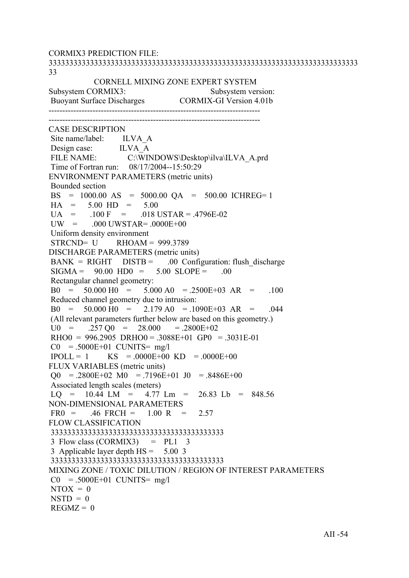CORMIX3 PREDICTION FILE: 333333333333333333333333333333333333333333333333333333333333333333333333333 33 CORNELL MIXING ZONE EXPERT SYSTEM Subsystem CORMIX3: Subsystem version: Buoyant Surface Discharges CORMIX-GI Version 4.01b ----------------------------------------------------------------------------- ----------------------------------------------------------------------------- CASE DESCRIPTION Site name/label: ILVA A Design case: ILVA\_A<br>FILE NAME: C:\WIN C:\WINDOWS\Desktop\ilva\ILVA\_A.prd Time of Fortran run: 08/17/2004--15:50:29 ENVIRONMENT PARAMETERS (metric units) Bounded section BS = 1000.00 AS = 5000.00 QA = 500.00 ICHREG= 1  $HA = 5.00 HD = 5.00$  $U_A$  = .100 F = .018 USTAR = .4796E-02  $UW = 000$   $UWSTAR = 0000E+00$  Uniform density environment STRCND= U RHOAM = 999.3789 DISCHARGE PARAMETERS (metric units)  $BANK = RIGHT$   $DISTB = 00$  Configuration: flush discharge  $SIGMA = 90.00 HDO = 5.00 SLOPE = .00$  Rectangular channel geometry:  $B0 = 50.000 H0 = 5.000 A0 = 2500E+03 AR = 100$  Reduced channel geometry due to intrusion:  $B0 = 50.000 \text{ H}0 = 2.179 \text{ A}0 = 1090E+03 \text{ AR} = 0.044$  (All relevant parameters further below are based on this geometry.)  $U0 = 0.257 \,\mathrm{O}0 = 28.000 = 0.2800E + 0.2$  $RHOO = 996.2905 \ \text{DRHO}0 = .3088E+01 \ \text{GPO} = .3031E-01$  $CO = .5000E+01$  CUNITS= mg/l  $IPOLL = 1$  KS = .0000E+00 KD = .0000E+00 FLUX VARIABLES (metric units)  $\Omega$  = .2800E+02 M0 = .7196E+01 J0 = .8486E+00 Associated length scales (meters)  $LO = 10.44$   $LM = 4.77$   $Lm = 26.83$   $Lb = 848.56$ NON-DIMENSIONAL PARAMETERS  $FR0 = .46$  FRCH =  $1.00$  R = 2.57 FLOW CLASSIFICATION 333333333333333333333333333333333333333333  $3$  Flow class (CORMIX3) = PL1  $3$  3 Applicable layer depth HS = 5.00 3 333333333333333333333333333333333333333333 MIXING ZONE / TOXIC DILUTION / REGION OF INTEREST PARAMETERS  $CO = .5000E+01$  CUNITS= mg/l  $NTOX = 0$  $NSTD = 0$  $REGMZ = 0$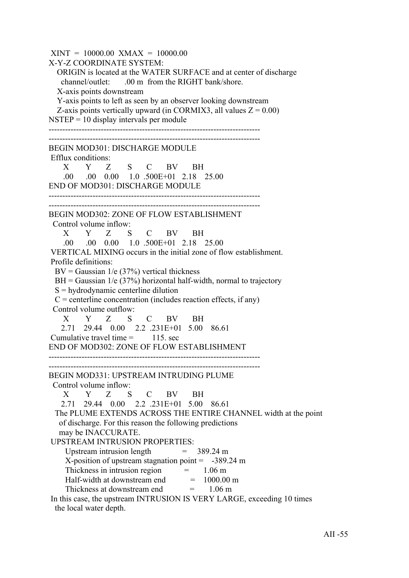$XINT = 10000.00$   $XMAX = 10000.00$ X-Y-Z COORDINATE SYSTEM: ORIGIN is located at the WATER SURFACE and at center of discharge channel/outlet: .00 m from the RIGHT bank/shore. X-axis points downstream Y-axis points to left as seen by an observer looking downstream Z-axis points vertically upward (in CORMIX3, all values  $Z = 0.00$ )  $NSTEP = 10$  display intervals per module ----------------------------------------------------------------------------- ----------------------------------------------------------------------------- BEGIN MOD301: DISCHARGE MODULE Efflux conditions: X Y Z S C BV BH .00 .00 0.00 1.0 .500E+01 2.18 25.00 END OF MOD301: DISCHARGE MODULE ----------------------------------------------------------------------------- ----------------------------------------------------------------------------- BEGIN MOD302: ZONE OF FLOW ESTABLISHMENT Control volume inflow: X Y Z S C BV BH .00 .00 0.00 1.0 .500E+01 2.18 25.00 VERTICAL MIXING occurs in the initial zone of flow establishment. Profile definitions:  $BV = Gaussian \ 1/e \ (37\%)$  vertical thickness  $BH = Gaussian$  1/e (37%) horizontal half-width, normal to trajectory S = hydrodynamic centerline dilution  $C =$  centerline concentration (includes reaction effects, if any) Control volume outflow: X Y Z S C BV BH 2.71 29.44 0.00 2.2 .231E+01 5.00 86.61 Cumulative travel time  $=$  115. sec END OF MOD302: ZONE OF FLOW ESTABLISHMENT ----------------------------------------------------------------------------- ----------------------------------------------------------------------------- BEGIN MOD331: UPSTREAM INTRUDING PLUME Control volume inflow: X Y Z S C BV BH 2.71 29.44 0.00 2.2 .231E+01 5.00 86.61 The PLUME EXTENDS ACROSS THE ENTIRE CHANNEL width at the point of discharge. For this reason the following predictions may be INACCURATE. UPSTREAM INTRUSION PROPERTIES: Upstream intrusion length  $= 389.24 \text{ m}$  $X$ -position of upstream stagnation point =  $-389.24$  m Thickness in intrusion region  $=$  1.06 m Half-width at downstream end  $= 1000.00$  m Thickness at downstream end  $= 1.06 \text{ m}$  In this case, the upstream INTRUSION IS VERY LARGE, exceeding 10 times the local water depth.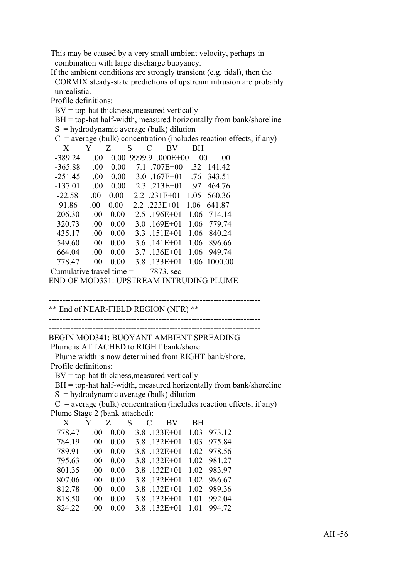This may be caused by a very small ambient velocity, perhaps in combination with large discharge buoyancy.

 If the ambient conditions are strongly transient (e.g. tidal), then the CORMIX steady-state predictions of upstream intrusion are probably unrealistic.

Profile definitions:

BV = top-hat thickness,measured vertically

 $BH = top-hat$  half-width, measured horizontally from bank/shoreline

 $S = \frac{1}{2}$  hydrodynamic average (bulk) dilution

|                            |         |      |   | hydrodynamic average (buik) dirution        |           |              |                                                                        |
|----------------------------|---------|------|---|---------------------------------------------|-----------|--------------|------------------------------------------------------------------------|
|                            |         |      |   |                                             |           |              | $C$ = average (bulk) concentration (includes reaction effects, if any) |
| X                          | Y       | Z    | S | C<br>BV                                     | <b>BH</b> |              |                                                                        |
| $-389.24$                  | .00.    |      |   | $0.00$ 9999.9 $.000E+00$                    | .00       | .00          |                                                                        |
| $-365.88$                  | .00.    | 0.00 |   | 7.1 .707E+00                                |           | .32 141.42   |                                                                        |
| $-251.45$                  | $.00\,$ |      |   | $0.00$ $3.0$ $167E+01$ $76$ $343.51$        |           |              |                                                                        |
| $-137.01$                  | .00.    |      |   | $0.00 \quad 2.3 \quad 213E+01$              | .97       | 464.76       |                                                                        |
| $-22.58$                   | $.00\,$ | 0.00 |   | 2.2 .231E+01 1.05 560.36                    |           |              |                                                                        |
| 91.86                      | .00.    | 0.00 |   | $2.2$ $.223E+01$ 1.06 641.87                |           |              |                                                                        |
| 206.30                     | .00.    | 0.00 |   | 2.5 .196E+01 1.06 714.14                    |           |              |                                                                        |
| 320.73                     | .00.    | 0.00 |   | $3.0$ .169E+01                              |           | 1.06 779.74  |                                                                        |
| 435.17                     | .00.    | 0.00 |   | $3.3$ .151E+01                              |           | 1.06 840.24  |                                                                        |
| 549.60                     | $.00\,$ | 0.00 |   | $3.6$ .141E+01                              |           | 1.06 896.66  |                                                                        |
| 664.04                     | $.00\,$ | 0.00 |   | 3.7 .136E+01 1.06 949.74                    |           |              |                                                                        |
| 778.47                     | .00.    | 0.00 |   | $3.8$ .133E+01                              |           | 1.06 1000.00 |                                                                        |
| Cumulative travel time $=$ |         |      |   | 7873. sec                                   |           |              |                                                                        |
|                            |         |      |   | ENID OE MOD221. UDETDE AM INTDUDINIC DI UME |           |              |                                                                        |

END OF MOD331: UPSTREAM INTRUDING PLUME

----------------------------------------------------------------------------- -----------------------------------------------------------------------------

\*\* End of NEAR-FIELD REGION (NFR) \*\*

-----------------------------------------------------------------------------

----------------------------------------------------------------------------- BEGIN MOD341: BUOYANT AMBIENT SPREADING

Plume is ATTACHED to RIGHT bank/shore.

 Plume width is now determined from RIGHT bank/shore. Profile definitions:

 $BV = top-hat$  thickness, measured vertically

BH = top-hat half-width, measured horizontally from bank/shoreline

 $S =$ hydrodynamic average (bulk) dilution

 $C$  = average (bulk) concentration (includes reaction effects, if any) Plume Stage 2 (bank attached):

| X      | Y        | Z S  |  | C BV           | BH.  |             |
|--------|----------|------|--|----------------|------|-------------|
| 778.47 | $\Omega$ | 0.00 |  | $3.8$ .133E+01 |      | 1.03 973.12 |
| 784.19 | 00       | 0.00 |  | $3.8$ .132E+01 |      | 1.03 975.84 |
| 789.91 | 00       | 0.00 |  | $3.8$ .132E+01 |      | 1.02 978.56 |
| 795.63 | 00       | 0.00 |  | $3.8$ .132E+01 |      | 1.02 981.27 |
| 801.35 | 00       | 0.00 |  | $3.8$ .132E+01 |      | 1.02 983.97 |
| 807.06 | 00       | 0.00 |  | $3.8$ .132E+01 |      | 1.02 986.67 |
| 812.78 | .00      | 0.00 |  | $3.8$ .132E+01 |      | 1.02 989.36 |
| 818.50 | 00       | 0.00 |  | $3.8$ .132E+01 |      | 1.01 992.04 |
| 824.22 | 00       | 0.00 |  | 3.8 132E+01    | 1.01 | 994 72      |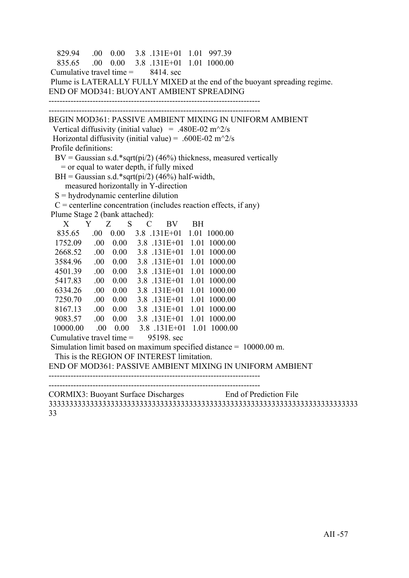```
 829.94 .00 0.00 3.8 .131E+01 1.01 997.39
   835.65 .00 0.00 3.8 .131E+01 1.01 1000.00
Cumulative travel time = 8414. sec
 Plume is LATERALLY FULLY MIXED at the end of the buoyant spreading regime.
END OF MOD341: BUOYANT AMBIENT SPREADING
-----------------------------------------------------------------------------
     -----------------------------------------------------------------------------
BEGIN MOD361: PASSIVE AMBIENT MIXING IN UNIFORM AMBIENT
 Vertical diffusivity (initial value) = .480E-02 m<sup>\gamma</sup>2/s
Horizontal diffusivity (initial value) = .600E-02 m<sup>\sim2/s</sup>
 Profile definitions:
 BV = Gaussian s.d.*sqrt(pi/2) (46%) thickness, measured vertically
    = or equal to water depth, if fully mixed
 BH = Gaussian s.d.*sqrt(pi/2) (46%) half-width,
     measured horizontally in Y-direction
 S = hydrodynamic centerline dilution
 C = centerline concentration (includes reaction effects, if any)
 Plume Stage 2 (bank attached):
 X Y Z S C BV BH
   835.65 .00 0.00 3.8 .131E+01 1.01 1000.00
  1752.09 .00 0.00 3.8 .131E+01 1.01 1000.00
  2668.52 .00 0.00 3.8 .131E+01 1.01 1000.00
  3584.96 .00 0.00 3.8 .131E+01 1.01 1000.00
  4501.39 .00 0.00 3.8 .131E+01 1.01 1000.00
  5417.83 .00 0.00 3.8 .131E+01 1.01 1000.00
  6334.26 .00 0.00 3.8 .131E+01 1.01 1000.00
  7250.70 .00 0.00 3.8 .131E+01 1.01 1000.00
  8167.13 .00 0.00 3.8 .131E+01 1.01 1000.00
  9083.57 .00 0.00 3.8 .131E+01 1.01 1000.00
  10000.00 .00 0.00 3.8 .131E+01 1.01 1000.00
Cumulative travel time = 95198. sec
 Simulation limit based on maximum specified distance = 10000.00 m.
  This is the REGION OF INTEREST limitation.
END OF MOD361: PASSIVE AMBIENT MIXING IN UNIFORM AMBIENT
-----------------------------------------------------------------------------
   -----------------------------------------------------------------------------
CORMIX3: Buoyant Surface Discharges End of Prediction File
333333333333333333333333333333333333333333333333333333333333333333333333333
```
33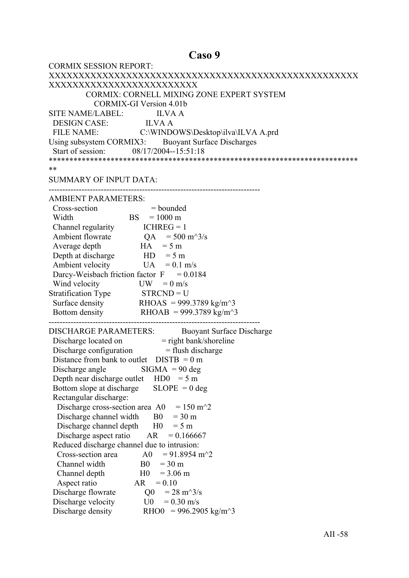#### Caso 9

| <b>CORMIX SESSION REPORT:</b>                                                            |
|------------------------------------------------------------------------------------------|
|                                                                                          |
| XXXXXXXXXXXXXXXXXXXXXXXXX                                                                |
| CORMIX: CORNELL MIXING ZONE EXPERT SYSTEM                                                |
| <b>CORMIX-GI Version 4.01b</b>                                                           |
| SITE NAME/LABEL: ILVA A                                                                  |
|                                                                                          |
| DESIGN CASE: ILVA A<br>FILE NAME: C:\WINDOWS\Desktop\ilva\ILVA A.prd                     |
| Using subsystem CORMIX3: Buoyant Surface Discharges                                      |
| Start of session: 08/17/2004--15:51:18                                                   |
|                                                                                          |
| **                                                                                       |
| <b>SUMMARY OF INPUT DATA:</b>                                                            |
|                                                                                          |
| <b>AMBIENT PARAMETERS:</b>                                                               |
| Cross-section<br>$=$ bounded                                                             |
| ion $=$ bounde<br>BS $=$ 1000 m<br>Width                                                 |
| Channel regularity $ICHREG = 1$                                                          |
| Ambient flowrate $QA = 500 \text{ m}^3/\text{s}$                                         |
| $HA = 5 m$<br>Average depth                                                              |
| Depth at discharge $HD = 5 m$                                                            |
| Ambient velocity<br>$UA = 0.1$ m/s                                                       |
| Darcy-Weisbach friction factor $F = 0.0184$                                              |
| Wind velocity<br>$UW = 0$ m/s                                                            |
| Stratification Type $STR CND = U$                                                        |
| Surface density RHOAS = 999.3789 kg/m <sup><math>\sim</math></sup> 3                     |
| Bottom density RHOAB = 999.3789 kg/m <sup><math>\sim</math></sup> 3                      |
|                                                                                          |
| <b>DISCHARGE PARAMETERS:</b><br><b>Buoyant Surface Discharge</b>                         |
|                                                                                          |
| Discharge located on = right bank/shoreline<br>Discharge configuration = flush discharge |
| Distance from bank to outlet $DISTB = 0 m$                                               |
| Discharge angle $\qquad$ SIGMA = 90 deg                                                  |
| Depth near discharge outlet $HD0 = 5 m$                                                  |
| $SLOPE = 0$ deg<br>Bottom slope at discharge                                             |
| Rectangular discharge:                                                                   |
| $= 150$ m <sup><math>\sim</math></sup> 2<br>Discharge cross-section area A0              |
| Discharge channel width<br>$=$ 30 m<br>B <sub>0</sub>                                    |
| Discharge channel depth<br>H <sub>0</sub><br>$= 5 m$                                     |
| Discharge aspect ratio<br>AR<br>$= 0.166667$                                             |
| Reduced discharge channel due to intrusion:                                              |
| Cross-section area<br>$= 91.8954 \text{ m}^2$<br>A0                                      |
| Channel width<br>B <sub>0</sub><br>$=$ 30 m                                              |
| H <sub>0</sub><br>Channel depth<br>$= 3.06$ m                                            |
| Aspect ratio<br>AR<br>$= 0.10$                                                           |
| Discharge flowrate<br>$= 28 \text{ m}^3/\text{s}$<br>Q <sub>0</sub>                      |
| Discharge velocity<br>U0<br>$= 0.30$ m/s                                                 |
| Discharge density<br>RHO0 = 996.2905 kg/m <sup><math>\sim</math>3</sup>                  |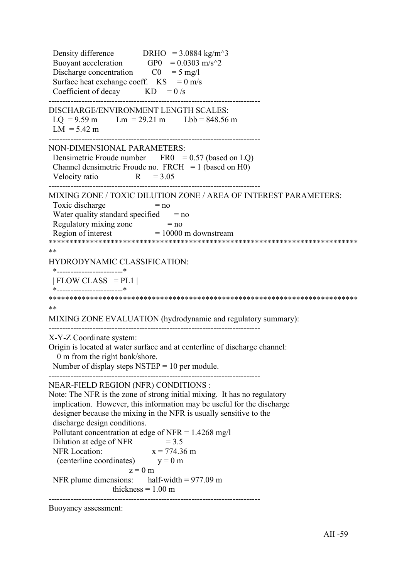Density difference DRHO =  $3.0884 \text{ kg/m}^3$ Buoyant acceleration GP0 =  $0.0303$  m/s<sup> $\textdegree$ </sup>2 Discharge concentration  $CO = 5$  mg/l Surface heat exchange coeff.  $KS = 0$  m/s Coefficient of decay  $KD = 0/s$ ----------------------------------------------------------------------------- DISCHARGE/ENVIRONMENT LENGTH SCALES:  $LQ = 9.59$  m  $Lm = 29.21$  m  $Lbb = 848.56$  m  $LM = 5.42 m$ ----------------------------------------------------------------------------- NON-DIMENSIONAL PARAMETERS: Densimetric Froude number  $FRO = 0.57$  (based on LQ) Channel densimetric Froude no.  $FRCH = 1$  (based on H0) Velocity ratio  $R = 3.05$ ----------------------------------------------------------------------------- MIXING ZONE / TOXIC DILUTION ZONE / AREA OF INTEREST PARAMETERS: Toxic discharge  $= no$ Water quality standard specified  $=$  no Regulatory mixing zone  $= no$ Region of interest  $= 10000$  m downstream \*\*\*\*\*\*\*\*\*\*\*\*\*\*\*\*\*\*\*\*\*\*\*\*\*\*\*\*\*\*\*\*\*\*\*\*\*\*\*\*\*\*\*\*\*\*\*\*\*\*\*\*\*\*\*\*\*\*\*\*\*\*\*\*\*\*\*\*\*\*\*\*\*\*\* \*\* HYDRODYNAMIC CLASSIFICATION: \*------------------------\*  $| FLOW CLASS = PL1 |$  \*------------------------\* \*\*\*\*\*\*\*\*\*\*\*\*\*\*\*\*\*\*\*\*\*\*\*\*\*\*\*\*\*\*\*\*\*\*\*\*\*\*\*\*\*\*\*\*\*\*\*\*\*\*\*\*\*\*\*\*\*\*\*\*\*\*\*\*\*\*\*\*\*\*\*\*\*\*\* \*\* MIXING ZONE EVALUATION (hydrodynamic and regulatory summary): ----------------------------------------------------------------------------- X-Y-Z Coordinate system: Origin is located at water surface and at centerline of discharge channel: 0 m from the right bank/shore. Number of display steps  $NSTEP = 10$  per module. ----------------------------------------------------------------------------- NEAR-FIELD REGION (NFR) CONDITIONS : Note: The NFR is the zone of strong initial mixing. It has no regulatory implication. However, this information may be useful for the discharge designer because the mixing in the NFR is usually sensitive to the discharge design conditions. Pollutant concentration at edge of NFR =  $1.4268$  mg/l Dilution at edge of NFR  $= 3.5$ NFR Location:  $x = 774.36$  m (centerline coordinates)  $y = 0$  m  $z = 0$  m NFR plume dimensions: half-width = 977.09 m thickness  $= 1.00$  m -----------------------------------------------------------------------------

Buoyancy assessment: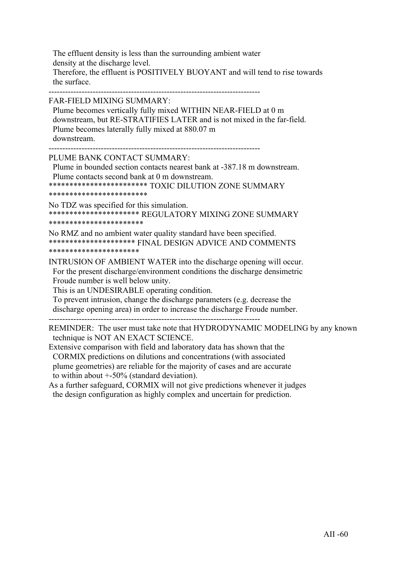The effluent density is less than the surrounding ambient water density at the discharge level. Therefore, the effluent is POSITIVELY BUOYANT and will tend to rise towards the surface.

-----------------------------------------------------------------------------

FAR-FIELD MIXING SUMMARY:

 Plume becomes vertically fully mixed WITHIN NEAR-FIELD at 0 m downstream, but RE-STRATIFIES LATER and is not mixed in the far-field. Plume becomes laterally fully mixed at 880.07 m downstream.

-----------------------------------------------------------------------------

PLUME BANK CONTACT SUMMARY:

 Plume in bounded section contacts nearest bank at -387.18 m downstream. Plume contacts second bank at 0 m downstream.

\*\*\*\*\*\*\*\*\*\*\*\*\*\*\*\*\*\*\*\*\*\*\*\* TOXIC DILUTION ZONE SUMMARY

\*\*\*\*\*\*\*\*\*\*\*\*\*\*\*\*\*\*\*\*\*\*\*\*

No TDZ was specified for this simulation. \*\*\*\*\*\*\*\*\*\*\*\*\*\*\*\*\*\*\*\*\*\* REGULATORY MIXING ZONE SUMMARY \*\*\*\*\*\*\*\*\*\*\*\*\*\*\*\*\*\*\*\*\*\*\*

No RMZ and no ambient water quality standard have been specified. \*\*\*\*\*\*\*\*\*\*\*\*\*\*\*\*\*\*\*\*\* FINAL DESIGN ADVICE AND COMMENTS \*\*\*\*\*\*\*\*\*\*\*\*\*\*\*\*\*\*\*\*\*\*

INTRUSION OF AMBIENT WATER into the discharge opening will occur. For the present discharge/environment conditions the discharge densimetric Froude number is well below unity.

This is an UNDESIRABLE operating condition.

 To prevent intrusion, change the discharge parameters (e.g. decrease the discharge opening area) in order to increase the discharge Froude number.

-----------------------------------------------------------------------------

REMINDER: The user must take note that HYDRODYNAMIC MODELING by any known technique is NOT AN EXACT SCIENCE.

Extensive comparison with field and laboratory data has shown that the CORMIX predictions on dilutions and concentrations (with associated plume geometries) are reliable for the majority of cases and are accurate to within about +-50% (standard deviation).

As a further safeguard, CORMIX will not give predictions whenever it judges the design configuration as highly complex and uncertain for prediction.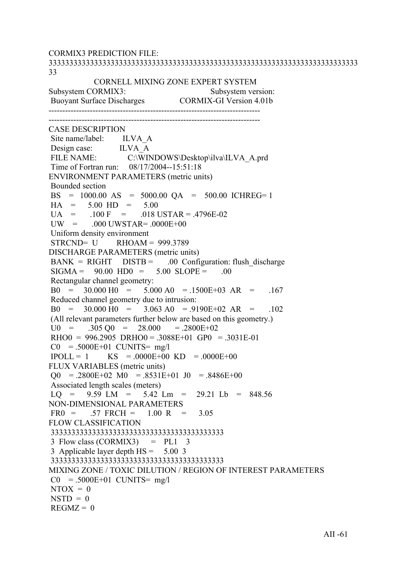CORMIX3 PREDICTION FILE: 333333333333333333333333333333333333333333333333333333333333333333333333333 33 CORNELL MIXING ZONE EXPERT SYSTEM Subsystem CORMIX3: Subsystem version: Buoyant Surface Discharges CORMIX-GI Version 4.01b ----------------------------------------------------------------------------- ----------------------------------------------------------------------------- CASE DESCRIPTION Site name/label: ILVA A Design case: ILVA\_A<br>FILE NAME: C:\WIN C:\WINDOWS\Desktop\ilva\ILVA\_A.prd Time of Fortran run: 08/17/2004--15:51:18 ENVIRONMENT PARAMETERS (metric units) Bounded section BS = 1000.00 AS = 5000.00 QA = 500.00 ICHREG= 1  $HA = 5.00 HD = 5.00$  $UA = 100 F = 018 \text{ USTAR} = .4796E-02$  $UW = 000$  UWSTAR=  $.0000E+00$  Uniform density environment  $STRCND = U$  RHOAM = 999.3789 DISCHARGE PARAMETERS (metric units)  $BANK = RIGHT$   $DISTB = 00$  Configuration: flush discharge  $SIGMA = 90.00 HDO = 5.00 SLOPE = .00$  Rectangular channel geometry:  $B0 = 30.000 H0 = 5.000 A0 = 1500E+03 AR = 167$  Reduced channel geometry due to intrusion:  $B0 = 30.000 \text{ H}0 = 3.063 \text{ A}0 = .9190E+02 \text{ AR} = .102$  (All relevant parameters further below are based on this geometry.)  $U0 = 0.305 \,\mathrm{O}0 = 28.000 = 0.2800E + 0.2$  $RHOO = 996.2905 \ \text{DRHO}0 = .3088E+01 \ \text{GPO} = .3031E-01$  $CO = .5000E+01$  CUNITS= mg/l  $IPOLL = 1$  KS = .0000E+00 KD = .0000E+00 FLUX VARIABLES (metric units)  $\Omega$  = .2800E+02 M0 = .8531E+01 J0 = .8486E+00 Associated length scales (meters)  $LO = 9.59$   $LM = 5.42$   $Lm = 29.21$   $Lb = 848.56$ NON-DIMENSIONAL PARAMETERS  $FR0 = .57$   $FRCH = 1.00$  R = 3.05 FLOW CLASSIFICATION 333333333333333333333333333333333333333333 3 Flow class  $(CORMIX3)$  = PL1 3 3 Applicable layer depth HS = 5.00 3 333333333333333333333333333333333333333333 MIXING ZONE / TOXIC DILUTION / REGION OF INTEREST PARAMETERS  $CO = .5000E+01$  CUNITS= mg/l  $NTOX = 0$  $NSTD = 0$  $REGMZ = 0$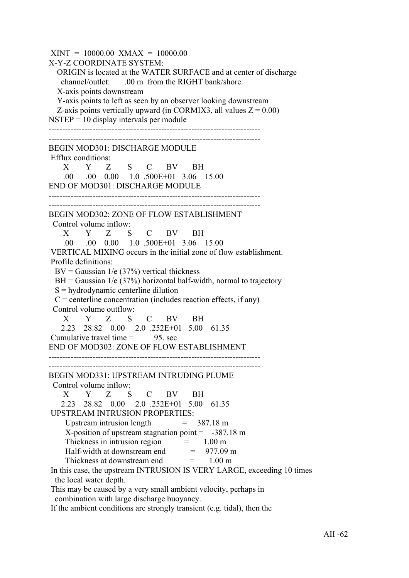$XINT = 10000.00$   $XMAX = 10000.00$ X-Y-Z COORDINATE SYSTEM: ORIGIN is located at the WATER SURFACE and at center of discharge channel/outlet: .00 m from the RIGHT bank/shore. X-axis points downstream Y-axis points to left as seen by an observer looking downstream Z-axis points vertically upward (in CORMIX3, all values  $Z = 0.00$ )  $NSTEP = 10$  display intervals per module ----------------------------------------------------------------------------- ----------------------------------------------------------------------------- BEGIN MOD301: DISCHARGE MODULE Efflux conditions: X Y Z S C BV BH .00 .00 0.00 1.0 .500E+01 3.06 15.00 END OF MOD301: DISCHARGE MODULE ----------------------------------------------------------------------------- ----------------------------------------------------------------------------- BEGIN MOD302: ZONE OF FLOW ESTABLISHMENT Control volume inflow: X Y Z S C BV BH .00 .00 0.00 1.0 .500E+01 3.06 15.00 VERTICAL MIXING occurs in the initial zone of flow establishment. Profile definitions:  $BV = Gaussian \ 1/e \ (37\%)$  vertical thickness  $BH = Gaussian$  1/e (37%) horizontal half-width, normal to trajectory S = hydrodynamic centerline dilution  $C =$  centerline concentration (includes reaction effects, if any) Control volume outflow: X Y Z S C BV BH 2.23 28.82 0.00 2.0 .252E+01 5.00 61.35 Cumulative travel time  $=$  95. sec END OF MOD302: ZONE OF FLOW ESTABLISHMENT ----------------------------------------------------------------------------- ----------------------------------------------------------------------------- BEGIN MOD331: UPSTREAM INTRUDING PLUME Control volume inflow: X Y Z S C BV BH 2.23 28.82 0.00 2.0 .252E+01 5.00 61.35 UPSTREAM INTRUSION PROPERTIES: Upstream intrusion length  $= 387.18 \text{ m}$ X-position of upstream stagnation point  $= -387.18$  m Thickness in intrusion region  $=$  1.00 m Half-width at downstream end  $= 977.09 \text{ m}$ <br>Thickness at downstream end  $= 1.00 \text{ m}$ Thickness at downstream end In this case, the upstream INTRUSION IS VERY LARGE, exceeding 10 times the local water depth. This may be caused by a very small ambient velocity, perhaps in combination with large discharge buoyancy.

If the ambient conditions are strongly transient (e.g. tidal), then the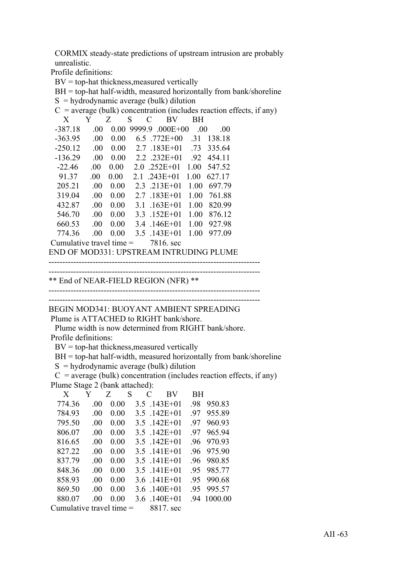CORMIX steady-state predictions of upstream intrusion are probably unrealistic.

Profile definitions:

 $BV = top-hat$  thickness, measured vertically

BH = top-hat half-width, measured horizontally from bank/shoreline

 $S =$ hydrodynamic average (bulk) dilution

| $C$ = average (bulk) concentration (includes reaction effects, if any) |      |                   |                    |                |      |        |  |  |  |
|------------------------------------------------------------------------|------|-------------------|--------------------|----------------|------|--------|--|--|--|
| X                                                                      | Y    | Z                 | S<br>$\mathcal{C}$ | BV             | BH   |        |  |  |  |
| -387.18                                                                | .00. | 0.00              | 9999.9             | $.000E + 00$   | - 00 | -00    |  |  |  |
| $-363.95$                                                              | .00. | 0.00              |                    | $6.5$ .772E+00 | .31  | 138.18 |  |  |  |
| $-250.12$                                                              | .00. | 0.00              |                    | $2.7$ .183E+01 | .73  | 335.64 |  |  |  |
| $-136.29$                                                              | .00. | 0.00              |                    | 2.2 .232E+01   | .92  | 454.11 |  |  |  |
| $-22.46$                                                               | .00. | 0.00              |                    | $2.0$ .252E+01 | 1.00 | 547.52 |  |  |  |
| 91.37                                                                  | .00. | 0.00 <sub>1</sub> | 21                 | $.243E+01$     | 1.00 | 627.17 |  |  |  |
| 205.21                                                                 | .00. | 0.00              |                    | $2.3$ .213E+01 | 1.00 | 697.79 |  |  |  |
| 319.04                                                                 | .00. | 0.00              |                    | $2.7$ .183E+01 | 1.00 | 761.88 |  |  |  |
| 432.87                                                                 | .00. | 0.00              | 31                 | $.163E + 01$   | 1.00 | 820.99 |  |  |  |
| 546.70                                                                 | .00. | 0.00              |                    | 3.3 $.152E+01$ | 1.00 | 876.12 |  |  |  |
| 660.53                                                                 | .00. | 0.00              |                    | 3.4 $.146E+01$ | 1.00 | 927.98 |  |  |  |
| 774.36                                                                 | .00. | 0.00              |                    | $3.5$ .143E+01 | 1.00 | 977.09 |  |  |  |
| Cumulative travel time $=$                                             |      |                   |                    | 7816. sec      |      |        |  |  |  |

END OF MOD331: UPSTREAM INTRUDING PLUME

```
-----------------------------------------------------------------------------
                -----------------------------------------------------------------------------
```
\*\* End of NEAR-FIELD REGION (NFR) \*\*

----------------------------------------------------------------------------- -----------------------------------------------------------------------------

BEGIN MOD341: BUOYANT AMBIENT SPREADING

Plume is ATTACHED to RIGHT bank/shore.

 Plume width is now determined from RIGHT bank/shore. Profile definitions:

 $BV = top-hat$  thickness, measured vertically

BH = top-hat half-width, measured horizontally from bank/shoreline

 $S =$ hydrodynamic average (bulk) dilution

 $C$  = average (bulk) concentration (includes reaction effects, if any) Plume Stage 2 (bank attached):

| X                          | Y        | Z.   | S | C | BV              | BH. |         |
|----------------------------|----------|------|---|---|-----------------|-----|---------|
| 774.36                     | $\Omega$ | 0.00 |   |   | $3.5$ .143E+01  | -98 | 950.83  |
| 784.93                     | -00      | 0.00 |   |   | 3.5 142E+01     | -97 | 955.89  |
| 795.50                     | -00      | 0.00 |   |   | 3.5 142E+01     | -97 | 960.93  |
| 806.07                     | -00      | 0.00 |   |   | $3.5$ $142E+01$ | -97 | 965.94  |
| 816.65                     | -00      | 0.00 |   |   | 3.5 142E+01     | -96 | 970.93  |
| 827.22                     | -00      | 0.00 |   |   | 3.5 141E+01     | -96 | 975.90  |
| 837 79                     | -00      | 0.00 |   |   | 3.5 141E+01     | -96 | 980.85  |
| 848 36                     | .00      | 0.00 |   |   | 3.5 141E+01     | -95 | 985.77  |
| 858.93                     | .00      | 0.00 |   |   | 3.6 .141E+01    | 95  | 990.68  |
| 869.50                     | .00      | 0.00 |   |   | 3.6 140E+01     | 95  | 995.57  |
| 880.07                     | -00      | 0.00 |   |   | 3.6 140E+01     | -94 | 1000 00 |
| Cumulative travel time $=$ |          |      |   |   | 8817 sec        |     |         |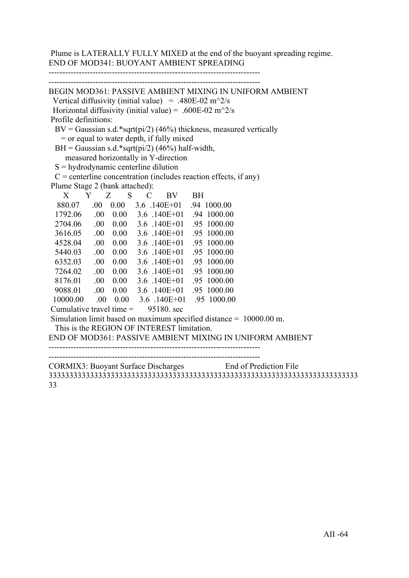Plume is LATERALLY FULLY MIXED at the end of the buoyant spreading regime. END OF MOD341: BUOYANT AMBIENT SPREADING

-----------------------------------------------------------------------------

| BEGIN MOD361: PASSIVE AMBIENT MIXING IN UNIFORM AMBIENT                              |
|--------------------------------------------------------------------------------------|
| Vertical diffusivity (initial value) = .480E-02 m <sup><math>\sim</math>2/s</sup>    |
| Horizontal diffusivity (initial value) = .600E-02 m <sup><math>\sim</math></sup> 2/s |
| Profile definitions:                                                                 |
| $BV = Gaussian s.d.*sqrt(pi/2)$ (46%) thickness, measured vertically                 |
| $=$ or equal to water depth, if fully mixed                                          |
| BH = Gaussian s.d.*sqrt(pi/2) (46%) half-width,                                      |
| measured horizontally in Y-direction                                                 |
| $S =$ hydrodynamic centerline dilution                                               |
| $C$ = centerline concentration (includes reaction effects, if any)                   |
| Plume Stage 2 (bank attached):                                                       |
| X Y Z S C BV BH                                                                      |
| 880.07 .00 0.00 3.6 .140E+01 .94 1000.00                                             |
| 1792.06 .00 0.00 3.6 .140E+01 .94 1000.00                                            |
| 2704.06 .00 0.00 3.6 .140E+01 .95 1000.00                                            |
| 3616.05 .00 0.00 3.6 .140E+01 .95 1000.00                                            |
| 0.00 3.6 .140E+01 .95 1000.00<br>4528.04 .00                                         |
| 5440.03 .00 0.00 3.6 .140E+01 .95 1000.00                                            |
| 6352.03 .00 0.00 3.6 .140E+01 .95 1000.00                                            |
| 7264.02 .00 0.00 3.6 .140E+01 .95 1000.00                                            |
| 8176.01 .00 0.00 3.6 .140E+01 .95 1000.00                                            |
| 9088.01 .00 0.00 3.6 .140E+01 .95 1000.00                                            |
| 10000.00 .00 0.00 3.6 .140E+01 .95 1000.00                                           |
| Cumulative travel time $=$ 95180. sec                                                |
| Simulation limit based on maximum specified distance $= 10000.00$ m.                 |
| This is the REGION OF INTEREST limitation.                                           |
| END OF MOD361: PASSIVE AMBIENT MIXING IN UNIFORM AMBIENT                             |
|                                                                                      |
|                                                                                      |
| CORMIX3: Buoyant Surface Discharges End of Prediction File                           |
|                                                                                      |

33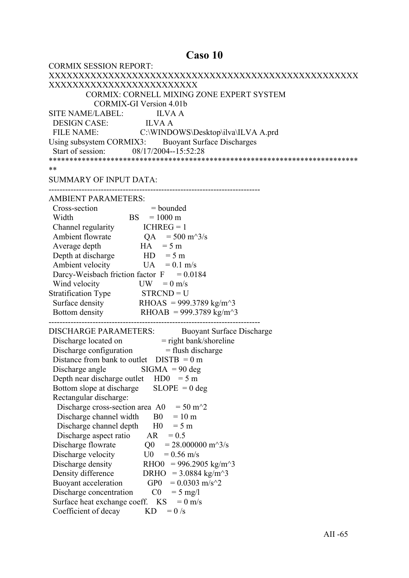## Caso 10

| <b>CORMIX SESSION REPORT:</b>                                                                          |
|--------------------------------------------------------------------------------------------------------|
|                                                                                                        |
| XXXXXXXXXXXXXXXXXXXXXXXXX                                                                              |
| <b>CORMIX: CORNELL MIXING ZONE EXPERT SYSTEM</b>                                                       |
| <b>CORMIX-GI Version 4.01b</b>                                                                         |
| SITE NAME/LABEL: ILVA A                                                                                |
|                                                                                                        |
|                                                                                                        |
| Using subsystem CORMIX3: Buoyant Surface Discharges                                                    |
| Start of session: 08/17/2004--15:52:28                                                                 |
|                                                                                                        |
| **                                                                                                     |
| <b>SUMMARY OF INPUT DATA:</b>                                                                          |
|                                                                                                        |
| <b>AMBIENT PARAMETERS:</b>                                                                             |
| Cross-section<br>$=$ bounded                                                                           |
| $\begin{array}{rcl} \text{ion} & = \text{bounce} \\ \text{BS} & = 1000 \text{ m} \end{array}$<br>Width |
|                                                                                                        |
| Channel regularity $ICHREG = 1$<br>Ambient flowrate $QA = 500 \text{ m}^3/\text{s}$                    |
| $HA = 5 m$                                                                                             |
| Average depth                                                                                          |
| Depth at discharge $HD = 5 m$                                                                          |
| Ambient velocity<br>$UA = 0.1$ m/s                                                                     |
| Darcy-Weisbach friction factor $F = 0.0184$                                                            |
| Wind velocity<br>$UW = 0$ m/s                                                                          |
| Stratification Type STRCND = U                                                                         |
| Surface density RHOAS = 999.3789 kg/m <sup><math>\sim</math></sup> 3                                   |
| Bottom density RHOAB = 999.3789 kg/m <sup><math>\sim</math></sup> 3                                    |
| <b>DISCHARGE PARAMETERS:</b><br><b>Buoyant Surface Discharge</b>                                       |
|                                                                                                        |
| Discharge located on = right bank/shoreline<br>Discharge configuration = flush discharge               |
| Distance from bank to outlet $DISTB = 0 m$                                                             |
|                                                                                                        |
| Discharge angle $\qquad$ SIGMA = 90 deg                                                                |
| Depth near discharge outlet $HD0 = 5 m$                                                                |
| $SLOPE = 0$ deg<br>Bottom slope at discharge                                                           |
| Rectangular discharge:                                                                                 |
| $= 50 \text{ m}^2$<br>Discharge cross-section area A0                                                  |
| Discharge channel width<br>B <sub>0</sub><br>$= 10$ m                                                  |
| Discharge channel depth<br>H <sub>0</sub><br>$= 5 m$                                                   |
| Discharge aspect ratio<br>AR<br>$= 0.5$                                                                |
| Discharge flowrate<br>Q <sub>0</sub><br>$= 28.000000 \text{ m}^3/\text{s}$                             |
| Discharge velocity<br>U0<br>$= 0.56$ m/s                                                               |
| Discharge density<br>RHO0<br>$= 996.2905 \text{ kg/m}^3$                                               |
| Density difference<br>DRHO = $3.0884 \text{ kg/m}^3$                                                   |
| Buoyant acceleration<br>GP <sub>0</sub><br>$= 0.0303$ m/s <sup><math>\gamma</math></sup> 2             |
| C <sub>0</sub><br>Discharge concentration<br>$= 5$ mg/l                                                |
| Surface heat exchange coeff. KS<br>$= 0$ m/s                                                           |
| Coefficient of decay<br>KD<br>$= 0/s$                                                                  |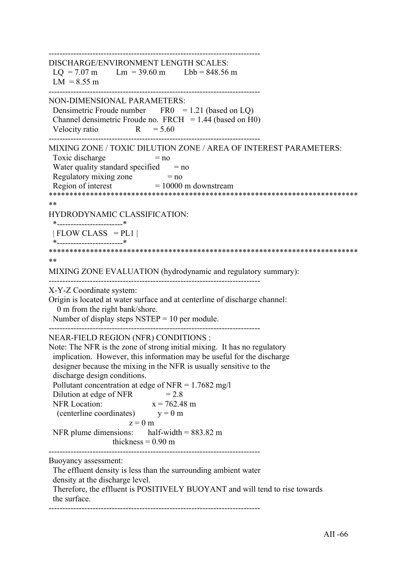| $LQ = 7.07$ m $Lm = 39.60$ m $Lbb = 848.56$ m<br>$LM = 8.55 m$<br>Densimetric Froude number $FR0 = 1.21$ (based on LQ)<br>Channel densimetric Froude no. FRCH $= 1.44$ (based on H0)<br>Velocity ratio $R = 5.60$<br>Toxic discharge<br>$= no$<br>Water quality standard specified $=$ no<br>Regulatory mixing zone $=$ no<br>Region of interest $=$ 10000 m downstream<br>**<br>*------------------------*<br>$ FLOW CLASS = PL1 $<br>**<br>0 m from the right bank/shore.<br>Number of display steps $NSTEP = 10$ per module.<br>implication. However, this information may be useful for the discharge<br>designer because the mixing in the NFR is usually sensitive to the<br>discharge design conditions.<br>Pollutant concentration at edge of NFR = $1.7682$ mg/l<br>$= 2.8$<br>Dilution at edge of NFR<br><b>NFR</b> Location:<br>$x = 762.48$ m<br>(centerline coordinates) $y = 0$ m<br>$z = 0$ m<br>NFR plume dimensions: half-width = $883.82 \text{ m}$<br>thickness = $0.90$ m<br>The effluent density is less than the surrounding ambient water<br>density at the discharge level.<br>Therefore, the effluent is POSITIVELY BUOYANT and will tend to rise towards<br>the surface. |                                                                                                                  |
|----------------------------------------------------------------------------------------------------------------------------------------------------------------------------------------------------------------------------------------------------------------------------------------------------------------------------------------------------------------------------------------------------------------------------------------------------------------------------------------------------------------------------------------------------------------------------------------------------------------------------------------------------------------------------------------------------------------------------------------------------------------------------------------------------------------------------------------------------------------------------------------------------------------------------------------------------------------------------------------------------------------------------------------------------------------------------------------------------------------------------------------------------------------------------------------------------|------------------------------------------------------------------------------------------------------------------|
|                                                                                                                                                                                                                                                                                                                                                                                                                                                                                                                                                                                                                                                                                                                                                                                                                                                                                                                                                                                                                                                                                                                                                                                                    | DISCHARGE/ENVIRONMENT LENGTH SCALES:                                                                             |
|                                                                                                                                                                                                                                                                                                                                                                                                                                                                                                                                                                                                                                                                                                                                                                                                                                                                                                                                                                                                                                                                                                                                                                                                    | NON-DIMENSIONAL PARAMETERS:                                                                                      |
|                                                                                                                                                                                                                                                                                                                                                                                                                                                                                                                                                                                                                                                                                                                                                                                                                                                                                                                                                                                                                                                                                                                                                                                                    | MIXING ZONE / TOXIC DILUTION ZONE / AREA OF INTEREST PARAMETERS:                                                 |
|                                                                                                                                                                                                                                                                                                                                                                                                                                                                                                                                                                                                                                                                                                                                                                                                                                                                                                                                                                                                                                                                                                                                                                                                    | HYDRODYNAMIC CLASSIFICATION:                                                                                     |
|                                                                                                                                                                                                                                                                                                                                                                                                                                                                                                                                                                                                                                                                                                                                                                                                                                                                                                                                                                                                                                                                                                                                                                                                    |                                                                                                                  |
|                                                                                                                                                                                                                                                                                                                                                                                                                                                                                                                                                                                                                                                                                                                                                                                                                                                                                                                                                                                                                                                                                                                                                                                                    | MIXING ZONE EVALUATION (hydrodynamic and regulatory summary):                                                    |
|                                                                                                                                                                                                                                                                                                                                                                                                                                                                                                                                                                                                                                                                                                                                                                                                                                                                                                                                                                                                                                                                                                                                                                                                    | X-Y-Z Coordinate system:<br>Origin is located at water surface and at centerline of discharge channel:           |
|                                                                                                                                                                                                                                                                                                                                                                                                                                                                                                                                                                                                                                                                                                                                                                                                                                                                                                                                                                                                                                                                                                                                                                                                    | NEAR-FIELD REGION (NFR) CONDITIONS :<br>Note: The NFR is the zone of strong initial mixing. It has no regulatory |
|                                                                                                                                                                                                                                                                                                                                                                                                                                                                                                                                                                                                                                                                                                                                                                                                                                                                                                                                                                                                                                                                                                                                                                                                    | Buoyancy assessment:                                                                                             |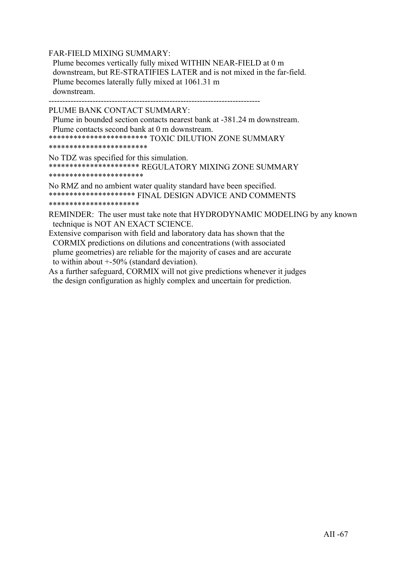FAR-FIELD MIXING SUMMARY:

 Plume becomes vertically fully mixed WITHIN NEAR-FIELD at 0 m downstream, but RE-STRATIFIES LATER and is not mixed in the far-field. Plume becomes laterally fully mixed at 1061.31 m downstream.

-----------------------------------------------------------------------------

PLUME BANK CONTACT SUMMARY:

 Plume in bounded section contacts nearest bank at -381.24 m downstream. Plume contacts second bank at 0 m downstream. \*\*\*\*\*\*\*\*\*\*\*\*\*\*\*\*\*\*\*\*\*\*\*\* TOXIC DILUTION ZONE SUMMARY

\*\*\*\*\*\*\*\*\*\*\*\*\*\*\*\*\*\*\*\*\*\*\*\*

No TDZ was specified for this simulation. \*\*\*\*\*\*\*\*\*\*\*\*\*\*\*\*\*\*\*\*\*\* REGULATORY MIXING ZONE SUMMARY \*\*\*\*\*\*\*\*\*\*\*\*\*\*\*\*\*\*\*\*\*\*\*

No RMZ and no ambient water quality standard have been specified. \*\*\*\*\*\*\*\*\*\*\*\*\*\*\*\*\*\*\*\*\* FINAL DESIGN ADVICE AND COMMENTS

\*\*\*\*\*\*\*\*\*\*\*\*\*\*\*\*\*\*\*\*\*\*

REMINDER: The user must take note that HYDRODYNAMIC MODELING by any known technique is NOT AN EXACT SCIENCE.

- Extensive comparison with field and laboratory data has shown that the CORMIX predictions on dilutions and concentrations (with associated plume geometries) are reliable for the majority of cases and are accurate to within about +-50% (standard deviation).
- As a further safeguard, CORMIX will not give predictions whenever it judges the design configuration as highly complex and uncertain for prediction.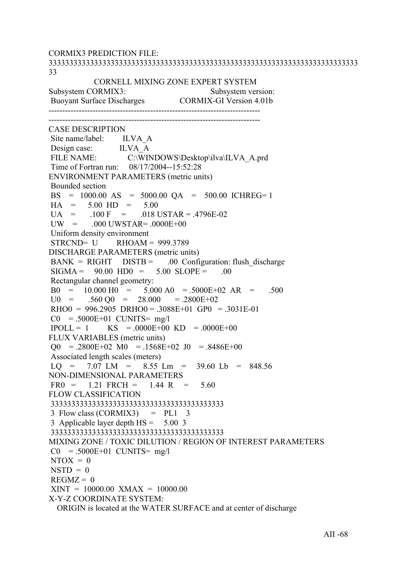CORMIX3 PREDICTION FILE: 333333333333333333333333333333333333333333333333333333333333333333333333333 33 CORNELL MIXING ZONE EXPERT SYSTEM Subsystem CORMIX3: Subsystem version: Buoyant Surface Discharges CORMIX-GI Version 4.01b ----------------------------------------------------------------------------- ----------------------------------------------------------------------------- CASE DESCRIPTION Site name/label: ILVA A Design case: ILVA A FILE NAME: C:\WINDOWS\Desktop\ilva\ILVA\_A.prd Time of Fortran run: 08/17/2004--15:52:28 ENVIRONMENT PARAMETERS (metric units) Bounded section BS = 1000.00 AS = 5000.00 QA = 500.00 ICHREG= 1  $HA = 5.00 HD = 5.00$  $U_A$  = .100 F = .018 USTAR = .4796E-02  $UW = 000$   $UWSTAR = 0000E+00$  Uniform density environment STRCND= U RHOAM = 999.3789 DISCHARGE PARAMETERS (metric units)  $BANK = RIGHT$   $DISTB = 00$  Configuration: flush discharge  $SIGMA = 90.00 HDO = 5.00 SLOPE = .00$  Rectangular channel geometry: B0 =  $10.000 \text{ H0}$  =  $5.000 \text{ A0}$  =  $.5000E+02 \text{ AR}$  =  $.500$ <br>U0 =  $.560 \text{ O0}$  =  $28.000$  =  $.2800E+02$  $.560 \text{ O}0 = 28.000 = .2800E+02$  $RHOO = 996.2905 \, DRHOO = .3088E + 01 \, GPO = .3031E - 01$  $CO = .5000E+01$  CUNITS= mg/l  $IPOLL = 1$  KS = .0000E+00 KD = .0000E+00 FLUX VARIABLES (metric units)  $Q0 = 0.2800E + 02 \text{ M}0 = 0.1568E + 02 \text{ J}0 = 0.8486E + 00$  Associated length scales (meters)  $LO = 7.07$   $LM = 8.55$   $Lm = 39.60$   $Lb = 848.56$ NON-DIMENSIONAL PARAMETERS  $FR0 = 1.21$   $FRCH = 1.44$  R = 5.60 FLOW CLASSIFICATION 333333333333333333333333333333333333333333  $3$  Flow class (CORMIX3) = PL1  $3$  3 Applicable layer depth HS = 5.00 3 333333333333333333333333333333333333333333 MIXING ZONE / TOXIC DILUTION / REGION OF INTEREST PARAMETERS  $CO = .5000E+01$  CUNITS= mg/l  $NTOX = 0$  $NSTD = 0$  $REGMZ = 0$  $XINT = 10000.00$   $XMAX = 10000.00$ X-Y-Z COORDINATE SYSTEM: ORIGIN is located at the WATER SURFACE and at center of discharge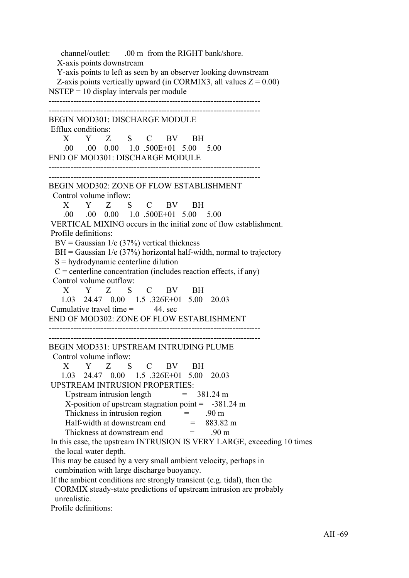channel/outlet: .00 m from the RIGHT bank/shore. X-axis points downstream Y-axis points to left as seen by an observer looking downstream Z-axis points vertically upward (in CORMIX3, all values  $Z = 0.00$ )  $NSTEP = 10$  display intervals per module ----------------------------------------------------------------------------- ----------------------------------------------------------------------------- BEGIN MOD301: DISCHARGE MODULE Efflux conditions: X Y Z S C BV BH .00 .00 0.00 1.0 .500E+01 5.00 5.00 END OF MOD301: DISCHARGE MODULE -----------------------------------------------------------------------------  $-$ BEGIN MOD302: ZONE OF FLOW ESTABLISHMENT Control volume inflow: X Y Z S C BV BH .00 .00 0.00 1.0 .500E+01 5.00 5.00 VERTICAL MIXING occurs in the initial zone of flow establishment. Profile definitions:  $BV = Gaussian \ 1/e \ (37\%)$  vertical thickness  $BH = Gaussian$  1/e (37%) horizontal half-width, normal to trajectory  $S =$  hydrodynamic centerline dilution  $C =$  centerline concentration (includes reaction effects, if any) Control volume outflow: X Y Z S C BV BH 1.03 24.47 0.00 1.5 .326E+01 5.00 20.03 Cumulative travel time  $=$  44. sec END OF MOD302: ZONE OF FLOW ESTABLISHMENT ----------------------------------------------------------------------------- ----------------------------------------------------------------------------- BEGIN MOD331: UPSTREAM INTRUDING PLUME Control volume inflow: X Y Z S C BV BH 1.03 24.47 0.00 1.5 .326E+01 5.00 20.03 UPSTREAM INTRUSION PROPERTIES: Upstream intrusion length  $= 381.24 \text{ m}$ X-position of upstream stagnation point  $= -381.24$  m Thickness in intrusion region  $=$  .90 m Half-width at downstream end  $= 883.82 \text{ m}$ Thickness at downstream end  $=$  90 m In this case, the upstream INTRUSION IS VERY LARGE, exceeding 10 times the local water depth. This may be caused by a very small ambient velocity, perhaps in combination with large discharge buoyancy. If the ambient conditions are strongly transient (e.g. tidal), then the CORMIX steady-state predictions of upstream intrusion are probably unrealistic. Profile definitions: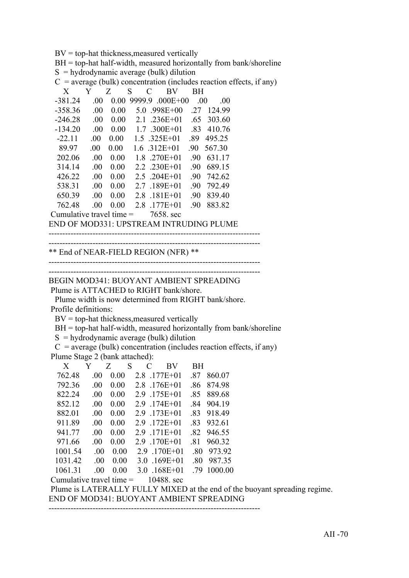$BV = top-hat$  thickness, measured vertically

 BH = top-hat half-width, measured horizontally from bank/shoreline  $S =$ hydrodynamic average (bulk) dilution

 $C = average (bulk) concentration (includes reaction effects, if any)$ 

| X                          | Y    | Z    | S      | C | BV                    | ВH   |        |
|----------------------------|------|------|--------|---|-----------------------|------|--------|
| $-381.24$                  | -00  | 0.00 | 9999.9 |   | $.000E + 00$          | .00. | .00    |
| -358.36                    | .00  | 0.00 |        |   | $5.0$ .998E+00        | 27   | 124.99 |
| -246.28                    | .00  | 0.00 | 21     |   | $.236E+01$            | .65  | 303.60 |
| $-134.20$                  | .00. | 0.00 |        |   | $1.7 \quad 300E + 01$ | .83  | 410.76 |
| $-22.11$                   | .00  | 0.00 |        |   | $1.5 \quad 325E + 01$ | -89  | 495.25 |
| 89.97                      | .00  | 0.00 |        |   | $1.6 \t312E+01$       | -90  | 567.30 |
| 202.06                     | .00. | 0.00 |        |   | 1 8 270E+01           | -90  | 631.17 |
| 314 14                     | .00  | 0.00 |        |   | $2.2 \t .230E+01$     | -90  | 689.15 |
| 426.22                     | -00  | 0.00 |        |   | 2.5 204E+01           | -90  | 742.62 |
| 538.31                     | .00  | 0.00 | 2.7    |   | $.189E + 01$          | -90  | 792.49 |
| 650.39                     | .00  | 0.00 | 28     |   | $.181E + 01$          | -90  | 839.40 |
| 762.48                     | .00  | 0.00 | 28     |   | 177E+01               | -90  | 883.82 |
| Cumulative travel time $=$ |      |      |        |   | 7658. sec             |      |        |

END OF MOD331: UPSTREAM INTRUDING PLUME

```
-----------------------------------------------------------------------------
```
\*\* End of NEAR-FIELD REGION (NFR) \*\*

-----------------------------------------------------------------------------

-----------------------------------------------------------------------------

#### ----------------------------------------------------------------------------- BEGIN MOD341: BUOYANT AMBIENT SPREADING Plume is ATTACHED to RIGHT bank/shore.

 Plume width is now determined from RIGHT bank/shore. Profile definitions:

 $BV = top-hat$  thickness, measured vertically

BH = top-hat half-width, measured horizontally from bank/shoreline

 $S =$ hydrodynamic average (bulk) dilution

 $C$  = average (bulk) concentration (includes reaction effects, if any) Plume Stage 2 (bank attached):

| X                          |      | Z    | S | C   | <b>BV</b>      | ВH  |         |
|----------------------------|------|------|---|-----|----------------|-----|---------|
| 762.48                     | .00  | 0.00 |   |     | $2.8$ .177E+01 | -87 | 860.07  |
| 792.36                     | .00  | 0.00 |   | 2.8 | $176E + 01$    | .86 | 87498   |
| 822.24                     | .00. | 0.00 |   | 2.9 | 175E+01        | -85 | 889.68  |
| 852.12                     | -00  | 0.00 |   |     | 2.9 174E+01    | -84 | 904 19  |
| 882.01                     | -00  | 0.00 |   |     | 2.9 173E+01    | .83 | 918.49  |
| 911.89                     | .00. | 0.00 |   |     | 2.9 172E+01    | -83 | 932.61  |
| 941.77                     | -00  | 0.00 |   | 2.9 | 171E+01        | -82 | 946.55  |
| 971.66                     | .00  | 0.00 |   | 2.9 | 170E+01        | -81 | 960.32  |
| 1001.54                    | .00  | 0.00 |   |     | 2.9 170E+01    | .80 | 973.92  |
| 1031.42                    | .00  | 0.00 |   |     | 3.0 .169E+01   | .80 | 987.35  |
| 1061.31                    | -00  | 0.00 |   |     | $3.0$ .168E+01 | .79 | 1000.00 |
| Cumulative travel time $=$ |      |      |   |     | 10488 sec      |     |         |

 Plume is LATERALLY FULLY MIXED at the end of the buoyant spreading regime. END OF MOD341: BUOYANT AMBIENT SPREADING

-----------------------------------------------------------------------------